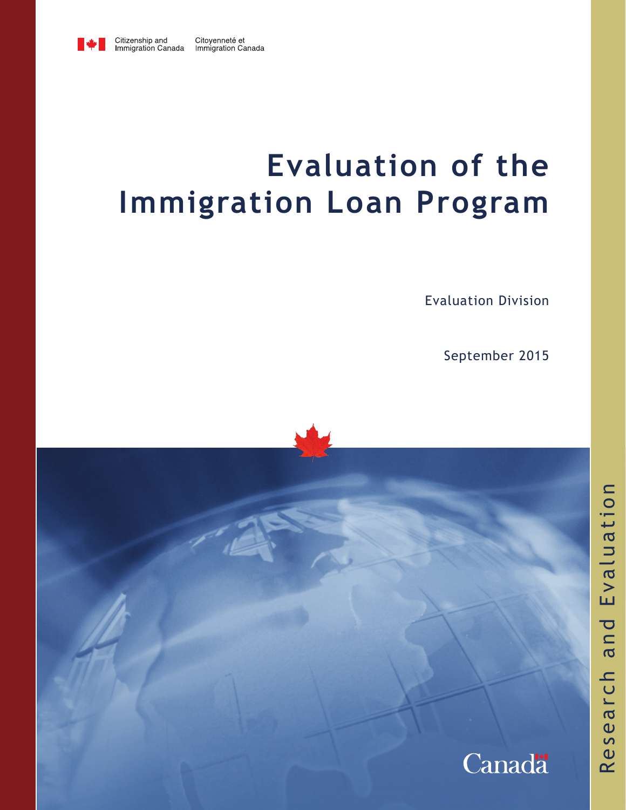

# **Evaluation of the Immigration Loan Program**

Evaluation Division

September 2015

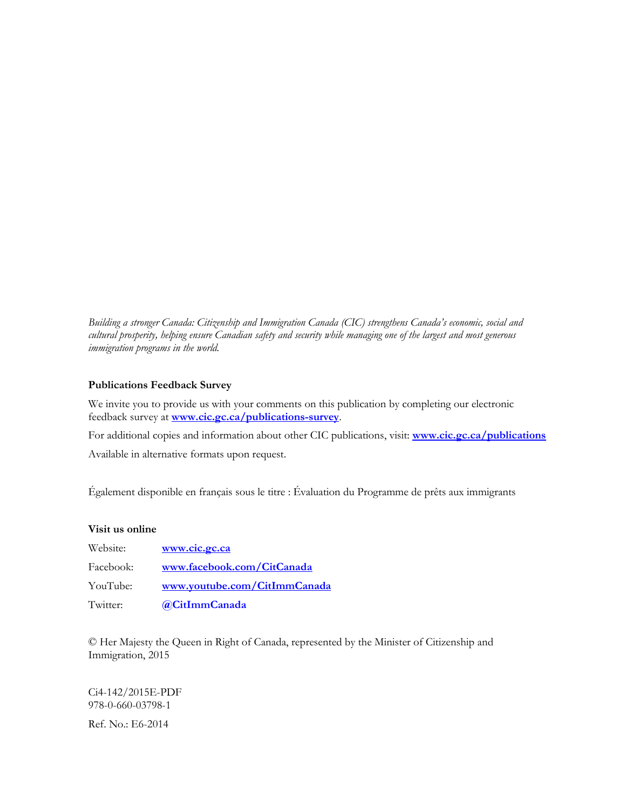*Building a stronger Canada: Citizenship and Immigration Canada (CIC) strengthens Canada's economic, social and cultural prosperity, helping ensure Canadian safety and security while managing one of the largest and most generous immigration programs in the world.* 

#### **Publications Feedback Survey**

We invite you to provide us with your comments on this publication by completing our electronic feedback survey at **[www.cic.gc.ca/publications-survey](http://www.cic.gc.ca/publications-survey)**.

For additional copies and information about other CIC publications, visit: **[www.cic.gc.ca/publications](http://www.cic.gc.ca/publications)**

Available in alternative formats upon request.

Également disponible en français sous le titre : Évaluation du Programme de prêts aux immigrants

#### **Visit us online**

| Website:  | www.cic.gc.ca                |
|-----------|------------------------------|
| Facebook: | www.facebook.com/CitCanada   |
| YouTube:  | www.youtube.com/CitImmCanada |
| Twitter:  | @CitImmCanada                |

© Her Majesty the Queen in Right of Canada, represented by the Minister of Citizenship and Immigration, 2015

Ci4-142/2015E-PDF 978-0-660-03798-1

Ref. No.: E6-2014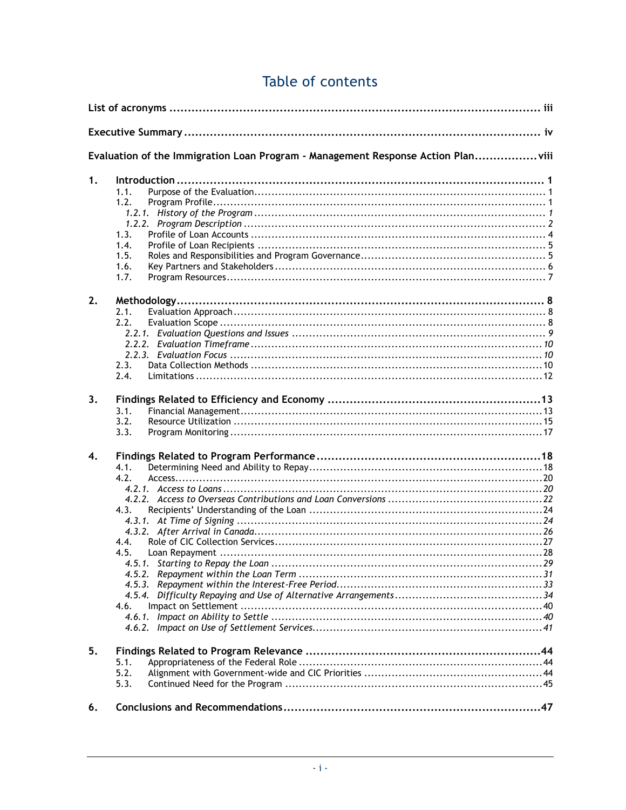|                  | Evaluation of the Immigration Loan Program - Management Response Action Planviii |
|------------------|----------------------------------------------------------------------------------|
| 1.               | 1.1.<br>1.2.<br>1.3.<br>1.4.<br>1.5.<br>1.6.<br>1.7.                             |
| 2.               | 2.1.<br>2.2.<br>2.3.<br>2.4.                                                     |
| 3.               | 3.1.<br>3.2.<br>3.3.                                                             |
| $\overline{4}$ . | 4.1.<br>4.2.<br>4.3.<br>4.4.<br>4.5.<br>4.6.                                     |
| 5.               | 5.1.<br>5.2.<br>5.3.                                                             |
| 6.               |                                                                                  |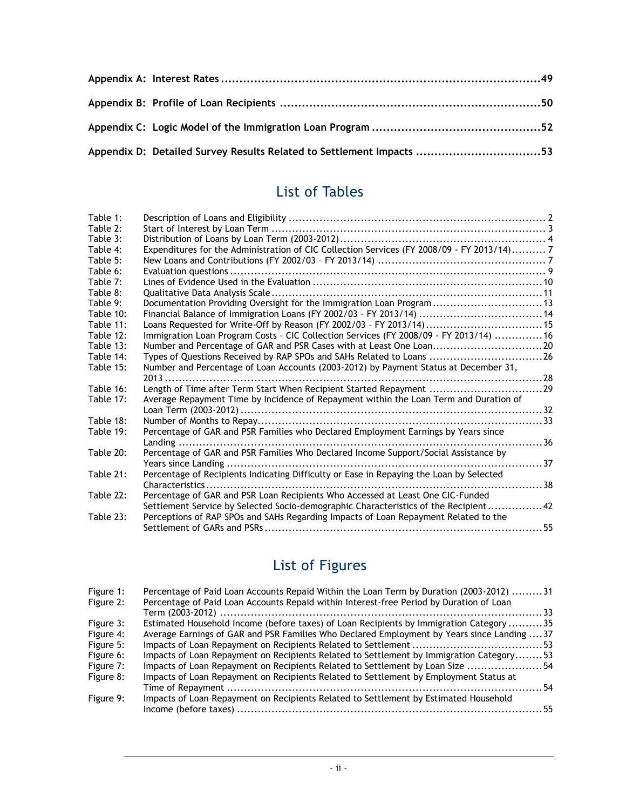| Appendix D: Detailed Survey Results Related to Settlement Impacts 53 |  |
|----------------------------------------------------------------------|--|

### List of Tables

| Table 1:  |                                                                                              |     |
|-----------|----------------------------------------------------------------------------------------------|-----|
| Table 2:  |                                                                                              |     |
| Table 3:  |                                                                                              |     |
| Table 4:  | Expenditures for the Administration of CIC Collection Services (FY 2008/09 - FY 2013/14) 7   |     |
| Table 5:  |                                                                                              |     |
| Table 6:  |                                                                                              |     |
| Table 7:  |                                                                                              |     |
| Table 8:  |                                                                                              |     |
| Table 9:  | Documentation Providing Oversight for the Immigration Loan Program13                         |     |
| Table 10: | Financial Balance of Immigration Loans (FY 2002/03 - FY 2013/14)  14                         |     |
| Table 11: | Loans Requested for Write-Off by Reason (FY 2002/03 - FY 2013/14) 15                         |     |
| Table 12: | Immigration Loan Program Costs - CIC Collection Services (FY 2008/09 - FY 2013/14)  16       |     |
| Table 13: | Number and Percentage of GAR and PSR Cases with at Least One Loan20                          |     |
| Table 14: | Types of Questions Received by RAP SPOs and SAHs Related to Loans 26                         |     |
| Table 15: | Number and Percentage of Loan Accounts (2003-2012) by Payment Status at December 31,<br>2013 |     |
| Table 16: | Length of Time after Term Start When Recipient Started Repayment 29                          |     |
| Table 17: | Average Repayment Time by Incidence of Repayment within the Loan Term and Duration of        |     |
|           |                                                                                              |     |
| Table 18: |                                                                                              |     |
| Table 19: | Percentage of GAR and PSR Families who Declared Employment Earnings by Years since           |     |
|           |                                                                                              | .36 |
| Table 20: | Percentage of GAR and PSR Families Who Declared Income Support/Social Assistance by          |     |
|           |                                                                                              |     |
| Table 21: | Percentage of Recipients Indicating Difficulty or Ease in Repaying the Loan by Selected      |     |
|           | . 38<br>Characteristics                                                                      |     |
| Table 22: | Percentage of GAR and PSR Loan Recipients Who Accessed at Least One CIC-Funded               |     |
|           | Settlement Service by Selected Socio-demographic Characteristics of the Recipient42          |     |
| Table 23: | Perceptions of RAP SPOs and SAHs Regarding Impacts of Loan Repayment Related to the          |     |
|           |                                                                                              |     |
|           |                                                                                              |     |

## List of Figures

| Figure 1: | Percentage of Paid Loan Accounts Repaid Within the Loan Term by Duration (2003-2012) 31     |  |
|-----------|---------------------------------------------------------------------------------------------|--|
| Figure 2: | Percentage of Paid Loan Accounts Repaid within Interest-free Period by Duration of Loan     |  |
|           | Term (2003-2012) ………………………………………………………………………………………33                                        |  |
| Figure 3: | Estimated Household Income (before taxes) of Loan Recipients by Immigration Category 35     |  |
| Figure 4: | Average Earnings of GAR and PSR Families Who Declared Employment by Years since Landing  37 |  |
| Figure 5: |                                                                                             |  |
| Figure 6: | Impacts of Loan Repayment on Recipients Related to Settlement by Immigration Category53     |  |
| Figure 7: | Impacts of Loan Repayment on Recipients Related to Settlement by Loan Size 54               |  |
| Figure 8: | Impacts of Loan Repayment on Recipients Related to Settlement by Employment Status at       |  |
|           |                                                                                             |  |
| Figure 9: | Impacts of Loan Repayment on Recipients Related to Settlement by Estimated Household        |  |
|           |                                                                                             |  |
|           |                                                                                             |  |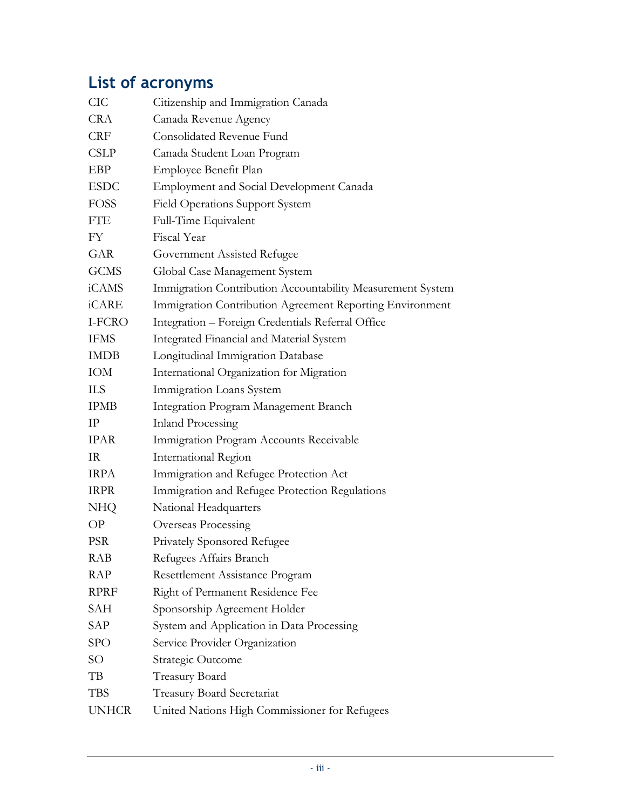## <span id="page-4-0"></span>**List of acronyms**

| <b>CIC</b>      | Citizenship and Immigration Canada                         |
|-----------------|------------------------------------------------------------|
| <b>CRA</b>      | Canada Revenue Agency                                      |
| <b>CRF</b>      | Consolidated Revenue Fund                                  |
| <b>CSLP</b>     | Canada Student Loan Program                                |
| EBP             | Employee Benefit Plan                                      |
| <b>ESDC</b>     | <b>Employment and Social Development Canada</b>            |
| <b>FOSS</b>     | <b>Field Operations Support System</b>                     |
| <b>FTE</b>      | Full-Time Equivalent                                       |
| FY              | Fiscal Year                                                |
| GAR             | Government Assisted Refugee                                |
| <b>GCMS</b>     | Global Case Management System                              |
| iCAMS           | Immigration Contribution Accountability Measurement System |
| iCARE           | Immigration Contribution Agreement Reporting Environment   |
| I-FCRO          | Integration - Foreign Credentials Referral Office          |
| <b>IFMS</b>     | Integrated Financial and Material System                   |
| <b>IMDB</b>     | Longitudinal Immigration Database                          |
| IOM             | International Organization for Migration                   |
| <b>ILS</b>      | Immigration Loans System                                   |
| <b>IPMB</b>     | Integration Program Management Branch                      |
| $_{\rm IP}$     | <b>Inland Processing</b>                                   |
| <b>IPAR</b>     | Immigration Program Accounts Receivable                    |
| IR              | International Region                                       |
| <b>IRPA</b>     | Immigration and Refugee Protection Act                     |
| <b>IRPR</b>     | Immigration and Refugee Protection Regulations             |
| NHQ             | National Headquarters                                      |
| OP              | Overseas Processing                                        |
| <b>PSR</b>      | Privately Sponsored Refugee                                |
| <b>RAB</b>      | Refugees Affairs Branch                                    |
| <b>RAP</b>      | Resettlement Assistance Program                            |
| <b>RPRF</b>     | Right of Permanent Residence Fee                           |
| <b>SAH</b>      | Sponsorship Agreement Holder                               |
| SAP             | System and Application in Data Processing                  |
| <b>SPO</b>      | Service Provider Organization                              |
| SO <sub>1</sub> | Strategic Outcome                                          |
| TB              | Treasury Board                                             |
| <b>TBS</b>      | <b>Treasury Board Secretariat</b>                          |
| <b>UNHCR</b>    | United Nations High Commissioner for Refugees              |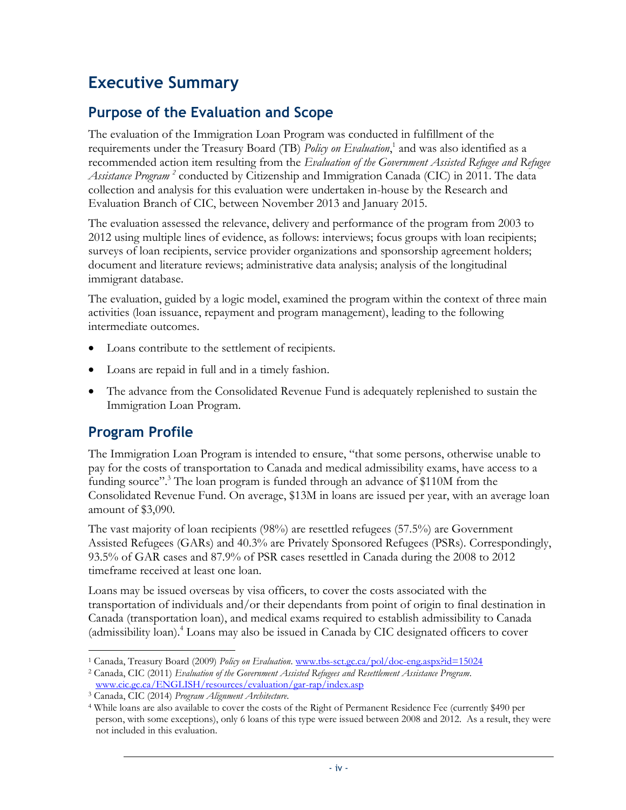## <span id="page-5-0"></span>**Executive Summary**

### **Purpose of the Evaluation and Scope**

The evaluation of the Immigration Loan Program was conducted in fulfillment of the requirements under the Treasury Board (TB) *Policy on Evaluation*, 1 and was also identified as a recommended action item resulting from the *Evaluation of the Government Assisted Refugee and Refugee Assistance Program <sup>2</sup>* conducted by Citizenship and Immigration Canada (CIC) in 2011. The data collection and analysis for this evaluation were undertaken in-house by the Research and Evaluation Branch of CIC, between November 2013 and January 2015.

The evaluation assessed the relevance, delivery and performance of the program from 2003 to 2012 using multiple lines of evidence, as follows: interviews; focus groups with loan recipients; surveys of loan recipients, service provider organizations and sponsorship agreement holders; document and literature reviews; administrative data analysis; analysis of the longitudinal immigrant database.

The evaluation, guided by a logic model, examined the program within the context of three main activities (loan issuance, repayment and program management), leading to the following intermediate outcomes.

- Loans contribute to the settlement of recipients.
- Loans are repaid in full and in a timely fashion.
- The advance from the Consolidated Revenue Fund is adequately replenished to sustain the Immigration Loan Program.

### **Program Profile**

The Immigration Loan Program is intended to ensure, "that some persons, otherwise unable to pay for the costs of transportation to Canada and medical admissibility exams, have access to a funding source"<sup>3</sup>. The loan program is funded through an advance of \$110M from the Consolidated Revenue Fund. On average, \$13M in loans are issued per year, with an average loan amount of \$3,090.

The vast majority of loan recipients (98%) are resettled refugees (57.5%) are Government Assisted Refugees (GARs) and 40.3% are Privately Sponsored Refugees (PSRs). Correspondingly, 93.5% of GAR cases and 87.9% of PSR cases resettled in Canada during the 2008 to 2012 timeframe received at least one loan.

Loans may be issued overseas by visa officers, to cover the costs associated with the transportation of individuals and/or their dependants from point of origin to final destination in Canada (transportation loan), and medical exams required to establish admissibility to Canada (admissibility loan).<sup>4</sup> Loans may also be issued in Canada by CIC designated officers to cover

 $\overline{a}$ <sup>1</sup> Canada, Treasury Board (2009) *Policy on Evaluation*. [www.tbs-sct.gc.ca/pol/doc-eng.aspx?id=15024](http://www.tbs-sct.gc.ca/pol/doc-eng.aspx?id=15024)

<sup>2</sup> Canada, CIC (2011) *Evaluation of the Government Assisted Refugees and Resettlement Assistance Program*. [www.cic.gc.ca/ENGLISH/resources/evaluation/gar-rap/index.asp](http://www.cic.gc.ca/ENGLISH/resources/evaluation/gar-rap/index.asp)

<sup>3</sup> Canada, CIC (2014) *Program Alignment Architecture*.

<sup>4</sup> While loans are also available to cover the costs of the Right of Permanent Residence Fee (currently \$490 per person, with some exceptions), only 6 loans of this type were issued between 2008 and 2012. As a result, they were not included in this evaluation.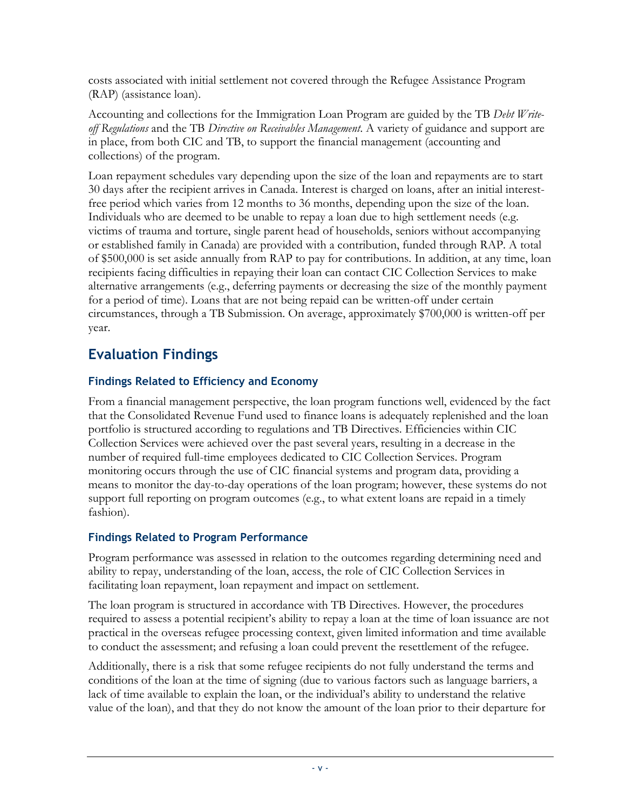costs associated with initial settlement not covered through the Refugee Assistance Program (RAP) (assistance loan).

Accounting and collections for the Immigration Loan Program are guided by the TB *Debt Writeoff Regulations* and the TB *Directive on Receivables Management*. A variety of guidance and support are in place, from both CIC and TB, to support the financial management (accounting and collections) of the program.

Loan repayment schedules vary depending upon the size of the loan and repayments are to start 30 days after the recipient arrives in Canada. Interest is charged on loans, after an initial interestfree period which varies from 12 months to 36 months, depending upon the size of the loan. Individuals who are deemed to be unable to repay a loan due to high settlement needs (e.g. victims of trauma and torture, single parent head of households, seniors without accompanying or established family in Canada) are provided with a contribution, funded through RAP. A total of \$500,000 is set aside annually from RAP to pay for contributions. In addition, at any time, loan recipients facing difficulties in repaying their loan can contact CIC Collection Services to make alternative arrangements (e.g., deferring payments or decreasing the size of the monthly payment for a period of time). Loans that are not being repaid can be written-off under certain circumstances, through a TB Submission. On average, approximately \$700,000 is written-off per year.

### **Evaluation Findings**

### **Findings Related to Efficiency and Economy**

From a financial management perspective, the loan program functions well, evidenced by the fact that the Consolidated Revenue Fund used to finance loans is adequately replenished and the loan portfolio is structured according to regulations and TB Directives. Efficiencies within CIC Collection Services were achieved over the past several years, resulting in a decrease in the number of required full-time employees dedicated to CIC Collection Services. Program monitoring occurs through the use of CIC financial systems and program data, providing a means to monitor the day-to-day operations of the loan program; however, these systems do not support full reporting on program outcomes (e.g., to what extent loans are repaid in a timely fashion).

### **Findings Related to Program Performance**

Program performance was assessed in relation to the outcomes regarding determining need and ability to repay, understanding of the loan, access, the role of CIC Collection Services in facilitating loan repayment, loan repayment and impact on settlement.

The loan program is structured in accordance with TB Directives. However, the procedures required to assess a potential recipient's ability to repay a loan at the time of loan issuance are not practical in the overseas refugee processing context, given limited information and time available to conduct the assessment; and refusing a loan could prevent the resettlement of the refugee.

Additionally, there is a risk that some refugee recipients do not fully understand the terms and conditions of the loan at the time of signing (due to various factors such as language barriers, a lack of time available to explain the loan, or the individual's ability to understand the relative value of the loan), and that they do not know the amount of the loan prior to their departure for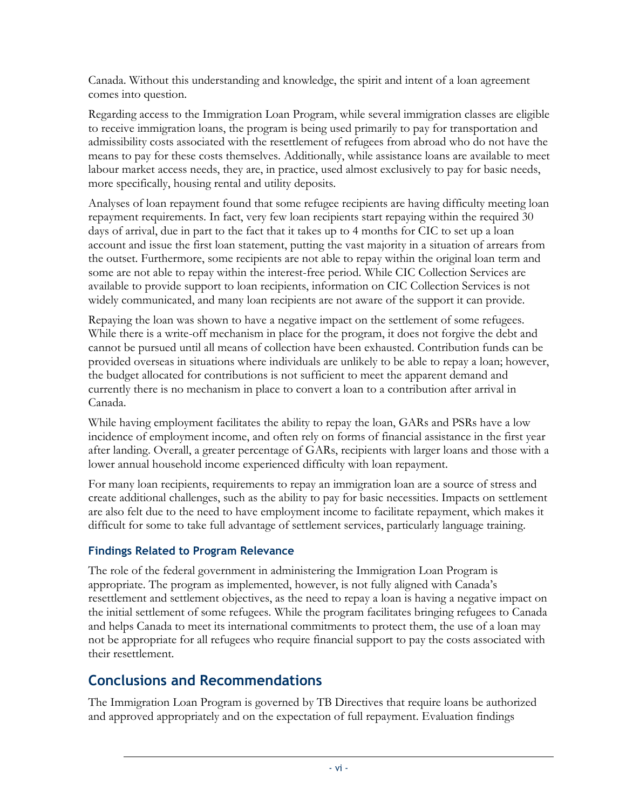Canada. Without this understanding and knowledge, the spirit and intent of a loan agreement comes into question.

Regarding access to the Immigration Loan Program, while several immigration classes are eligible to receive immigration loans, the program is being used primarily to pay for transportation and admissibility costs associated with the resettlement of refugees from abroad who do not have the means to pay for these costs themselves. Additionally, while assistance loans are available to meet labour market access needs, they are, in practice, used almost exclusively to pay for basic needs, more specifically, housing rental and utility deposits.

Analyses of loan repayment found that some refugee recipients are having difficulty meeting loan repayment requirements. In fact, very few loan recipients start repaying within the required 30 days of arrival, due in part to the fact that it takes up to 4 months for CIC to set up a loan account and issue the first loan statement, putting the vast majority in a situation of arrears from the outset. Furthermore, some recipients are not able to repay within the original loan term and some are not able to repay within the interest-free period. While CIC Collection Services are available to provide support to loan recipients, information on CIC Collection Services is not widely communicated, and many loan recipients are not aware of the support it can provide.

Repaying the loan was shown to have a negative impact on the settlement of some refugees. While there is a write-off mechanism in place for the program, it does not forgive the debt and cannot be pursued until all means of collection have been exhausted. Contribution funds can be provided overseas in situations where individuals are unlikely to be able to repay a loan; however, the budget allocated for contributions is not sufficient to meet the apparent demand and currently there is no mechanism in place to convert a loan to a contribution after arrival in Canada.

While having employment facilitates the ability to repay the loan, GARs and PSRs have a low incidence of employment income, and often rely on forms of financial assistance in the first year after landing. Overall, a greater percentage of GARs, recipients with larger loans and those with a lower annual household income experienced difficulty with loan repayment.

For many loan recipients, requirements to repay an immigration loan are a source of stress and create additional challenges, such as the ability to pay for basic necessities. Impacts on settlement are also felt due to the need to have employment income to facilitate repayment, which makes it difficult for some to take full advantage of settlement services, particularly language training.

### **Findings Related to Program Relevance**

The role of the federal government in administering the Immigration Loan Program is appropriate. The program as implemented, however, is not fully aligned with Canada's resettlement and settlement objectives, as the need to repay a loan is having a negative impact on the initial settlement of some refugees. While the program facilitates bringing refugees to Canada and helps Canada to meet its international commitments to protect them, the use of a loan may not be appropriate for all refugees who require financial support to pay the costs associated with their resettlement.

### **Conclusions and Recommendations**

The Immigration Loan Program is governed by TB Directives that require loans be authorized and approved appropriately and on the expectation of full repayment. Evaluation findings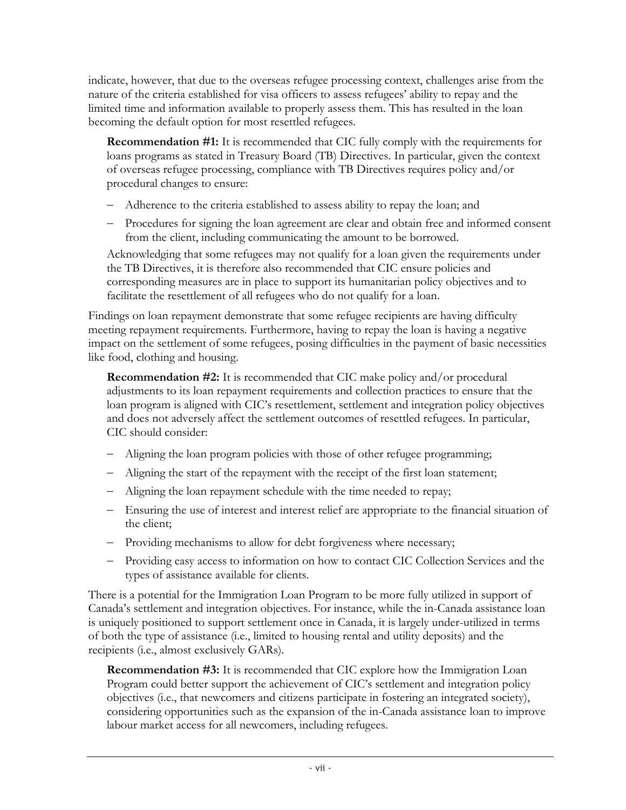indicate, however, that due to the overseas refugee processing context, challenges arise from the nature of the criteria established for visa officers to assess refugees' ability to repay and the limited time and information available to properly assess them. This has resulted in the loan becoming the default option for most resettled refugees.

**Recommendation #1:** It is recommended that CIC fully comply with the requirements for loans programs as stated in Treasury Board (TB) Directives. In particular, given the context of overseas refugee processing, compliance with TB Directives requires policy and/or procedural changes to ensure:

- Adherence to the criteria established to assess ability to repay the loan; and
- Procedures for signing the loan agreement are clear and obtain free and informed consent from the client, including communicating the amount to be borrowed.

Acknowledging that some refugees may not qualify for a loan given the requirements under the TB Directives, it is therefore also recommended that CIC ensure policies and corresponding measures are in place to support its humanitarian policy objectives and to facilitate the resettlement of all refugees who do not qualify for a loan.

Findings on loan repayment demonstrate that some refugee recipients are having difficulty meeting repayment requirements. Furthermore, having to repay the loan is having a negative impact on the settlement of some refugees, posing difficulties in the payment of basic necessities like food, clothing and housing.

**Recommendation #2:** It is recommended that CIC make policy and/or procedural adjustments to its loan repayment requirements and collection practices to ensure that the loan program is aligned with CIC's resettlement, settlement and integration policy objectives and does not adversely affect the settlement outcomes of resettled refugees. In particular, CIC should consider:

- Aligning the loan program policies with those of other refugee programming;
- Aligning the start of the repayment with the receipt of the first loan statement;
- Aligning the loan repayment schedule with the time needed to repay;
- Ensuring the use of interest and interest relief are appropriate to the financial situation of the client;
- Providing mechanisms to allow for debt forgiveness where necessary;
- Providing easy access to information on how to contact CIC Collection Services and the types of assistance available for clients.

There is a potential for the Immigration Loan Program to be more fully utilized in support of Canada's settlement and integration objectives. For instance, while the in-Canada assistance loan is uniquely positioned to support settlement once in Canada, it is largely under-utilized in terms of both the type of assistance (i.e., limited to housing rental and utility deposits) and the recipients (i.e., almost exclusively GARs).

**Recommendation #3:** It is recommended that CIC explore how the Immigration Loan Program could better support the achievement of CIC's settlement and integration policy objectives (i.e., that newcomers and citizens participate in fostering an integrated society), considering opportunities such as the expansion of the in-Canada assistance loan to improve labour market access for all newcomers, including refugees.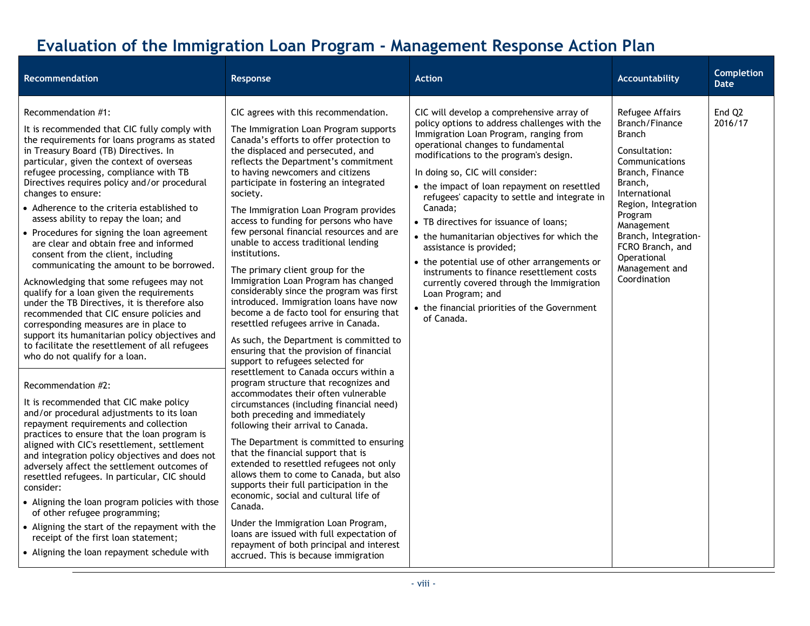## **Evaluation of the Immigration Loan Program - Management Response Action Plan**

<span id="page-9-0"></span>

| Recommendation                                                                                                                                                                                                                                                                                                                                                                                                                                                                                                                                                                                                                                                                                                                                                                                                                                                                                                                                                                                                                                                                                                                                                                                                                                                                                                                                                                                                                                                                                                                                                                                                     | Response                                                                                                                                                                                                                                                                                                                                                                                                                                                                                                                                                                                                                                                                                                                                                                                                                                                                                                                                                                                                                                                                                                                                                                                                                                                                                                                                                                                                                                                                                                                                                              | <b>Action</b>                                                                                                                                                                                                                                                                                                                                                                                                                                                                                                                                                                                                                                                                                                       | <b>Accountability</b>                                                                                                                                                                                                                                                             | <b>Completion</b><br><b>Date</b> |
|--------------------------------------------------------------------------------------------------------------------------------------------------------------------------------------------------------------------------------------------------------------------------------------------------------------------------------------------------------------------------------------------------------------------------------------------------------------------------------------------------------------------------------------------------------------------------------------------------------------------------------------------------------------------------------------------------------------------------------------------------------------------------------------------------------------------------------------------------------------------------------------------------------------------------------------------------------------------------------------------------------------------------------------------------------------------------------------------------------------------------------------------------------------------------------------------------------------------------------------------------------------------------------------------------------------------------------------------------------------------------------------------------------------------------------------------------------------------------------------------------------------------------------------------------------------------------------------------------------------------|-----------------------------------------------------------------------------------------------------------------------------------------------------------------------------------------------------------------------------------------------------------------------------------------------------------------------------------------------------------------------------------------------------------------------------------------------------------------------------------------------------------------------------------------------------------------------------------------------------------------------------------------------------------------------------------------------------------------------------------------------------------------------------------------------------------------------------------------------------------------------------------------------------------------------------------------------------------------------------------------------------------------------------------------------------------------------------------------------------------------------------------------------------------------------------------------------------------------------------------------------------------------------------------------------------------------------------------------------------------------------------------------------------------------------------------------------------------------------------------------------------------------------------------------------------------------------|---------------------------------------------------------------------------------------------------------------------------------------------------------------------------------------------------------------------------------------------------------------------------------------------------------------------------------------------------------------------------------------------------------------------------------------------------------------------------------------------------------------------------------------------------------------------------------------------------------------------------------------------------------------------------------------------------------------------|-----------------------------------------------------------------------------------------------------------------------------------------------------------------------------------------------------------------------------------------------------------------------------------|----------------------------------|
| Recommendation #1:<br>It is recommended that CIC fully comply with<br>the requirements for loans programs as stated<br>in Treasury Board (TB) Directives. In<br>particular, given the context of overseas<br>refugee processing, compliance with TB<br>Directives requires policy and/or procedural<br>changes to ensure:<br>• Adherence to the criteria established to<br>assess ability to repay the loan; and<br>• Procedures for signing the loan agreement<br>are clear and obtain free and informed<br>consent from the client, including<br>communicating the amount to be borrowed.<br>Acknowledging that some refugees may not<br>qualify for a loan given the requirements<br>under the TB Directives, it is therefore also<br>recommended that CIC ensure policies and<br>corresponding measures are in place to<br>support its humanitarian policy objectives and<br>to facilitate the resettlement of all refugees<br>who do not qualify for a loan.<br>Recommendation #2:<br>It is recommended that CIC make policy<br>and/or procedural adjustments to its loan<br>repayment requirements and collection<br>practices to ensure that the loan program is<br>aligned with CIC's resettlement, settlement<br>and integration policy objectives and does not<br>adversely affect the settlement outcomes of<br>resettled refugees. In particular, CIC should<br>consider:<br>• Aligning the loan program policies with those<br>of other refugee programming;<br>• Aligning the start of the repayment with the<br>receipt of the first loan statement;<br>• Aligning the loan repayment schedule with | CIC agrees with this recommendation.<br>The Immigration Loan Program supports<br>Canada's efforts to offer protection to<br>the displaced and persecuted, and<br>reflects the Department's commitment<br>to having newcomers and citizens<br>participate in fostering an integrated<br>society.<br>The Immigration Loan Program provides<br>access to funding for persons who have<br>few personal financial resources and are<br>unable to access traditional lending<br>institutions.<br>The primary client group for the<br>Immigration Loan Program has changed<br>considerably since the program was first<br>introduced. Immigration loans have now<br>become a de facto tool for ensuring that<br>resettled refugees arrive in Canada.<br>As such, the Department is committed to<br>ensuring that the provision of financial<br>support to refugees selected for<br>resettlement to Canada occurs within a<br>program structure that recognizes and<br>accommodates their often vulnerable<br>circumstances (including financial need)<br>both preceding and immediately<br>following their arrival to Canada.<br>The Department is committed to ensuring<br>that the financial support that is<br>extended to resettled refugees not only<br>allows them to come to Canada, but also<br>supports their full participation in the<br>economic, social and cultural life of<br>Canada.<br>Under the Immigration Loan Program,<br>loans are issued with full expectation of<br>repayment of both principal and interest<br>accrued. This is because immigration | CIC will develop a comprehensive array of<br>policy options to address challenges with the<br>Immigration Loan Program, ranging from<br>operational changes to fundamental<br>modifications to the program's design.<br>In doing so, CIC will consider:<br>• the impact of loan repayment on resettled<br>refugees' capacity to settle and integrate in<br>Canada:<br>• TB directives for issuance of loans;<br>• the humanitarian objectives for which the<br>assistance is provided;<br>• the potential use of other arrangements or<br>instruments to finance resettlement costs<br>currently covered through the Immigration<br>Loan Program; and<br>• the financial priorities of the Government<br>of Canada. | Refugee Affairs<br>Branch/Finance<br><b>Branch</b><br>Consultation:<br>Communications<br>Branch, Finance<br>Branch,<br>International<br>Region, Integration<br>Program<br>Management<br>Branch, Integration-<br>FCRO Branch, and<br>Operational<br>Management and<br>Coordination | End O <sub>2</sub><br>2016/17    |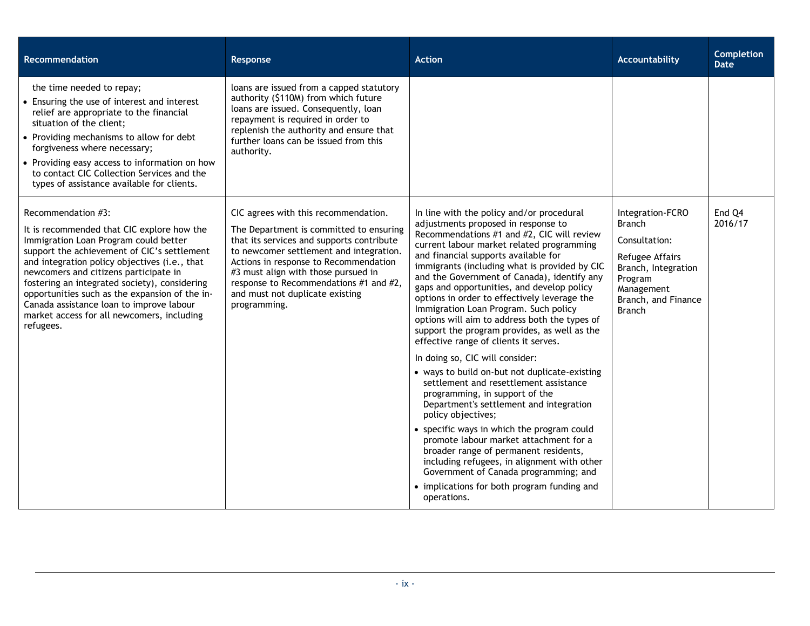| <b>Recommendation</b>                                                                                                                                                                                                                                                                                                                                                                                                                                        | Response                                                                                                                                                                                                                                                                                                                                             | <b>Action</b>                                                                                                                                                                                                                                                                                                                                                                                                                                                                                                                                                                                                                                                                                                                                                                                                                                                                                                                                                                                                                                                                                                                | Accountability                                                                                                                                                | <b>Completion</b><br><b>Date</b> |
|--------------------------------------------------------------------------------------------------------------------------------------------------------------------------------------------------------------------------------------------------------------------------------------------------------------------------------------------------------------------------------------------------------------------------------------------------------------|------------------------------------------------------------------------------------------------------------------------------------------------------------------------------------------------------------------------------------------------------------------------------------------------------------------------------------------------------|------------------------------------------------------------------------------------------------------------------------------------------------------------------------------------------------------------------------------------------------------------------------------------------------------------------------------------------------------------------------------------------------------------------------------------------------------------------------------------------------------------------------------------------------------------------------------------------------------------------------------------------------------------------------------------------------------------------------------------------------------------------------------------------------------------------------------------------------------------------------------------------------------------------------------------------------------------------------------------------------------------------------------------------------------------------------------------------------------------------------------|---------------------------------------------------------------------------------------------------------------------------------------------------------------|----------------------------------|
| the time needed to repay;<br>• Ensuring the use of interest and interest<br>relief are appropriate to the financial<br>situation of the client;<br>• Providing mechanisms to allow for debt<br>forgiveness where necessary;<br>• Providing easy access to information on how<br>to contact CIC Collection Services and the<br>types of assistance available for clients.                                                                                     | loans are issued from a capped statutory<br>authority (\$110M) from which future<br>loans are issued. Consequently, loan<br>repayment is required in order to<br>replenish the authority and ensure that<br>further loans can be issued from this<br>authority.                                                                                      |                                                                                                                                                                                                                                                                                                                                                                                                                                                                                                                                                                                                                                                                                                                                                                                                                                                                                                                                                                                                                                                                                                                              |                                                                                                                                                               |                                  |
| Recommendation #3:<br>It is recommended that CIC explore how the<br>Immigration Loan Program could better<br>support the achievement of CIC's settlement<br>and integration policy objectives (i.e., that<br>newcomers and citizens participate in<br>fostering an integrated society), considering<br>opportunities such as the expansion of the in-<br>Canada assistance loan to improve labour<br>market access for all newcomers, including<br>refugees. | CIC agrees with this recommendation.<br>The Department is committed to ensuring<br>that its services and supports contribute<br>to newcomer settlement and integration.<br>Actions in response to Recommendation<br>#3 must align with those pursued in<br>response to Recommendations #1 and #2,<br>and must not duplicate existing<br>programming. | In line with the policy and/or procedural<br>adjustments proposed in response to<br>Recommendations #1 and #2, CIC will review<br>current labour market related programming<br>and financial supports available for<br>immigrants (including what is provided by CIC<br>and the Government of Canada), identify any<br>gaps and opportunities, and develop policy<br>options in order to effectively leverage the<br>Immigration Loan Program. Such policy<br>options will aim to address both the types of<br>support the program provides, as well as the<br>effective range of clients it serves.<br>In doing so, CIC will consider:<br>• ways to build on-but not duplicate-existing<br>settlement and resettlement assistance<br>programming, in support of the<br>Department's settlement and integration<br>policy objectives;<br>• specific ways in which the program could<br>promote labour market attachment for a<br>broader range of permanent residents,<br>including refugees, in alignment with other<br>Government of Canada programming; and<br>• implications for both program funding and<br>operations. | Integration-FCRO<br><b>Branch</b><br>Consultation:<br>Refugee Affairs<br>Branch, Integration<br>Program<br>Management<br>Branch, and Finance<br><b>Branch</b> | End Q4<br>2016/17                |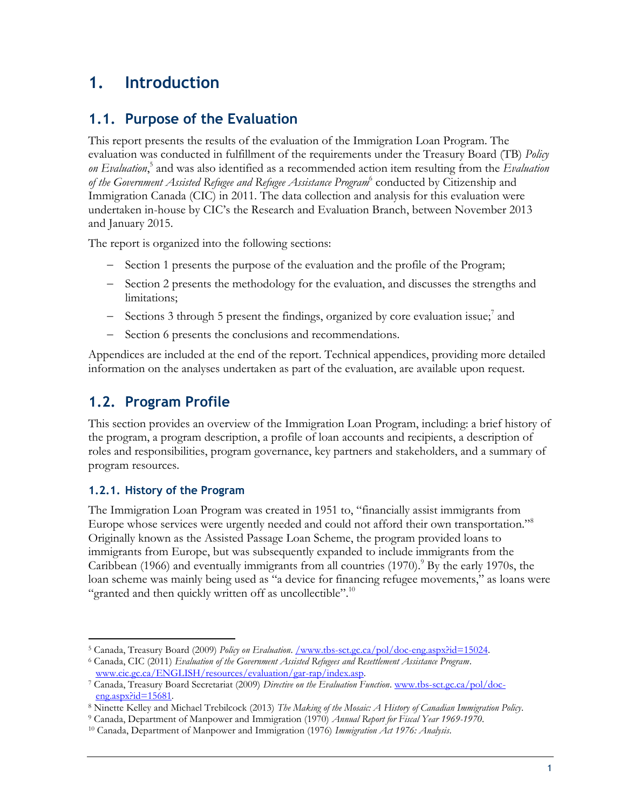### <span id="page-12-0"></span>**1. Introduction**

### <span id="page-12-1"></span>**1.1. Purpose of the Evaluation**

This report presents the results of the evaluation of the Immigration Loan Program. The evaluation was conducted in fulfillment of the requirements under the Treasury Board (TB) *Policy on Evaluation*, 5 and was also identified as a recommended action item resulting from the *Evaluation of the Government Assisted Refugee and Refugee Assistance Program*<sup>6</sup> conducted by Citizenship and Immigration Canada (CIC) in 2011. The data collection and analysis for this evaluation were undertaken in-house by CIC's the Research and Evaluation Branch, between November 2013 and January 2015.

The report is organized into the following sections:

- Section 1 presents the purpose of the evaluation and the profile of the Program;
- Section 2 presents the methodology for the evaluation, and discusses the strengths and limitations;
- Sections 3 through 5 present the findings, organized by core evaluation issue;<sup>7</sup> and
- Section 6 presents the conclusions and recommendations.

Appendices are included at the end of the report. Technical appendices, providing more detailed information on the analyses undertaken as part of the evaluation, are available upon request.

### <span id="page-12-2"></span>**1.2. Program Profile**

This section provides an overview of the Immigration Loan Program, including: a brief history of the program, a program description, a profile of loan accounts and recipients, a description of roles and responsibilities, program governance, key partners and stakeholders, and a summary of program resources.

### <span id="page-12-3"></span>**1.2.1. History of the Program**

The Immigration Loan Program was created in 1951 to, "financially assist immigrants from Europe whose services were urgently needed and could not afford their own transportation."<sup>8</sup> Originally known as the Assisted Passage Loan Scheme, the program provided loans to immigrants from Europe, but was subsequently expanded to include immigrants from the Caribbean (1966) and eventually immigrants from all countries (1970).<sup>9</sup> By the early 1970s, the loan scheme was mainly being used as "a device for financing refugee movements," as loans were "granted and then quickly written off as uncollectible".<sup>10</sup>

 $\overline{a}$ <sup>5</sup> Canada, Treasury Board (2009) *Policy on Evaluation*. [/www.tbs-sct.gc.ca/pol/doc-eng.aspx?id=15024.](http://www.tbs-sct.gc.ca/pol/doc-eng.aspx?id=15024) 

<sup>6</sup> Canada, CIC (2011) *Evaluation of the Government Assisted Refugees and Resettlement Assistance Program*. [www.cic.gc.ca/ENGLISH/resources/evaluation/gar-rap/index.asp.](http://www.cic.gc.ca/ENGLISH/resources/evaluation/gar-rap/index.asp)

<sup>7</sup> Canada, Treasury Board Secretariat (2009) *Directive on the Evaluation Function*. [www.tbs-sct.gc.ca/pol/doc](http://www.tbs-sct.gc.ca/pol/doc-eng.aspx?id=15681)[eng.aspx?id=15681.](http://www.tbs-sct.gc.ca/pol/doc-eng.aspx?id=15681)

<sup>8</sup> Ninette Kelley and Michael Trebilcock (2013) *The Making of the Mosaic: A History of Canadian Immigration Policy*.

<sup>9</sup> Canada, Department of Manpower and Immigration (1970) *Annual Report for Fiscal Year 1969-1970*.

<sup>10</sup> Canada, Department of Manpower and Immigration (1976) *Immigration Act 1976: Analysis*.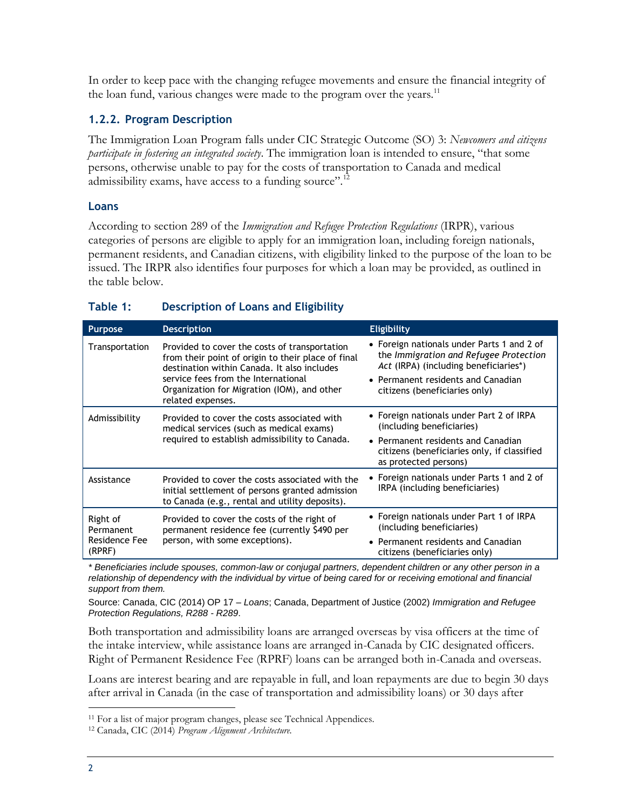In order to keep pace with the changing refugee movements and ensure the financial integrity of the loan fund, various changes were made to the program over the years.<sup>11</sup>

### <span id="page-13-0"></span>**1.2.2. Program Description**

The Immigration Loan Program falls under CIC Strategic Outcome (SO) 3: *Newcomers and citizens participate in fostering an integrated society*. The immigration loan is intended to ensure, "that some persons, otherwise unable to pay for the costs of transportation to Canada and medical admissibility exams, have access to a funding source".<sup>12</sup>

#### **Loans**

According to section 289 of the *Immigration and Refugee Protection Regulations* (IRPR), various categories of persons are eligible to apply for an immigration loan, including foreign nationals, permanent residents, and Canadian citizens, with eligibility linked to the purpose of the loan to be issued. The IRPR also identifies four purposes for which a loan may be provided, as outlined in the table below.

| <b>Purpose</b>                                   | <b>Description</b>                                                                                                                                                                                                                                            | <b>Eligibility</b>                                                                                                                                                                                   |
|--------------------------------------------------|---------------------------------------------------------------------------------------------------------------------------------------------------------------------------------------------------------------------------------------------------------------|------------------------------------------------------------------------------------------------------------------------------------------------------------------------------------------------------|
| Transportation                                   | Provided to cover the costs of transportation<br>from their point of origin to their place of final<br>destination within Canada. It also includes<br>service fees from the International<br>Organization for Migration (IOM), and other<br>related expenses. | • Foreign nationals under Parts 1 and 2 of<br>the Immigration and Refugee Protection<br>Act (IRPA) (including beneficiaries*)<br>• Permanent residents and Canadian<br>citizens (beneficiaries only) |
| Admissibility                                    | Provided to cover the costs associated with<br>medical services (such as medical exams)<br>required to establish admissibility to Canada.                                                                                                                     | • Foreign nationals under Part 2 of IRPA<br>(including beneficiaries)<br>• Permanent residents and Canadian<br>citizens (beneficiaries only, if classified<br>as protected persons)                  |
| Assistance                                       | Provided to cover the costs associated with the<br>initial settlement of persons granted admission<br>to Canada (e.g., rental and utility deposits).                                                                                                          | • Foreign nationals under Parts 1 and 2 of<br>IRPA (including beneficiaries)                                                                                                                         |
| Right of<br>Permanent<br>Residence Fee<br>(RPRF) | Provided to cover the costs of the right of<br>permanent residence fee (currently \$490 per<br>person, with some exceptions).                                                                                                                                 | • Foreign nationals under Part 1 of IRPA<br>(including beneficiaries)<br>• Permanent residents and Canadian<br>citizens (beneficiaries only)                                                         |

#### <span id="page-13-1"></span>**Table 1: Description of Loans and Eligibility**

*\* Beneficiaries include spouses, common-law or conjugal partners, dependent children or any other person in a relationship of dependency with the individual by virtue of being cared for or receiving emotional and financial support from them.*

Source: Canada, CIC (2014) OP 17 – *Loans*; Canada, Department of Justice (2002) *Immigration and Refugee Protection Regulations, R288 - R289*.

Both transportation and admissibility loans are arranged overseas by visa officers at the time of the intake interview, while assistance loans are arranged in-Canada by CIC designated officers. Right of Permanent Residence Fee (RPRF) loans can be arranged both in-Canada and overseas.

Loans are interest bearing and are repayable in full, and loan repayments are due to begin 30 days after arrival in Canada (in the case of transportation and admissibility loans) or 30 days after

<sup>&</sup>lt;sup>11</sup> For a list of major program changes, please see Technical Appendices.

<sup>12</sup> Canada, CIC (2014) *Program Alignment Architecture.*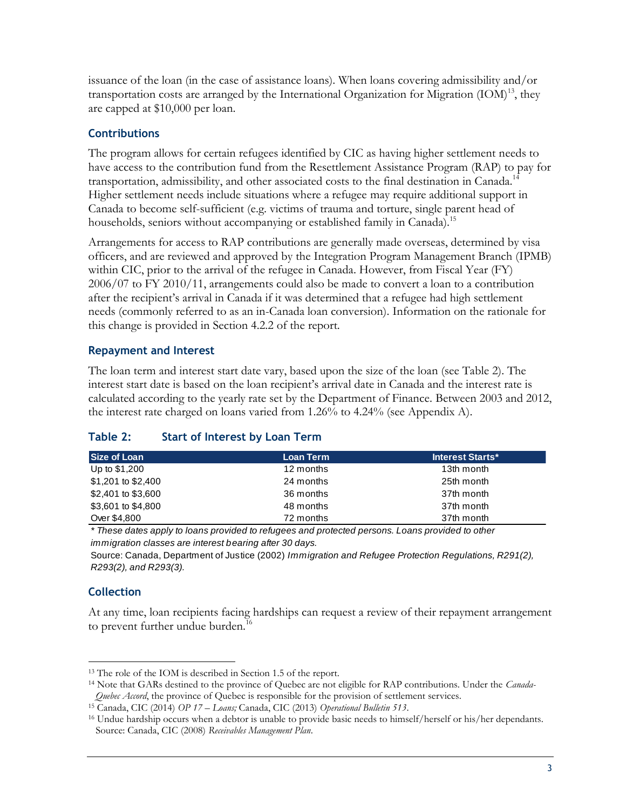issuance of the loan (in the case of assistance loans). When loans covering admissibility and/or transportation costs are arranged by the International Organization for Migration  $(IOM)^{13}$ , they are capped at \$10,000 per loan.

### **Contributions**

The program allows for certain refugees identified by CIC as having higher settlement needs to have access to the contribution fund from the Resettlement Assistance Program (RAP) to pay for transportation, admissibility, and other associated costs to the final destination in Canada.<sup>14</sup> Higher settlement needs include situations where a refugee may require additional support in Canada to become self-sufficient (e.g. victims of trauma and torture, single parent head of households, seniors without accompanying or established family in Canada).<sup>15</sup>

Arrangements for access to RAP contributions are generally made overseas, determined by visa officers, and are reviewed and approved by the Integration Program Management Branch (IPMB) within CIC, prior to the arrival of the refugee in Canada. However, from Fiscal Year (FY) 2006/07 to FY 2010/11, arrangements could also be made to convert a loan to a contribution after the recipient's arrival in Canada if it was determined that a refugee had high settlement needs (commonly referred to as an in-Canada loan conversion). Information on the rationale for this change is provided in Section 4.2.2 of the report.

### **Repayment and Interest**

The loan term and interest start date vary, based upon the size of the loan (see Table 2). The interest start date is based on the loan recipient's arrival date in Canada and the interest rate is calculated according to the yearly rate set by the Department of Finance. Between 2003 and 2012, the interest rate charged on loans varied from 1.26% to 4.24% (see Appendix A).

| Size of Loan       | Loan Term | <b>Interest Starts*</b> |
|--------------------|-----------|-------------------------|
| Up to \$1,200      | 12 months | 13th month              |
| \$1,201 to \$2,400 | 24 months | 25th month              |
| \$2,401 to \$3,600 | 36 months | 37th month              |
| \$3,601 to \$4,800 | 48 months | 37th month              |
| Over \$4,800       | 72 months | 37th month              |

### <span id="page-14-0"></span>**Table 2: Start of Interest by Loan Term**

*\* These dates apply to loans provided to refugees and protected persons. Loans provided to other immigration classes are interest bearing after 30 days.*

Source: Canada, Department of Justice (2002) *Immigration and Refugee Protection Regulations, R291(2), R293(2), and R293(3).*

### **Collection**

 $\overline{a}$ 

At any time, loan recipients facing hardships can request a review of their repayment arrangement to prevent further undue burden.<sup>16</sup>

<sup>13</sup> The role of the IOM is described in Section 1.5 of the report.

<sup>14</sup> Note that GARs destined to the province of Quebec are not eligible for RAP contributions. Under the *Canada-Quebec Accord*, the province of Quebec is responsible for the provision of settlement services.

<sup>15</sup> Canada, CIC (2014) *OP 17 – Loans;* Canada, CIC (2013) *Operational Bulletin 513*.

<sup>16</sup> Undue hardship occurs when a debtor is unable to provide basic needs to himself/herself or his/her dependants. Source: Canada, CIC (2008) *Receivables Management Plan*.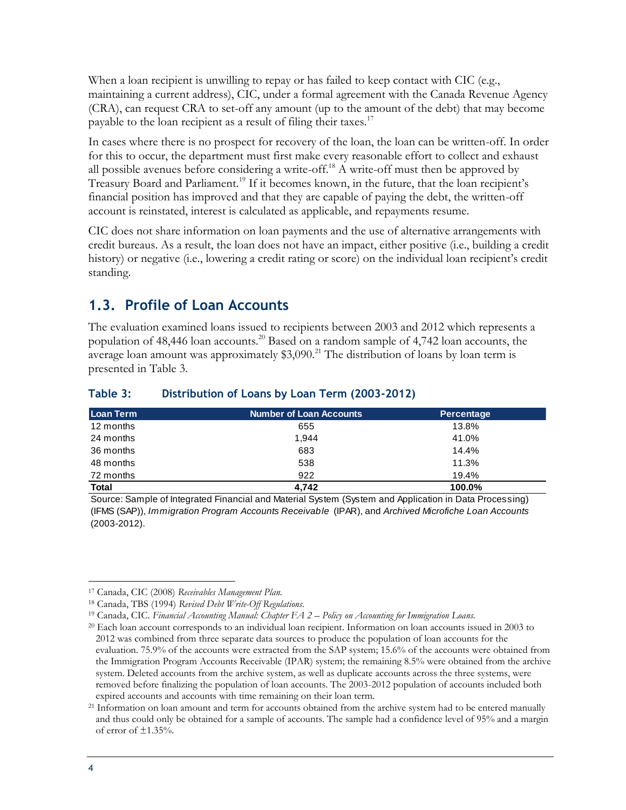When a loan recipient is unwilling to repay or has failed to keep contact with CIC (e.g., maintaining a current address), CIC, under a formal agreement with the Canada Revenue Agency (CRA), can request CRA to set-off any amount (up to the amount of the debt) that may become payable to the loan recipient as a result of filing their taxes.<sup>17</sup>

In cases where there is no prospect for recovery of the loan, the loan can be written-off. In order for this to occur, the department must first make every reasonable effort to collect and exhaust all possible avenues before considering a write-off.<sup>18</sup> A write-off must then be approved by Treasury Board and Parliament.<sup>19</sup> If it becomes known, in the future, that the loan recipient's financial position has improved and that they are capable of paying the debt, the written-off account is reinstated, interest is calculated as applicable, and repayments resume.

CIC does not share information on loan payments and the use of alternative arrangements with credit bureaus. As a result, the loan does not have an impact, either positive (i.e., building a credit history) or negative (i.e., lowering a credit rating or score) on the individual loan recipient's credit standing.

### <span id="page-15-0"></span>**1.3. Profile of Loan Accounts**

The evaluation examined loans issued to recipients between 2003 and 2012 which represents a population of 48,446 loan accounts.<sup>20</sup> Based on a random sample of 4,742 loan accounts, the average loan amount was approximately  $$3,090.<sup>21</sup>$  The distribution of loans by loan term is presented in Table 3.

| Loan Term    | <b>Number of Loan Accounts</b> | Percentage |
|--------------|--------------------------------|------------|
| 12 months    | 655                            | 13.8%      |
| 24 months    | 1,944                          | 41.0%      |
| 36 months    | 683                            | 14.4%      |
| 48 months    | 538                            | 11.3%      |
| 72 months    | 922                            | 19.4%      |
| <b>Total</b> | 4.742                          | 100.0%     |

### <span id="page-15-1"></span>**Table 3: Distribution of Loans by Loan Term (2003-2012)**

Source: Sample of Integrated Financial and Material System (System and Application in Data Processing) (IFMS (SAP)), *Immigration Program Accounts Receivable* (IPAR), and *Archived Microfiche Loan Accounts*  (2003-2012).

 $\overline{a}$ <sup>17</sup> Canada, CIC (2008) *Receivables Management Plan.*

<sup>18</sup> Canada, TBS (1994) *Revised Debt Write-Off Regulations.*

<sup>19</sup> Canada, CIC. *Financial Accounting Manual: Chapter FA 2 – Policy on Accounting for Immigration Loans.*

<sup>20</sup> Each loan account corresponds to an individual loan recipient. Information on loan accounts issued in 2003 to 2012 was combined from three separate data sources to produce the population of loan accounts for the evaluation. 75.9% of the accounts were extracted from the SAP system; 15.6% of the accounts were obtained from the Immigration Program Accounts Receivable (IPAR) system; the remaining 8.5% were obtained from the archive system. Deleted accounts from the archive system, as well as duplicate accounts across the three systems, were removed before finalizing the population of loan accounts. The 2003-2012 population of accounts included both expired accounts and accounts with time remaining on their loan term.

<sup>&</sup>lt;sup>21</sup> Information on loan amount and term for accounts obtained from the archive system had to be entered manually and thus could only be obtained for a sample of accounts. The sample had a confidence level of 95% and a margin of error of  $\pm 1.35\%$ .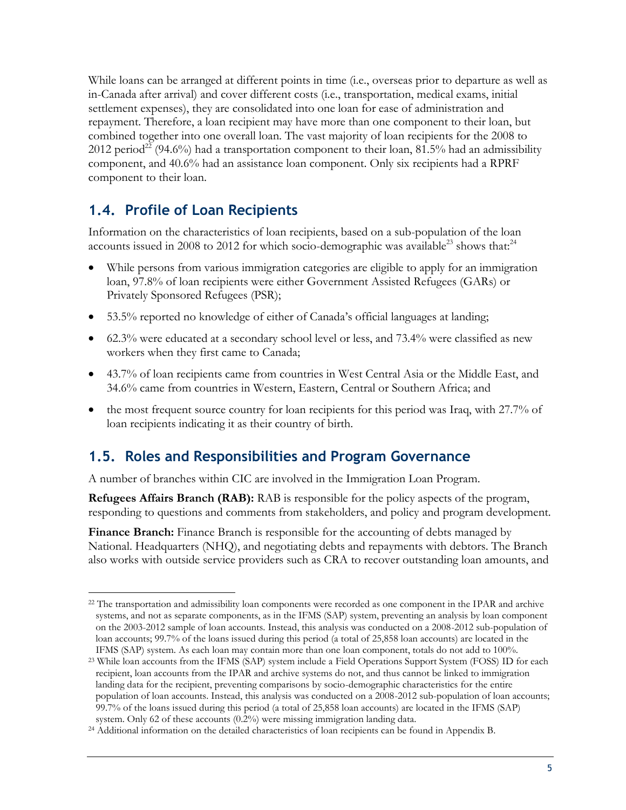While loans can be arranged at different points in time (i.e., overseas prior to departure as well as in-Canada after arrival) and cover different costs (i.e., transportation, medical exams, initial settlement expenses), they are consolidated into one loan for ease of administration and repayment. Therefore, a loan recipient may have more than one component to their loan, but combined together into one overall loan. The vast majority of loan recipients for the 2008 to 2012 period<sup>22</sup> (94.6%) had a transportation component to their loan, 81.5% had an admissibility component, and 40.6% had an assistance loan component. Only six recipients had a RPRF component to their loan.

### <span id="page-16-0"></span>**1.4. Profile of Loan Recipients**

Information on the characteristics of loan recipients, based on a sub-population of the loan accounts issued in 2008 to 2012 for which socio-demographic was available<sup>23</sup> shows that:<sup>24</sup>

- While persons from various immigration categories are eligible to apply for an immigration loan, 97.8% of loan recipients were either Government Assisted Refugees (GARs) or Privately Sponsored Refugees (PSR);
- 53.5% reported no knowledge of either of Canada's official languages at landing;
- 62.3% were educated at a secondary school level or less, and 73.4% were classified as new workers when they first came to Canada;
- 43.7% of loan recipients came from countries in West Central Asia or the Middle East, and 34.6% came from countries in Western, Eastern, Central or Southern Africa; and
- the most frequent source country for loan recipients for this period was Iraq, with 27.7% of loan recipients indicating it as their country of birth.

### <span id="page-16-1"></span>**1.5. Roles and Responsibilities and Program Governance**

A number of branches within CIC are involved in the Immigration Loan Program.

**Refugees Affairs Branch (RAB):** RAB is responsible for the policy aspects of the program, responding to questions and comments from stakeholders, and policy and program development.

**Finance Branch:** Finance Branch is responsible for the accounting of debts managed by National. Headquarters (NHQ), and negotiating debts and repayments with debtors. The Branch also works with outside service providers such as CRA to recover outstanding loan amounts, and

 $\overline{a}$ <sup>22</sup> The transportation and admissibility loan components were recorded as one component in the IPAR and archive systems, and not as separate components, as in the IFMS (SAP) system, preventing an analysis by loan component on the 2003-2012 sample of loan accounts. Instead, this analysis was conducted on a 2008-2012 sub-population of loan accounts; 99.7% of the loans issued during this period (a total of 25,858 loan accounts) are located in the IFMS (SAP) system. As each loan may contain more than one loan component, totals do not add to 100%.

<sup>23</sup> While loan accounts from the IFMS (SAP) system include a Field Operations Support System (FOSS) ID for each recipient, loan accounts from the IPAR and archive systems do not, and thus cannot be linked to immigration landing data for the recipient, preventing comparisons by socio-demographic characteristics for the entire population of loan accounts. Instead, this analysis was conducted on a 2008-2012 sub-population of loan accounts; 99.7% of the loans issued during this period (a total of 25,858 loan accounts) are located in the IFMS (SAP) system. Only 62 of these accounts (0.2%) were missing immigration landing data.

<sup>24</sup> Additional information on the detailed characteristics of loan recipients can be found in Appendix B.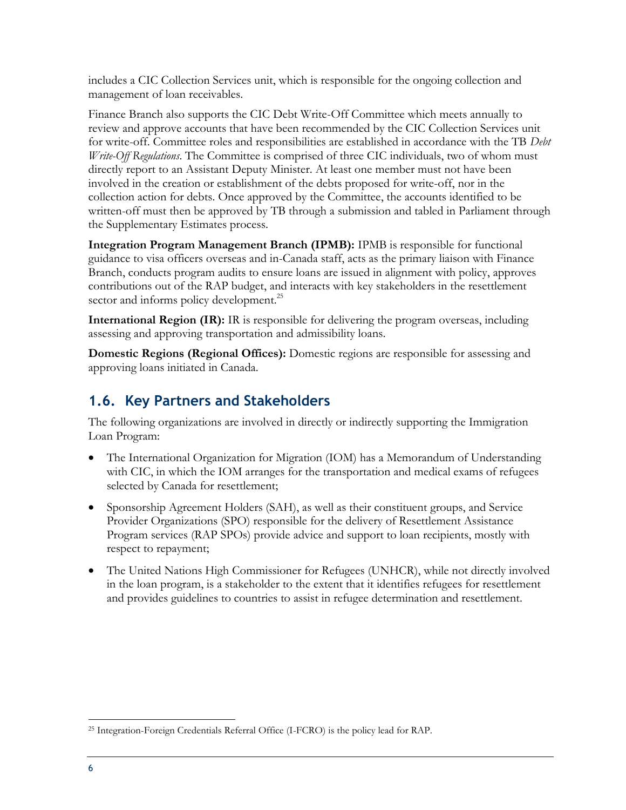includes a CIC Collection Services unit, which is responsible for the ongoing collection and management of loan receivables.

Finance Branch also supports the CIC Debt Write-Off Committee which meets annually to review and approve accounts that have been recommended by the CIC Collection Services unit for write-off. Committee roles and responsibilities are established in accordance with the TB *Debt Write-Off Regulations*. The Committee is comprised of three CIC individuals, two of whom must directly report to an Assistant Deputy Minister. At least one member must not have been involved in the creation or establishment of the debts proposed for write-off, nor in the collection action for debts. Once approved by the Committee, the accounts identified to be written-off must then be approved by TB through a submission and tabled in Parliament through the Supplementary Estimates process.

**Integration Program Management Branch (IPMB):** IPMB is responsible for functional guidance to visa officers overseas and in-Canada staff, acts as the primary liaison with Finance Branch, conducts program audits to ensure loans are issued in alignment with policy, approves contributions out of the RAP budget, and interacts with key stakeholders in the resettlement sector and informs policy development.<sup>25</sup>

**International Region (IR):** IR is responsible for delivering the program overseas, including assessing and approving transportation and admissibility loans.

**Domestic Regions (Regional Offices):** Domestic regions are responsible for assessing and approving loans initiated in Canada.

### <span id="page-17-0"></span>**1.6. Key Partners and Stakeholders**

The following organizations are involved in directly or indirectly supporting the Immigration Loan Program:

- The International Organization for Migration (IOM) has a Memorandum of Understanding with CIC, in which the IOM arranges for the transportation and medical exams of refugees selected by Canada for resettlement;
- Sponsorship Agreement Holders (SAH), as well as their constituent groups, and Service Provider Organizations (SPO) responsible for the delivery of Resettlement Assistance Program services (RAP SPOs) provide advice and support to loan recipients, mostly with respect to repayment;
- The United Nations High Commissioner for Refugees (UNHCR), while not directly involved in the loan program, is a stakeholder to the extent that it identifies refugees for resettlement and provides guidelines to countries to assist in refugee determination and resettlement.

 $\overline{a}$ <sup>25</sup> Integration-Foreign Credentials Referral Office (I-FCRO) is the policy lead for RAP.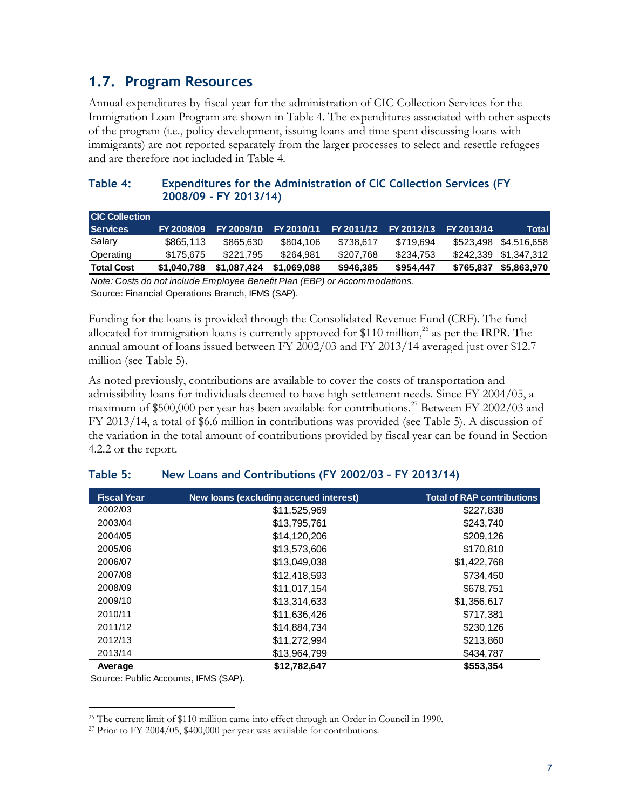### <span id="page-18-0"></span>**1.7. Program Resources**

Annual expenditures by fiscal year for the administration of CIC Collection Services for the Immigration Loan Program are shown in Table 4. The expenditures associated with other aspects of the program (i.e., policy development, issuing loans and time spent discussing loans with immigrants) are not reported separately from the larger processes to select and resettle refugees and are therefore not included in Table 4.

### <span id="page-18-1"></span>**Table 4: Expenditures for the Administration of CIC Collection Services (FY 2008/09 - FY 2013/14)**

| <b>CIC Collection</b> |             |             |             |            |            |            |                       |
|-----------------------|-------------|-------------|-------------|------------|------------|------------|-----------------------|
| <b>Services</b>       | FY 2008/09  | FY 2009/10  | FY 2010/11  | FY 2011/12 | FY 2012/13 | FY 2013/14 | <b>Total</b>          |
| Salary                | \$865,113   | \$865,630   | \$804.106   | \$738.617  | \$719.694  |            | \$523,498 \$4,516,658 |
| Operating             | \$175.675   | \$221.795   | \$264.981   | \$207.768  | \$234.753  |            | \$242,339 \$1,347,312 |
| <b>Total Cost</b>     | \$1,040,788 | \$1,087,424 | \$1.069.088 | \$946,385  | \$954.447  | \$765,837  | \$5,863,970           |

*Note: Costs do not include Employee Benefit Plan (EBP) or Accommodations.* Source: Financial Operations Branch, IFMS (SAP).

Funding for the loans is provided through the Consolidated Revenue Fund (CRF). The fund allocated for immigration loans is currently approved for \$110 million, $^{26}$  as per the IRPR. The annual amount of loans issued between FY 2002/03 and FY 2013/14 averaged just over \$12.7 million (see Table 5).

As noted previously, contributions are available to cover the costs of transportation and admissibility loans for individuals deemed to have high settlement needs. Since FY 2004/05, a maximum of \$500,000 per year has been available for contributions.<sup>27</sup> Between FY 2002/03 and FY 2013/14, a total of \$6.6 million in contributions was provided (see Table 5). A discussion of the variation in the total amount of contributions provided by fiscal year can be found in Section 4.2.2 or the report.

| <b>Fiscal Year</b> | New loans (excluding accrued interest) | <b>Total of RAP contributions</b> |
|--------------------|----------------------------------------|-----------------------------------|
| 2002/03            | \$11,525,969                           | \$227,838                         |
| 2003/04            | \$13,795,761                           | \$243,740                         |
| 2004/05            | \$14,120,206                           | \$209,126                         |
| 2005/06            | \$13,573,606                           | \$170,810                         |
| 2006/07            | \$13,049,038                           | \$1,422,768                       |
| 2007/08            | \$12,418,593                           | \$734,450                         |
| 2008/09            | \$11.017.154                           | \$678.751                         |
| 2009/10            | \$13,314,633                           | \$1,356,617                       |
| 2010/11            | \$11,636,426                           | \$717,381                         |
| 2011/12            | \$14,884,734                           | \$230,126                         |
| 2012/13            | \$11,272,994                           | \$213,860                         |
| 2013/14            | \$13,964,799                           | \$434.787                         |
| Average            | \$12.782.647                           | \$553,354                         |

### <span id="page-18-2"></span>**Table 5: New Loans and Contributions (FY 2002/03 – FY 2013/14)**

Source: Public Accounts, IFMS (SAP).

<sup>26</sup> The current limit of \$110 million came into effect through an Order in Council in 1990.

<sup>27</sup> Prior to FY 2004/05, \$400,000 per year was available for contributions.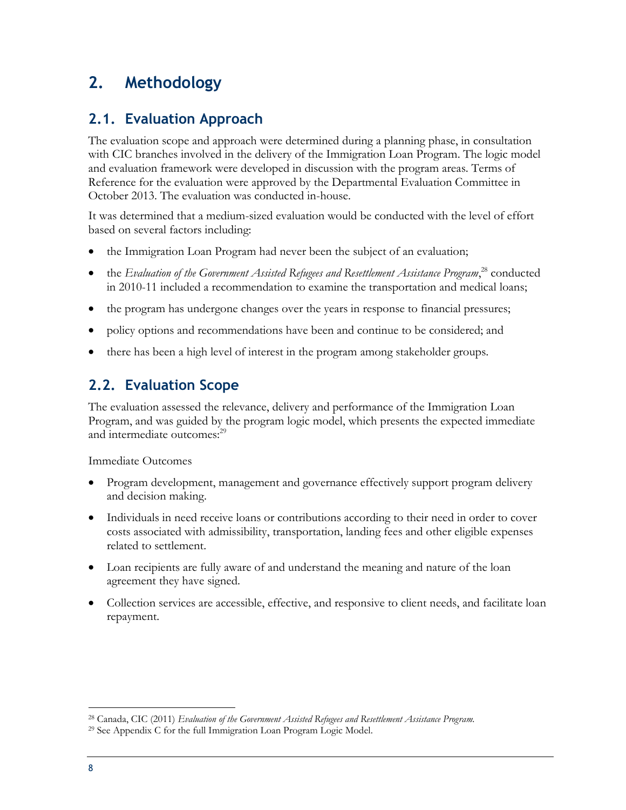### <span id="page-19-0"></span>**2. Methodology**

### <span id="page-19-1"></span>**2.1. Evaluation Approach**

The evaluation scope and approach were determined during a planning phase, in consultation with CIC branches involved in the delivery of the Immigration Loan Program. The logic model and evaluation framework were developed in discussion with the program areas. Terms of Reference for the evaluation were approved by the Departmental Evaluation Committee in October 2013. The evaluation was conducted in-house.

It was determined that a medium-sized evaluation would be conducted with the level of effort based on several factors including:

- the Immigration Loan Program had never been the subject of an evaluation;
- the *Evaluation of the Government Assisted Refugees and Resettlement Assistance Program*,<sup>28</sup> conducted in 2010-11 included a recommendation to examine the transportation and medical loans;
- the program has undergone changes over the years in response to financial pressures;
- policy options and recommendations have been and continue to be considered; and
- <span id="page-19-2"></span>there has been a high level of interest in the program among stakeholder groups.

### **2.2. Evaluation Scope**

The evaluation assessed the relevance, delivery and performance of the Immigration Loan Program, and was guided by the program logic model, which presents the expected immediate and intermediate outcomes:<sup>29</sup>

Immediate Outcomes

- Program development, management and governance effectively support program delivery and decision making.
- Individuals in need receive loans or contributions according to their need in order to cover costs associated with admissibility, transportation, landing fees and other eligible expenses related to settlement.
- Loan recipients are fully aware of and understand the meaning and nature of the loan agreement they have signed.
- Collection services are accessible, effective, and responsive to client needs, and facilitate loan repayment.

<sup>28</sup> Canada, CIC (2011) *Evaluation of the Government Assisted Refugees and Resettlement Assistance Program.*

<sup>29</sup> See Appendix C for the full Immigration Loan Program Logic Model.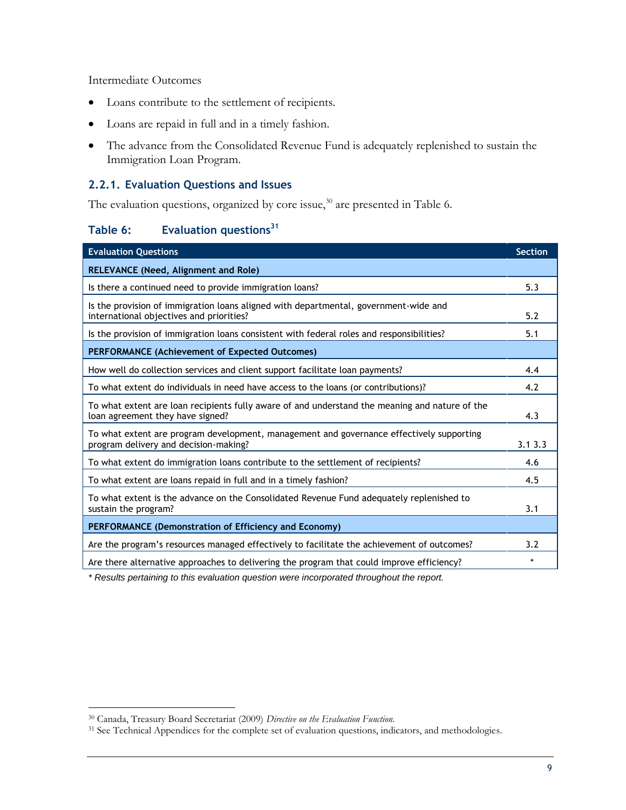Intermediate Outcomes

- Loans contribute to the settlement of recipients.
- Loans are repaid in full and in a timely fashion.
- The advance from the Consolidated Revenue Fund is adequately replenished to sustain the Immigration Loan Program.

#### <span id="page-20-0"></span>**2.2.1. Evaluation Questions and Issues**

The evaluation questions, organized by core issue,<sup>30</sup> are presented in Table 6.

### <span id="page-20-1"></span>**Table 6: Evaluation questions<sup>31</sup>**

| <b>Evaluation Questions</b>                                                                                                        | <b>Section</b> |
|------------------------------------------------------------------------------------------------------------------------------------|----------------|
| <b>RELEVANCE (Need, Alignment and Role)</b>                                                                                        |                |
| Is there a continued need to provide immigration loans?                                                                            | 5.3            |
| Is the provision of immigration loans aligned with departmental, government-wide and<br>international objectives and priorities?   | 5.2            |
| Is the provision of immigration loans consistent with federal roles and responsibilities?                                          | 5.1            |
| <b>PERFORMANCE (Achievement of Expected Outcomes)</b>                                                                              |                |
| How well do collection services and client support facilitate loan payments?                                                       | 4.4            |
| To what extent do individuals in need have access to the loans (or contributions)?                                                 | 4.2            |
| To what extent are loan recipients fully aware of and understand the meaning and nature of the<br>loan agreement they have signed? | 4.3            |
| To what extent are program development, management and governance effectively supporting<br>program delivery and decision-making?  | 3.13.3         |
| To what extent do immigration loans contribute to the settlement of recipients?                                                    | 4.6            |
| To what extent are loans repaid in full and in a timely fashion?                                                                   | 4.5            |
| To what extent is the advance on the Consolidated Revenue Fund adequately replenished to<br>sustain the program?                   | 3.1            |
| PERFORMANCE (Demonstration of Efficiency and Economy)                                                                              |                |
| Are the program's resources managed effectively to facilitate the achievement of outcomes?                                         | 3.2            |
| Are there alternative approaches to delivering the program that could improve efficiency?                                          | $\star$        |

*\* Results pertaining to this evaluation question were incorporated throughout the report.* 

<sup>30</sup> Canada, Treasury Board Secretariat (2009) *Directive on the Evaluation Function.*

<sup>&</sup>lt;sup>31</sup> See Technical Appendices for the complete set of evaluation questions, indicators, and methodologies.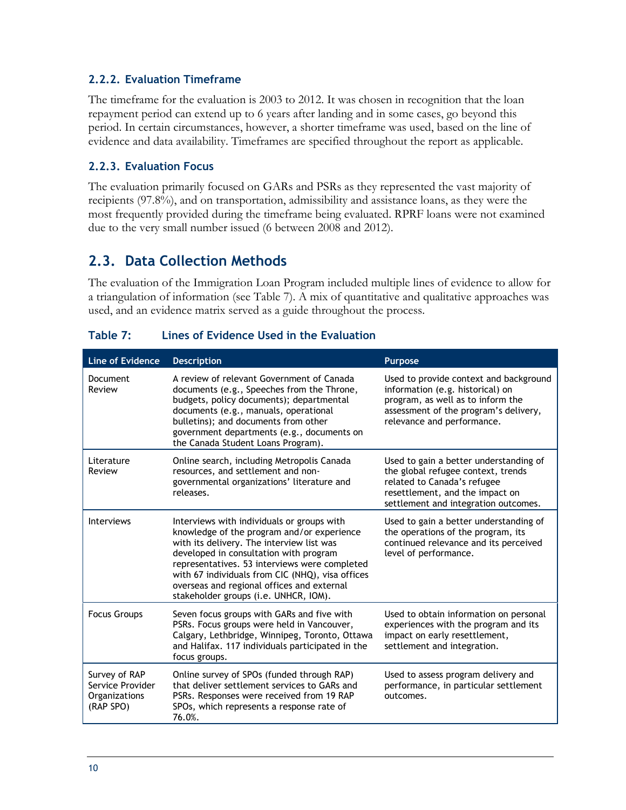### <span id="page-21-0"></span>**2.2.2. Evaluation Timeframe**

The timeframe for the evaluation is 2003 to 2012. It was chosen in recognition that the loan repayment period can extend up to 6 years after landing and in some cases, go beyond this period. In certain circumstances, however, a shorter timeframe was used, based on the line of evidence and data availability. Timeframes are specified throughout the report as applicable.

### <span id="page-21-1"></span>**2.2.3. Evaluation Focus**

The evaluation primarily focused on GARs and PSRs as they represented the vast majority of recipients (97.8%), and on transportation, admissibility and assistance loans, as they were the most frequently provided during the timeframe being evaluated. RPRF loans were not examined due to the very small number issued (6 between 2008 and 2012).

### <span id="page-21-2"></span>**2.3. Data Collection Methods**

The evaluation of the Immigration Loan Program included multiple lines of evidence to allow for a triangulation of information (see Table 7). A mix of quantitative and qualitative approaches was used, and an evidence matrix served as a guide throughout the process.

| <b>Line of Evidence</b>                                                | <b>Description</b>                                                                                                                                                                                                                                                                                                                                                          | <b>Purpose</b>                                                                                                                                                                         |
|------------------------------------------------------------------------|-----------------------------------------------------------------------------------------------------------------------------------------------------------------------------------------------------------------------------------------------------------------------------------------------------------------------------------------------------------------------------|----------------------------------------------------------------------------------------------------------------------------------------------------------------------------------------|
| <b>Document</b><br>Review                                              | A review of relevant Government of Canada<br>documents (e.g., Speeches from the Throne,<br>budgets, policy documents); departmental<br>documents (e.g., manuals, operational<br>bulletins); and documents from other<br>government departments (e.g., documents on<br>the Canada Student Loans Program).                                                                    | Used to provide context and background<br>information (e.g. historical) on<br>program, as well as to inform the<br>assessment of the program's delivery,<br>relevance and performance. |
| Literature<br>Review                                                   | Online search, including Metropolis Canada<br>resources, and settlement and non-<br>governmental organizations' literature and<br>releases.                                                                                                                                                                                                                                 | Used to gain a better understanding of<br>the global refugee context, trends<br>related to Canada's refugee<br>resettlement, and the impact on<br>settlement and integration outcomes. |
| <b>Interviews</b>                                                      | Interviews with individuals or groups with<br>knowledge of the program and/or experience<br>with its delivery. The interview list was<br>developed in consultation with program<br>representatives. 53 interviews were completed<br>with 67 individuals from CIC (NHQ), visa offices<br>overseas and regional offices and external<br>stakeholder groups (i.e. UNHCR, IOM). | Used to gain a better understanding of<br>the operations of the program, its<br>continued relevance and its perceived<br>level of performance.                                         |
| <b>Focus Groups</b>                                                    | Seven focus groups with GARs and five with<br>PSRs. Focus groups were held in Vancouver,<br>Calgary, Lethbridge, Winnipeg, Toronto, Ottawa<br>and Halifax. 117 individuals participated in the<br>focus groups.                                                                                                                                                             | Used to obtain information on personal<br>experiences with the program and its<br>impact on early resettlement,<br>settlement and integration.                                         |
| Survey of RAP<br>Service Provider<br><b>Organizations</b><br>(RAP SPO) | Online survey of SPOs (funded through RAP)<br>that deliver settlement services to GARs and<br>PSRs. Responses were received from 19 RAP<br>SPOs, which represents a response rate of<br>76.0%.                                                                                                                                                                              | Used to assess program delivery and<br>performance, in particular settlement<br>outcomes.                                                                                              |

<span id="page-21-3"></span>

| Table 7: | Lines of Evidence Used in the Evaluation |  |
|----------|------------------------------------------|--|
|----------|------------------------------------------|--|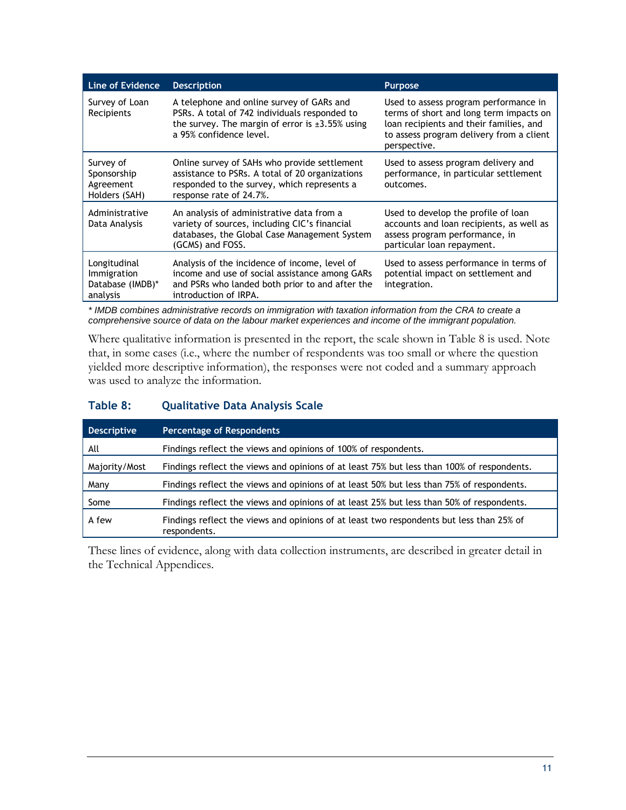| Line of Evidence                                            | <b>Description</b>                                                                                                                                                             | <b>Purpose</b>                                                                                                                                                                          |
|-------------------------------------------------------------|--------------------------------------------------------------------------------------------------------------------------------------------------------------------------------|-----------------------------------------------------------------------------------------------------------------------------------------------------------------------------------------|
| Survey of Loan<br>Recipients                                | A telephone and online survey of GARs and<br>PSRs. A total of 742 individuals responded to<br>the survey. The margin of error is $\pm 3.55\%$ using<br>a 95% confidence level. | Used to assess program performance in<br>terms of short and long term impacts on<br>loan recipients and their families, and<br>to assess program delivery from a client<br>perspective. |
| Survey of<br>Sponsorship<br>Agreement<br>Holders (SAH)      | Online survey of SAHs who provide settlement<br>assistance to PSRs. A total of 20 organizations<br>responded to the survey, which represents a<br>response rate of 24.7%.      | Used to assess program delivery and<br>performance, in particular settlement<br>outcomes.                                                                                               |
| Administrative<br>Data Analysis                             | An analysis of administrative data from a<br>variety of sources, including CIC's financial<br>databases, the Global Case Management System<br>(GCMS) and FOSS.                 | Used to develop the profile of loan<br>accounts and loan recipients, as well as<br>assess program performance, in<br>particular loan repayment.                                         |
| Longitudinal<br>Immigration<br>Database (IMDB)*<br>analysis | Analysis of the incidence of income, level of<br>income and use of social assistance among GARs<br>and PSRs who landed both prior to and after the<br>introduction of IRPA.    | Used to assess performance in terms of<br>potential impact on settlement and<br>integration.                                                                                            |

*\* IMDB combines administrative records on immigration with taxation information from the CRA to create a comprehensive source of data on the labour market experiences and income of the immigrant population.*

Where qualitative information is presented in the report, the scale shown in Table 8 is used. Note that, in some cases (i.e., where the number of respondents was too small or where the question yielded more descriptive information), the responses were not coded and a summary approach was used to analyze the information.

### <span id="page-22-0"></span>**Table 8: Qualitative Data Analysis Scale**

| <b>Descriptive</b> | <b>Percentage of Respondents</b>                                                                         |
|--------------------|----------------------------------------------------------------------------------------------------------|
| All                | Findings reflect the views and opinions of 100% of respondents.                                          |
| Majority/Most      | Findings reflect the views and opinions of at least 75% but less than 100% of respondents.               |
| Many               | Findings reflect the views and opinions of at least 50% but less than 75% of respondents.                |
| Some               | Findings reflect the views and opinions of at least 25% but less than 50% of respondents.                |
| A few              | Findings reflect the views and opinions of at least two respondents but less than 25% of<br>respondents. |

These lines of evidence, along with data collection instruments, are described in greater detail in the Technical Appendices.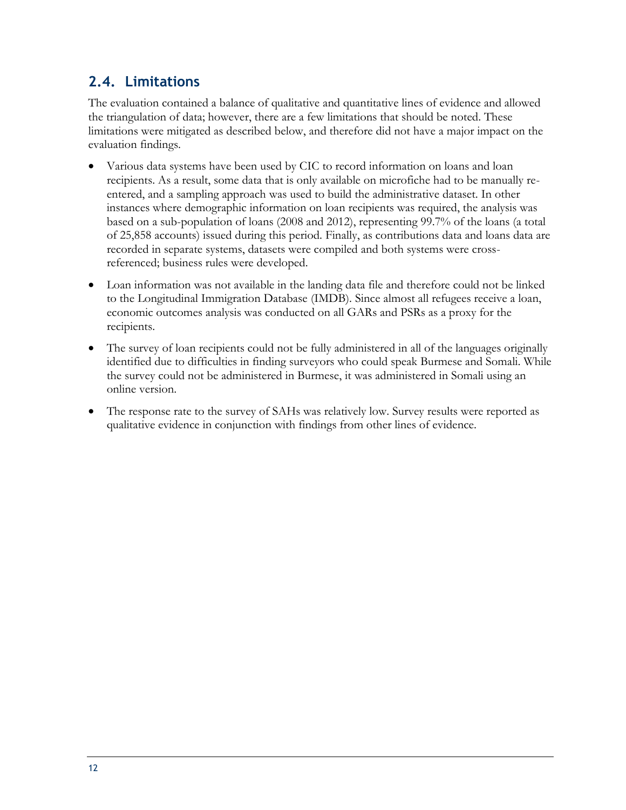### <span id="page-23-0"></span>**2.4. Limitations**

The evaluation contained a balance of qualitative and quantitative lines of evidence and allowed the triangulation of data; however, there are a few limitations that should be noted. These limitations were mitigated as described below, and therefore did not have a major impact on the evaluation findings.

- Various data systems have been used by CIC to record information on loans and loan recipients. As a result, some data that is only available on microfiche had to be manually reentered, and a sampling approach was used to build the administrative dataset. In other instances where demographic information on loan recipients was required, the analysis was based on a sub-population of loans (2008 and 2012), representing 99.7% of the loans (a total of 25,858 accounts) issued during this period. Finally, as contributions data and loans data are recorded in separate systems, datasets were compiled and both systems were crossreferenced; business rules were developed.
- Loan information was not available in the landing data file and therefore could not be linked to the Longitudinal Immigration Database (IMDB). Since almost all refugees receive a loan, economic outcomes analysis was conducted on all GARs and PSRs as a proxy for the recipients.
- The survey of loan recipients could not be fully administered in all of the languages originally identified due to difficulties in finding surveyors who could speak Burmese and Somali. While the survey could not be administered in Burmese, it was administered in Somali using an online version.
- The response rate to the survey of SAHs was relatively low. Survey results were reported as qualitative evidence in conjunction with findings from other lines of evidence.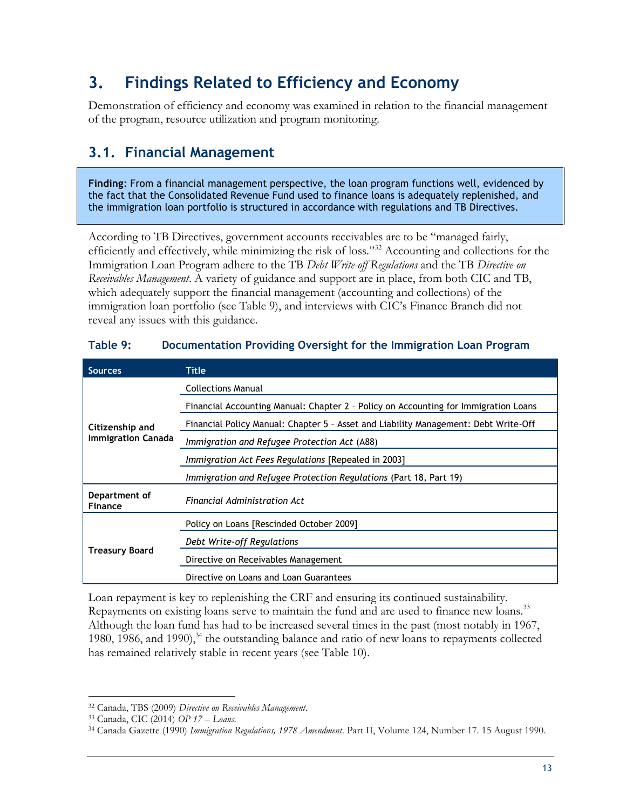### <span id="page-24-0"></span>**3. Findings Related to Efficiency and Economy**

Demonstration of efficiency and economy was examined in relation to the financial management of the program, resource utilization and program monitoring.

### <span id="page-24-1"></span>**3.1. Financial Management**

**Finding**: From a financial management perspective, the loan program functions well, evidenced by the fact that the Consolidated Revenue Fund used to finance loans is adequately replenished, and the immigration loan portfolio is structured in accordance with regulations and TB Directives.

According to TB Directives, government accounts receivables are to be "managed fairly, efficiently and effectively, while minimizing the risk of loss."<sup>32</sup> Accounting and collections for the Immigration Loan Program adhere to the TB *Debt Write-off Regulations* and the TB *Directive on Receivables Management*. A variety of guidance and support are in place, from both CIC and TB, which adequately support the financial management (accounting and collections) of the immigration loan portfolio (see Table 9), and interviews with CIC's Finance Branch did not reveal any issues with this guidance.

| <b>Sources</b>                                                  | Title                                                                               |  |  |
|-----------------------------------------------------------------|-------------------------------------------------------------------------------------|--|--|
|                                                                 | <b>Collections Manual</b>                                                           |  |  |
|                                                                 | Financial Accounting Manual: Chapter 2 - Policy on Accounting for Immigration Loans |  |  |
| Citizenship and                                                 | Financial Policy Manual: Chapter 5 - Asset and Liability Management: Debt Write-Off |  |  |
| <b>Immigration Canada</b>                                       | Immigration and Refugee Protection Act (A88)                                        |  |  |
|                                                                 | Immigration Act Fees Regulations [Repealed in 2003]                                 |  |  |
|                                                                 | Immigration and Refugee Protection Regulations (Part 18, Part 19)                   |  |  |
| Department of<br>Financial Administration Act<br><b>Finance</b> |                                                                                     |  |  |
|                                                                 | Policy on Loans [Rescinded October 2009]                                            |  |  |
|                                                                 | Debt Write-off Regulations                                                          |  |  |
| <b>Treasury Board</b>                                           | Directive on Receivables Management                                                 |  |  |
|                                                                 | Directive on Loans and Loan Guarantees                                              |  |  |

### <span id="page-24-2"></span>**Table 9: Documentation Providing Oversight for the Immigration Loan Program**

Loan repayment is key to replenishing the CRF and ensuring its continued sustainability. Repayments on existing loans serve to maintain the fund and are used to finance new loans.<sup>33</sup> Although the loan fund has had to be increased several times in the past (most notably in 1967, 1980, 1986, and 1990),<sup>34</sup> the outstanding balance and ratio of new loans to repayments collected has remained relatively stable in recent years (see Table 10).

 $\overline{a}$ <sup>32</sup> Canada, TBS (2009) *Directive on Receivables Management*.

<sup>33</sup> Canada, CIC (2014) *OP 17 – Loans*.

<sup>34</sup> Canada Gazette (1990) *Immigration Regulations, 1978 Amendment*. Part II, Volume 124, Number 17. 15 August 1990.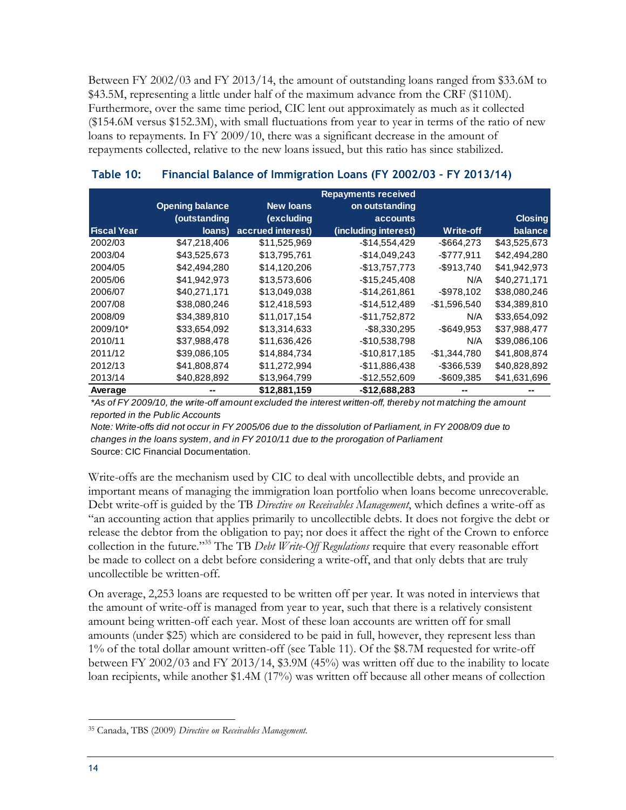Between FY 2002/03 and FY 2013/14, the amount of outstanding loans ranged from \$33.6M to \$43.5M, representing a little under half of the maximum advance from the CRF (\$110M). Furthermore, over the same time period, CIC lent out approximately as much as it collected (\$154.6M versus \$152.3M), with small fluctuations from year to year in terms of the ratio of new loans to repayments. In FY 2009/10, there was a significant decrease in the amount of repayments collected, relative to the new loans issued, but this ratio has since stabilized.

|                    | <b>Repayments received</b> |                   |                      |               |                |
|--------------------|----------------------------|-------------------|----------------------|---------------|----------------|
|                    | <b>Opening balance</b>     | <b>New loans</b>  | on outstanding       |               |                |
|                    | (outstanding               | (excluding        | <b>accounts</b>      |               | <b>Closing</b> |
| <b>Fiscal Year</b> | loans)                     | accrued interest) | (including interest) | Write-off     | balance        |
| 2002/03            | \$47,218,406               | \$11,525,969      | $-$14,554,429$       | $-$ \$664,273 | \$43,525,673   |
| 2003/04            | \$43,525,673               | \$13,795,761      | $-$14,049,243$       | $-$777,911$   | \$42,494,280   |
| 2004/05            | \$42,494,280               | \$14,120,206      | $-$13,757,773$       | $-$ \$913,740 | \$41,942,973   |
| 2005/06            | \$41,942,973               | \$13,573,606      | $-$15,245,408$       | N/A           | \$40,271,171   |
| 2006/07            | \$40,271,171               | \$13,049,038      | $-$14,261,861$       | $-$ \$978,102 | \$38,080,246   |
| 2007/08            | \$38,080,246               | \$12,418,593      | $-$14,512,489$       | $-$1,596,540$ | \$34,389,810   |
| 2008/09            | \$34,389,810               | \$11,017,154      | $-$11,752,872$       | N/A           | \$33,654,092   |
| 2009/10*           | \$33,654,092               | \$13,314,633      | $-$8,330,295$        | $-$ \$649,953 | \$37,988,477   |
| 2010/11            | \$37,988,478               | \$11,636,426      | -\$10,538,798        | N/A           | \$39,086,106   |
| 2011/12            | \$39,086,105               | \$14,884,734      | $-$10,817,185$       | $-$1,344,780$ | \$41,808,874   |
| 2012/13            | \$41,808,874               | \$11,272,994      | $-$11,886,438$       | $-$ \$366,539 | \$40,828,892   |
| 2013/14            | \$40,828,892               | \$13,964,799      | $-$12,552,609$       | -\$609,385    | \$41,631,696   |
| Average            |                            | \$12,881,159      | $-$12,688,283$       |               |                |

#### <span id="page-25-0"></span>**Table 10: Financial Balance of Immigration Loans (FY 2002/03 – FY 2013/14)**

*\*As of FY 2009/10, the write-off amount excluded the interest written-off, thereby not matching the amount reported in the Public Accounts*

Source: CIC Financial Documentation. *Note: Write-offs did not occur in FY 2005/06 due to the dissolution of Parliament, in FY 2008/09 due to changes in the loans system, and in FY 2010/11 due to the prorogation of Parliament*

Write-offs are the mechanism used by CIC to deal with uncollectible debts, and provide an important means of managing the immigration loan portfolio when loans become unrecoverable. Debt write-off is guided by the TB *Directive on Receivables Management*, which defines a write-off as "an accounting action that applies primarily to uncollectible debts. It does not forgive the debt or release the debtor from the obligation to pay; nor does it affect the right of the Crown to enforce collection in the future."<sup>35</sup> The TB *Debt Write-Off Regulations* require that every reasonable effort be made to collect on a debt before considering a write-off, and that only debts that are truly uncollectible be written-off.

On average, 2,253 loans are requested to be written off per year. It was noted in interviews that the amount of write-off is managed from year to year, such that there is a relatively consistent amount being written-off each year. Most of these loan accounts are written off for small amounts (under \$25) which are considered to be paid in full, however, they represent less than 1% of the total dollar amount written-off (see Table 11). Of the \$8.7M requested for write-off between FY 2002/03 and FY 2013/14, \$3.9M (45%) was written off due to the inability to locate loan recipients, while another \$1.4M (17%) was written off because all other means of collection

 $\overline{a}$ <sup>35</sup> Canada, TBS (2009) *Directive on Receivables Management.*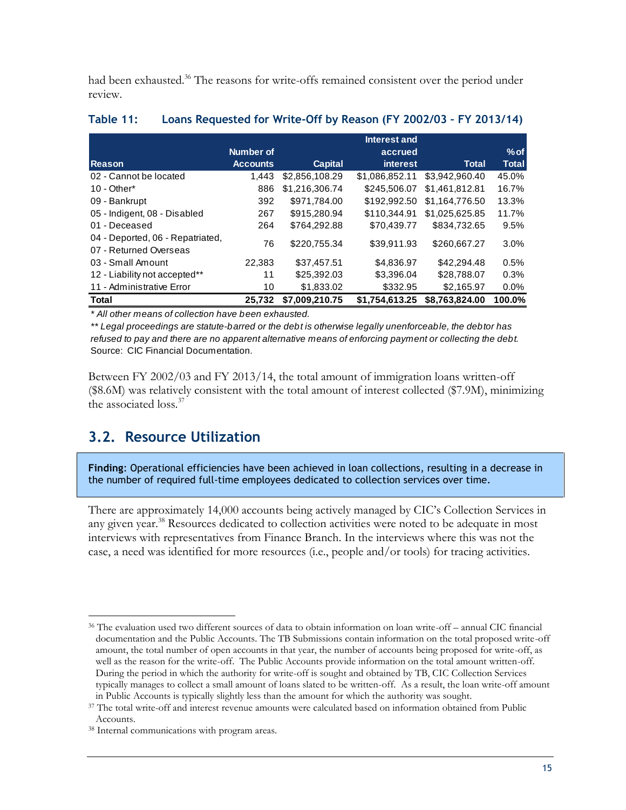had been exhausted.<sup>36</sup> The reasons for write-offs remained consistent over the period under review.

|                                  |                 |                | Interest and    |                |         |
|----------------------------------|-----------------|----------------|-----------------|----------------|---------|
|                                  | Number of       |                | accrued         |                | $%$ of  |
| <b>Reason</b>                    | <b>Accounts</b> | <b>Capital</b> | <i>interest</i> | Total          | Total   |
| 02 - Cannot be located           | 1.443           | \$2,856,108.29 | \$1,086,852.11  | \$3.942.960.40 | 45.0%   |
| $10 - Other*$                    | 886             | \$1,216,306.74 | \$245,506.07    | \$1,461,812.81 | 16.7%   |
| 09 - Bankrupt                    | 392             | \$971.784.00   | \$192,992.50    | \$1.164.776.50 | 13.3%   |
| 05 - Indigent, 08 - Disabled     | 267             | \$915,280.94   | \$110.344.91    | \$1,025,625,85 | 11.7%   |
| 01 - Deceased                    | 264             | \$764.292.88   | \$70.439.77     | \$834,732,65   | 9.5%    |
| 04 - Deported, 06 - Repatriated, | 76              | \$220,755,34   | \$39.911.93     | \$260,667.27   | 3.0%    |
| 07 - Returned Overseas           |                 |                |                 |                |         |
| 03 - Small Amount                | 22.383          | \$37,457.51    | \$4,836.97      | \$42,294.48    | 0.5%    |
| 12 - Liability not accepted**    | 11              | \$25,392,03    | \$3,396.04      | \$28.788.07    | 0.3%    |
| 11 - Administrative Error        | 10              | \$1,833.02     | \$332.95        | \$2,165.97     | $0.0\%$ |
| <b>Total</b>                     | 25,732          | \$7,009,210.75 | \$1.754.613.25  | \$8,763,824.00 | 100.0%  |

#### <span id="page-26-1"></span>**Table 11: Loans Requested for Write-Off by Reason (FY 2002/03 – FY 2013/14)**

*\* All other means of collection have been exhausted.*

Source: CIC Financial Documentation. *\*\* Legal proceedings are statute-barred or the debt is otherwise legally unenforceable, the debtor has refused to pay and there are no apparent alternative means of enforcing payment or collecting the debt.*

Between FY 2002/03 and FY 2013/14, the total amount of immigration loans written-off (\$8.6M) was relatively consistent with the total amount of interest collected (\$7.9M), minimizing the associated loss.<sup>37</sup>

### <span id="page-26-0"></span>**3.2. Resource Utilization**

**Finding**: Operational efficiencies have been achieved in loan collections, resulting in a decrease in the number of required full-time employees dedicated to collection services over time.

There are approximately 14,000 accounts being actively managed by CIC's Collection Services in any given year.<sup>38</sup> Resources dedicated to collection activities were noted to be adequate in most interviews with representatives from Finance Branch. In the interviews where this was not the case, a need was identified for more resources (i.e., people and/or tools) for tracing activities.

 $\overline{a}$ <sup>36</sup> The evaluation used two different sources of data to obtain information on loan write-off – annual CIC financial documentation and the Public Accounts. The TB Submissions contain information on the total proposed write-off amount, the total number of open accounts in that year, the number of accounts being proposed for write-off, as well as the reason for the write-off. The Public Accounts provide information on the total amount written-off. During the period in which the authority for write-off is sought and obtained by TB, CIC Collection Services typically manages to collect a small amount of loans slated to be written-off. As a result, the loan write-off amount in Public Accounts is typically slightly less than the amount for which the authority was sought.

<sup>37</sup> The total write-off and interest revenue amounts were calculated based on information obtained from Public Accounts.

<sup>38</sup> Internal communications with program areas.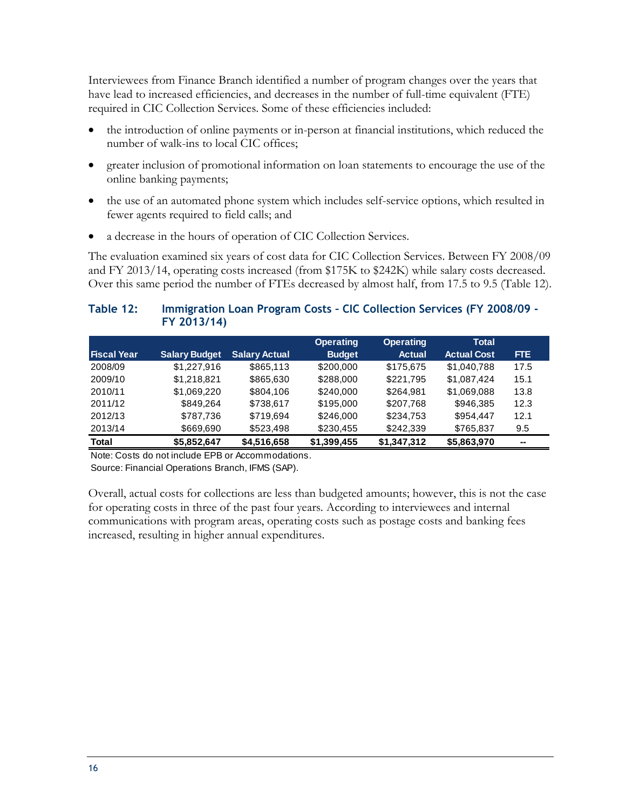Interviewees from Finance Branch identified a number of program changes over the years that have lead to increased efficiencies, and decreases in the number of full-time equivalent (FTE) required in CIC Collection Services. Some of these efficiencies included:

- the introduction of online payments or in-person at financial institutions, which reduced the number of walk-ins to local CIC offices;
- greater inclusion of promotional information on loan statements to encourage the use of the online banking payments;
- the use of an automated phone system which includes self-service options, which resulted in fewer agents required to field calls; and
- a decrease in the hours of operation of CIC Collection Services.

The evaluation examined six years of cost data for CIC Collection Services. Between FY 2008/09 and FY 2013/14, operating costs increased (from \$175K to \$242K) while salary costs decreased. Over this same period the number of FTEs decreased by almost half, from 17.5 to 9.5 (Table 12).

### <span id="page-27-0"></span>**Table 12: Immigration Loan Program Costs – CIC Collection Services (FY 2008/09 - FY 2013/14)**

|                    |                      |                      | <b>Operating</b> | <b>Operating</b> | <b>Total</b>       |      |
|--------------------|----------------------|----------------------|------------------|------------------|--------------------|------|
| <b>Fiscal Year</b> | <b>Salary Budget</b> | <b>Salary Actual</b> | <b>Budget</b>    | <b>Actual</b>    | <b>Actual Cost</b> | FTE. |
| 2008/09            | \$1,227,916          | \$865,113            | \$200,000        | \$175,675        | \$1,040,788        | 17.5 |
| 2009/10            | \$1,218,821          | \$865,630            | \$288,000        | \$221,795        | \$1.087.424        | 15.1 |
| 2010/11            | \$1.069.220          | \$804,106            | \$240,000        | \$264,981        | \$1,069,088        | 13.8 |
| 2011/12            | \$849.264            | \$738.617            | \$195,000        | \$207.768        | \$946.385          | 12.3 |
| 2012/13            | \$787,736            | \$719.694            | \$246,000        | \$234.753        | \$954.447          | 12.1 |
| 2013/14            | \$669,690            | \$523,498            | \$230,455        | \$242,339        | \$765,837          | 9.5  |
| <b>Total</b>       | \$5,852,647          | \$4,516,658          | \$1,399,455      | \$1,347,312      | \$5,863,970        | --   |

Note: Costs do not include EPB or Accommodations. Source: Financial Operations Branch, IFMS (SAP).

Overall, actual costs for collections are less than budgeted amounts; however, this is not the case for operating costs in three of the past four years. According to interviewees and internal communications with program areas, operating costs such as postage costs and banking fees increased, resulting in higher annual expenditures.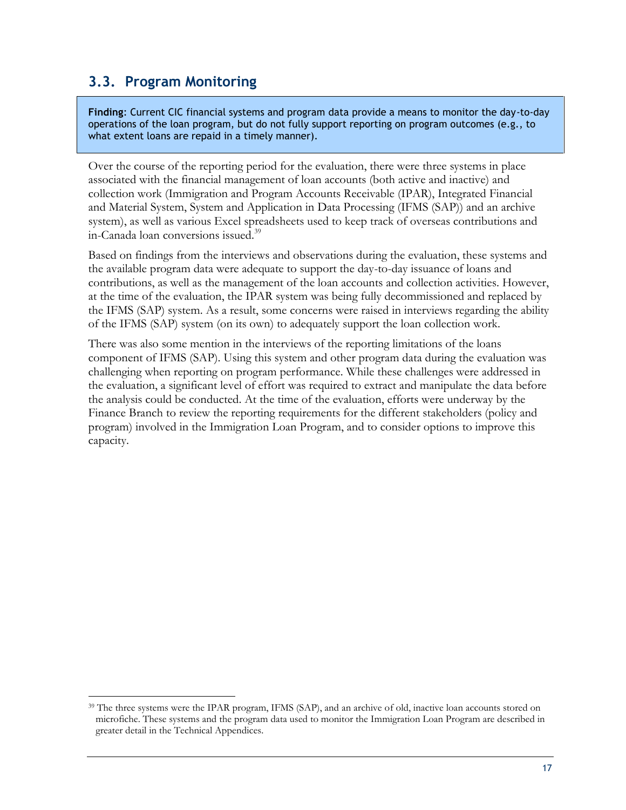### <span id="page-28-0"></span>**3.3. Program Monitoring**

 $\overline{a}$ 

**Finding**: Current CIC financial systems and program data provide a means to monitor the day-to-day operations of the loan program, but do not fully support reporting on program outcomes (e.g., to what extent loans are repaid in a timely manner).

Over the course of the reporting period for the evaluation, there were three systems in place associated with the financial management of loan accounts (both active and inactive) and collection work (Immigration and Program Accounts Receivable (IPAR), Integrated Financial and Material System, System and Application in Data Processing (IFMS (SAP)) and an archive system), as well as various Excel spreadsheets used to keep track of overseas contributions and in-Canada loan conversions issued.<sup>39</sup>

Based on findings from the interviews and observations during the evaluation, these systems and the available program data were adequate to support the day-to-day issuance of loans and contributions, as well as the management of the loan accounts and collection activities. However, at the time of the evaluation, the IPAR system was being fully decommissioned and replaced by the IFMS (SAP) system. As a result, some concerns were raised in interviews regarding the ability of the IFMS (SAP) system (on its own) to adequately support the loan collection work.

There was also some mention in the interviews of the reporting limitations of the loans component of IFMS (SAP). Using this system and other program data during the evaluation was challenging when reporting on program performance. While these challenges were addressed in the evaluation, a significant level of effort was required to extract and manipulate the data before the analysis could be conducted. At the time of the evaluation, efforts were underway by the Finance Branch to review the reporting requirements for the different stakeholders (policy and program) involved in the Immigration Loan Program, and to consider options to improve this capacity.

<sup>&</sup>lt;sup>39</sup> The three systems were the IPAR program, IFMS (SAP), and an archive of old, inactive loan accounts stored on microfiche. These systems and the program data used to monitor the Immigration Loan Program are described in greater detail in the Technical Appendices.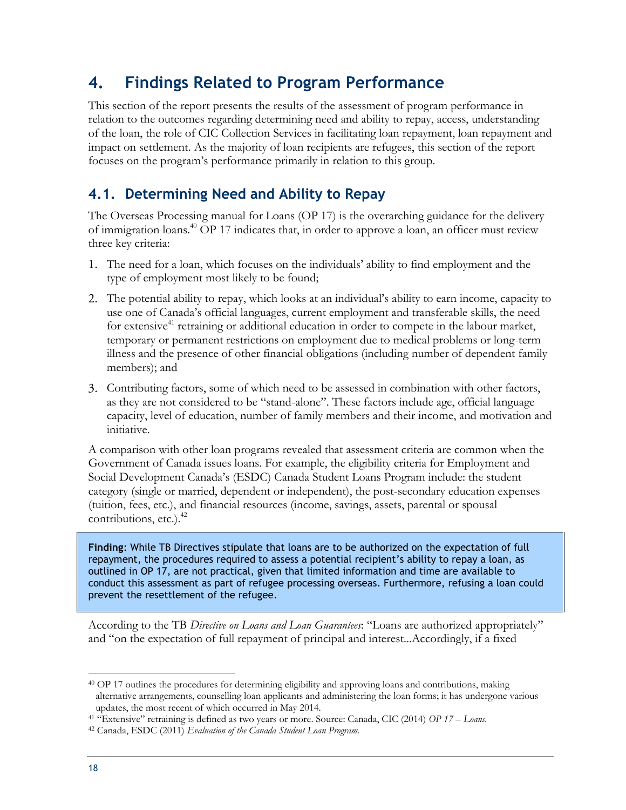### <span id="page-29-0"></span>**4. Findings Related to Program Performance**

This section of the report presents the results of the assessment of program performance in relation to the outcomes regarding determining need and ability to repay, access, understanding of the loan, the role of CIC Collection Services in facilitating loan repayment, loan repayment and impact on settlement. As the majority of loan recipients are refugees, this section of the report focuses on the program's performance primarily in relation to this group.

### <span id="page-29-1"></span>**4.1. Determining Need and Ability to Repay**

The Overseas Processing manual for Loans (OP 17) is the overarching guidance for the delivery of immigration loans.<sup>40</sup> OP 17 indicates that, in order to approve a loan, an officer must review three key criteria:

- The need for a loan, which focuses on the individuals' ability to find employment and the type of employment most likely to be found;
- The potential ability to repay, which looks at an individual's ability to earn income, capacity to use one of Canada's official languages, current employment and transferable skills, the need for extensive<sup>41</sup> retraining or additional education in order to compete in the labour market, temporary or permanent restrictions on employment due to medical problems or long-term illness and the presence of other financial obligations (including number of dependent family members); and
- Contributing factors, some of which need to be assessed in combination with other factors, as they are not considered to be "stand-alone". These factors include age, official language capacity, level of education, number of family members and their income, and motivation and initiative.

A comparison with other loan programs revealed that assessment criteria are common when the Government of Canada issues loans. For example, the eligibility criteria for Employment and Social Development Canada's (ESDC) Canada Student Loans Program include: the student category (single or married, dependent or independent), the post-secondary education expenses (tuition, fees, etc.), and financial resources (income, savings, assets, parental or spousal contributions, etc.). 42

**Finding**: While TB Directives stipulate that loans are to be authorized on the expectation of full repayment, the procedures required to assess a potential recipient's ability to repay a loan, as outlined in OP 17, are not practical, given that limited information and time are available to conduct this assessment as part of refugee processing overseas. Furthermore, refusing a loan could prevent the resettlement of the refugee.

According to the TB *Directive on Loans and Loan Guarantees*: "Loans are authorized appropriately" and "on the expectation of full repayment of principal and interest...Accordingly, if a fixed

 $\overline{a}$ <sup>40</sup> OP 17 outlines the procedures for determining eligibility and approving loans and contributions, making alternative arrangements, counselling loan applicants and administering the loan forms; it has undergone various updates, the most recent of which occurred in May 2014.

<sup>41</sup> "Extensive" retraining is defined as two years or more. Source: Canada, CIC (2014) *OP 17 – Loans.*

<sup>42</sup> Canada, ESDC (2011) *Evaluation of the Canada Student Loan Program.*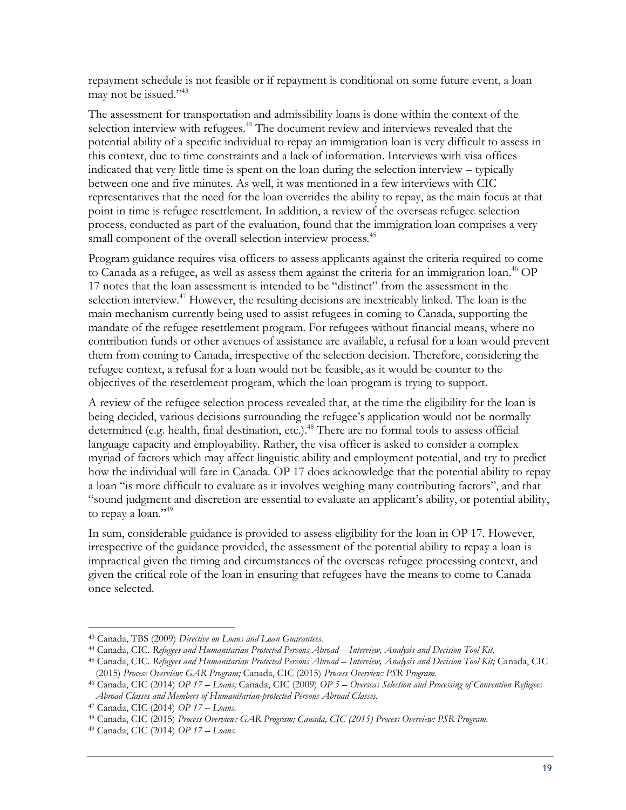repayment schedule is not feasible or if repayment is conditional on some future event, a loan may not be issued."<sup>43</sup>

The assessment for transportation and admissibility loans is done within the context of the selection interview with refugees.<sup>44</sup> The document review and interviews revealed that the potential ability of a specific individual to repay an immigration loan is very difficult to assess in this context, due to time constraints and a lack of information. Interviews with visa offices indicated that very little time is spent on the loan during the selection interview – typically between one and five minutes. As well, it was mentioned in a few interviews with CIC representatives that the need for the loan overrides the ability to repay, as the main focus at that point in time is refugee resettlement. In addition, a review of the overseas refugee selection process, conducted as part of the evaluation, found that the immigration loan comprises a very small component of the overall selection interview process.<sup>45</sup>

Program guidance requires visa officers to assess applicants against the criteria required to come to Canada as a refugee, as well as assess them against the criteria for an immigration loan.<sup>46</sup> OP 17 notes that the loan assessment is intended to be "distinct" from the assessment in the selection interview.<sup>47</sup> However, the resulting decisions are inextricably linked. The loan is the main mechanism currently being used to assist refugees in coming to Canada, supporting the mandate of the refugee resettlement program. For refugees without financial means, where no contribution funds or other avenues of assistance are available, a refusal for a loan would prevent them from coming to Canada, irrespective of the selection decision. Therefore, considering the refugee context, a refusal for a loan would not be feasible, as it would be counter to the objectives of the resettlement program, which the loan program is trying to support.

A review of the refugee selection process revealed that, at the time the eligibility for the loan is being decided, various decisions surrounding the refugee's application would not be normally determined (e.g. health, final destination, etc.).<sup>48</sup> There are no formal tools to assess official language capacity and employability. Rather, the visa officer is asked to consider a complex myriad of factors which may affect linguistic ability and employment potential, and try to predict how the individual will fare in Canada. OP 17 does acknowledge that the potential ability to repay a loan "is more difficult to evaluate as it involves weighing many contributing factors", and that "sound judgment and discretion are essential to evaluate an applicant's ability, or potential ability, to repay a loan."<sup>49</sup>

In sum, considerable guidance is provided to assess eligibility for the loan in OP 17. However, irrespective of the guidance provided, the assessment of the potential ability to repay a loan is impractical given the timing and circumstances of the overseas refugee processing context, and given the critical role of the loan in ensuring that refugees have the means to come to Canada once selected.

 $\overline{a}$ <sup>43</sup> Canada, TBS (2009) *Directive on Loans and Loan Guarantees.*

<sup>44</sup> Canada, CIC. *Refugees and Humanitarian Protected Persons Abroad – Interview, Analysis and Decision Tool Kit.*

<sup>45</sup> Canada, CIC. *Refugees and Humanitarian Protected Persons Abroad – Interview, Analysis and Decision Tool Kit;* Canada, CIC (2015) *Process Overview: GAR Program;* Canada, CIC (2015) *Process Overview: PSR Program.*

<sup>46</sup> Canada, CIC (2014) *OP 17 – Loans;* Canada, CIC (2009) *OP 5 – Overseas Selection and Processing of Convention Refugees Abroad Classes and Members of Humanitarian-protected Persons Abroad Classes.*

<sup>47</sup> Canada, CIC (2014) *OP 17 – Loans.*

<sup>48</sup> Canada, CIC (2015) *Process Overview: GAR Program; Canada, CIC (2015) Process Overview: PSR Program.*

<sup>49</sup> Canada, CIC (2014) *OP 17 – Loans.*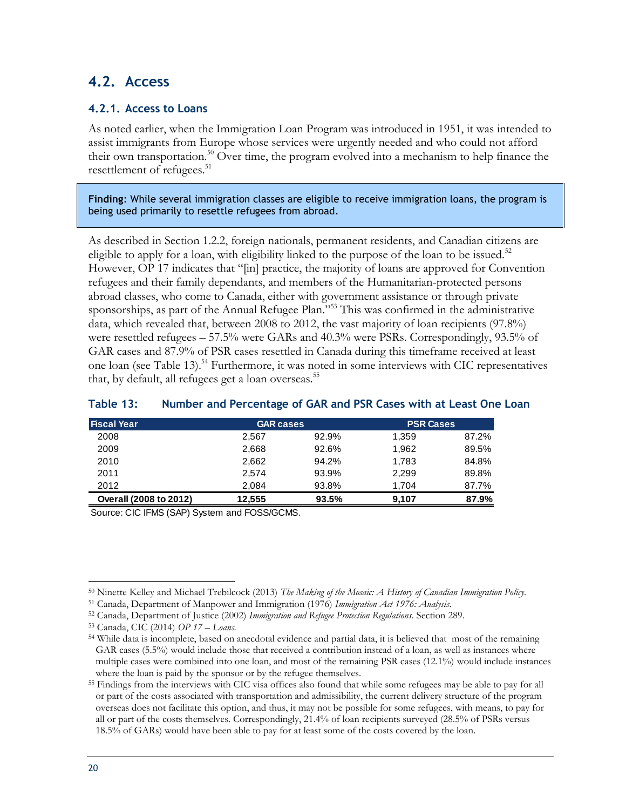### <span id="page-31-0"></span>**4.2. Access**

#### <span id="page-31-1"></span>**4.2.1. Access to Loans**

As noted earlier, when the Immigration Loan Program was introduced in 1951, it was intended to assist immigrants from Europe whose services were urgently needed and who could not afford their own transportation.<sup>50</sup> Over time, the program evolved into a mechanism to help finance the resettlement of refugees.<sup>51</sup>

**Finding**: While several immigration classes are eligible to receive immigration loans, the program is being used primarily to resettle refugees from abroad.

As described in Section 1.2.2, foreign nationals, permanent residents, and Canadian citizens are eligible to apply for a loan, with eligibility linked to the purpose of the loan to be issued.<sup>52</sup> However, OP 17 indicates that "[in] practice, the majority of loans are approved for Convention refugees and their family dependants, and members of the Humanitarian-protected persons abroad classes, who come to Canada, either with government assistance or through private sponsorships, as part of the Annual Refugee Plan."<sup>553</sup> This was confirmed in the administrative data, which revealed that, between 2008 to 2012, the vast majority of loan recipients (97.8%) were resettled refugees – 57.5% were GARs and 40.3% were PSRs. Correspondingly, 93.5% of GAR cases and 87.9% of PSR cases resettled in Canada during this timeframe received at least one loan (see Table 13).<sup>54</sup> Furthermore, it was noted in some interviews with CIC representatives that, by default, all refugees get a loan overseas.<sup>55</sup>

| <b>Fiscal Year</b>     | <b>GAR cases</b> |       | <b>PSR Cases</b> |       |
|------------------------|------------------|-------|------------------|-------|
| 2008                   | 2,567            | 92.9% | 1,359            | 87.2% |
| 2009                   | 2.668            | 92.6% | 1,962            | 89.5% |
| 2010                   | 2.662            | 94.2% | 1.783            | 84.8% |
| 2011                   | 2.574            | 93.9% | 2.299            | 89.8% |
| 2012                   | 2.084            | 93.8% | 1.704            | 87.7% |
| Overall (2008 to 2012) | 12.555           | 93.5% | 9.107            | 87.9% |

#### <span id="page-31-2"></span>**Table 13: Number and Percentage of GAR and PSR Cases with at Least One Loan**

Source: CIC IFMS (SAP) System and FOSS/GCMS.

 $\overline{a}$ <sup>50</sup> Ninette Kelley and Michael Trebilcock (2013) *The Making of the Mosaic: A History of Canadian Immigration Policy.*

<sup>51</sup> Canada, Department of Manpower and Immigration (1976) *Immigration Act 1976: Analysis*.

<sup>52</sup> Canada, Department of Justice (2002) *Immigration and Refugee Protection Regulations*. Section 289.

<sup>53</sup> Canada, CIC (2014) *OP 17* – *Loans*.

<sup>54</sup> While data is incomplete, based on anecdotal evidence and partial data, it is believed that most of the remaining GAR cases (5.5%) would include those that received a contribution instead of a loan, as well as instances where multiple cases were combined into one loan, and most of the remaining PSR cases (12.1%) would include instances where the loan is paid by the sponsor or by the refugee themselves.

<sup>&</sup>lt;sup>55</sup> Findings from the interviews with CIC visa offices also found that while some refugees may be able to pay for all or part of the costs associated with transportation and admissibility, the current delivery structure of the program overseas does not facilitate this option, and thus, it may not be possible for some refugees, with means, to pay for all or part of the costs themselves. Correspondingly, 21.4% of loan recipients surveyed (28.5% of PSRs versus 18.5% of GARs) would have been able to pay for at least some of the costs covered by the loan.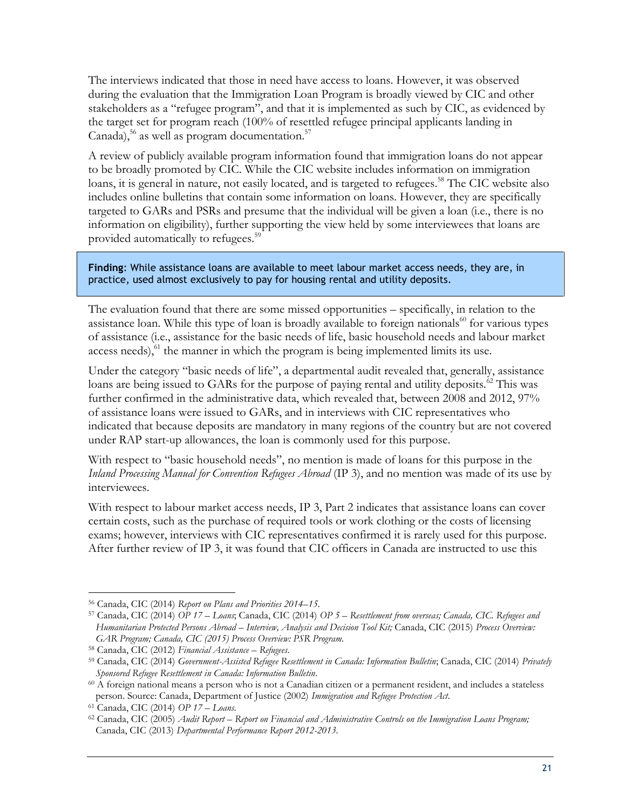The interviews indicated that those in need have access to loans. However, it was observed during the evaluation that the Immigration Loan Program is broadly viewed by CIC and other stakeholders as a "refugee program", and that it is implemented as such by CIC, as evidenced by the target set for program reach (100% of resettled refugee principal applicants landing in Canada), $56$  as well as program documentation. $57$ 

A review of publicly available program information found that immigration loans do not appear to be broadly promoted by CIC. While the CIC website includes information on immigration loans, it is general in nature, not easily located, and is targeted to refugees.<sup>58</sup> The CIC website also includes online bulletins that contain some information on loans. However, they are specifically targeted to GARs and PSRs and presume that the individual will be given a loan (i.e., there is no information on eligibility), further supporting the view held by some interviewees that loans are provided automatically to refugees.<sup>59</sup>

**Finding**: While assistance loans are available to meet labour market access needs, they are, in practice, used almost exclusively to pay for housing rental and utility deposits.

The evaluation found that there are some missed opportunities – specifically, in relation to the assistance loan. While this type of loan is broadly available to foreign nationals<sup>60</sup> for various types of assistance (i.e., assistance for the basic needs of life, basic household needs and labour market access needs), $61$  the manner in which the program is being implemented limits its use.

Under the category "basic needs of life", a departmental audit revealed that, generally, assistance loans are being issued to GARs for the purpose of paying rental and utility deposits.<sup>62</sup> This was further confirmed in the administrative data, which revealed that, between 2008 and 2012, 97% of assistance loans were issued to GARs, and in interviews with CIC representatives who indicated that because deposits are mandatory in many regions of the country but are not covered under RAP start-up allowances, the loan is commonly used for this purpose.

With respect to "basic household needs", no mention is made of loans for this purpose in the *Inland Processing Manual for Convention Refugees Abroad* (IP 3), and no mention was made of its use by interviewees.

With respect to labour market access needs, IP 3, Part 2 indicates that assistance loans can cover certain costs, such as the purchase of required tools or work clothing or the costs of licensing exams; however, interviews with CIC representatives confirmed it is rarely used for this purpose. After further review of IP 3, it was found that CIC officers in Canada are instructed to use this

 $\overline{a}$ <sup>56</sup> Canada, CIC (2014) *Report on Plans and Priorities 2014–15*.

<sup>57</sup> Canada, CIC (2014) *OP 17* – *Loans*; Canada, CIC (2014) *OP 5 – Resettlement from overseas; Canada, CIC. Refugees and Humanitarian Protected Persons Abroad – Interview, Analysis and Decision Tool Kit;* Canada, CIC (2015) *Process Overview: GAR Program; Canada, CIC (2015) Process Overview: PSR Program.*

<sup>58</sup> Canada, CIC (2012) *Financial Assistance – Refugees*.

<sup>59</sup> Canada, CIC (2014) *Government-Assisted Refugee Resettlement in Canada: Information Bulletin*; Canada, CIC (2014) *Privately Sponsored Refugee Resettlement in Canada: Information Bulletin*.

<sup>&</sup>lt;sup>60</sup> A foreign national means a person who is not a Canadian citizen or a permanent resident, and includes a stateless person. Source: Canada, Department of Justice (2002) *Immigration and Refugee Protection Act*.

<sup>61</sup> Canada, CIC (2014) *OP 17 – Loans*.

<sup>62</sup> Canada, CIC (2005) *Audit Report – Report on Financial and Administrative Controls on the Immigration Loans Program;*  Canada, CIC (2013) *Departmental Performance Report 2012-2013.*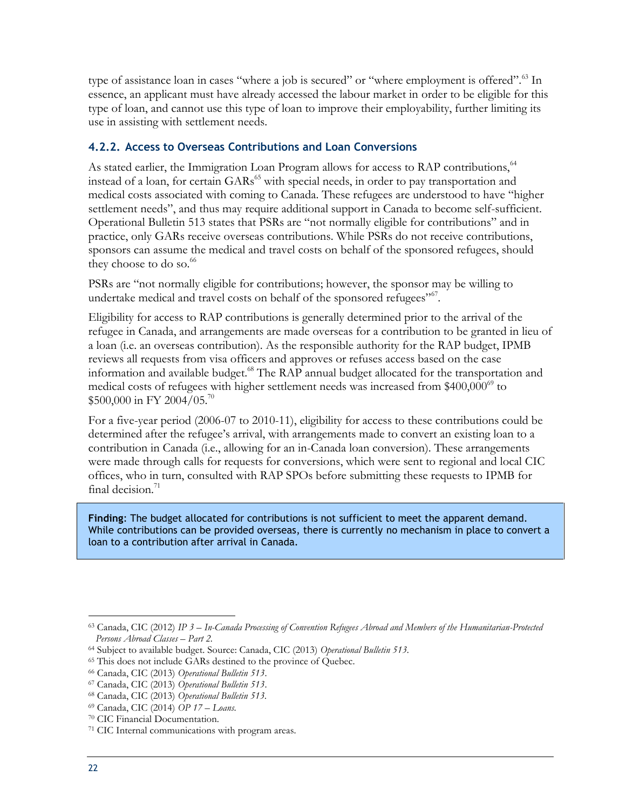type of assistance loan in cases "where a job is secured" or "where employment is offered".<sup>63</sup> In essence, an applicant must have already accessed the labour market in order to be eligible for this type of loan, and cannot use this type of loan to improve their employability, further limiting its use in assisting with settlement needs.

### <span id="page-33-0"></span>**4.2.2. Access to Overseas Contributions and Loan Conversions**

As stated earlier, the Immigration Loan Program allows for access to RAP contributions,<sup>64</sup> instead of a loan, for certain GARs<sup>65</sup> with special needs, in order to pay transportation and medical costs associated with coming to Canada. These refugees are understood to have "higher settlement needs", and thus may require additional support in Canada to become self-sufficient. Operational Bulletin 513 states that PSRs are "not normally eligible for contributions" and in practice, only GARs receive overseas contributions. While PSRs do not receive contributions, sponsors can assume the medical and travel costs on behalf of the sponsored refugees, should they choose to do so. $66$ 

PSRs are "not normally eligible for contributions; however, the sponsor may be willing to undertake medical and travel costs on behalf of the sponsored refugees"<sup>67</sup>.

Eligibility for access to RAP contributions is generally determined prior to the arrival of the refugee in Canada, and arrangements are made overseas for a contribution to be granted in lieu of a loan (i.e. an overseas contribution). As the responsible authority for the RAP budget, IPMB reviews all requests from visa officers and approves or refuses access based on the case information and available budget.<sup>68</sup> The RAP annual budget allocated for the transportation and medical costs of refugees with higher settlement needs was increased from  $$400,000^{69}$  to \$500,000 in FY 2004/05.<sup>70</sup>

For a five-year period (2006-07 to 2010-11), eligibility for access to these contributions could be determined after the refugee's arrival, with arrangements made to convert an existing loan to a contribution in Canada (i.e., allowing for an in-Canada loan conversion). These arrangements were made through calls for requests for conversions, which were sent to regional and local CIC offices, who in turn, consulted with RAP SPOs before submitting these requests to IPMB for final decision. $71$ 

**Finding**: The budget allocated for contributions is not sufficient to meet the apparent demand. While contributions can be provided overseas, there is currently no mechanism in place to convert a loan to a contribution after arrival in Canada.

<sup>63</sup> Canada, CIC (2012) *IP 3 – In-Canada Processing of Convention Refugees Abroad and Members of the Humanitarian-Protected Persons Abroad Classes – Part 2.*

<sup>64</sup> Subject to available budget. Source: Canada, CIC (2013) *Operational Bulletin 513.*

<sup>65</sup> This does not include GARs destined to the province of Quebec.

<sup>66</sup> Canada, CIC (2013) *Operational Bulletin 513*.

<sup>67</sup> Canada, CIC (2013) *Operational Bulletin 513*.

<sup>68</sup> Canada, CIC (2013) *Operational Bulletin 513.*

<sup>69</sup> Canada, CIC (2014) *OP 17* – *Loans*.

<sup>70</sup> CIC Financial Documentation.

<sup>71</sup> CIC Internal communications with program areas.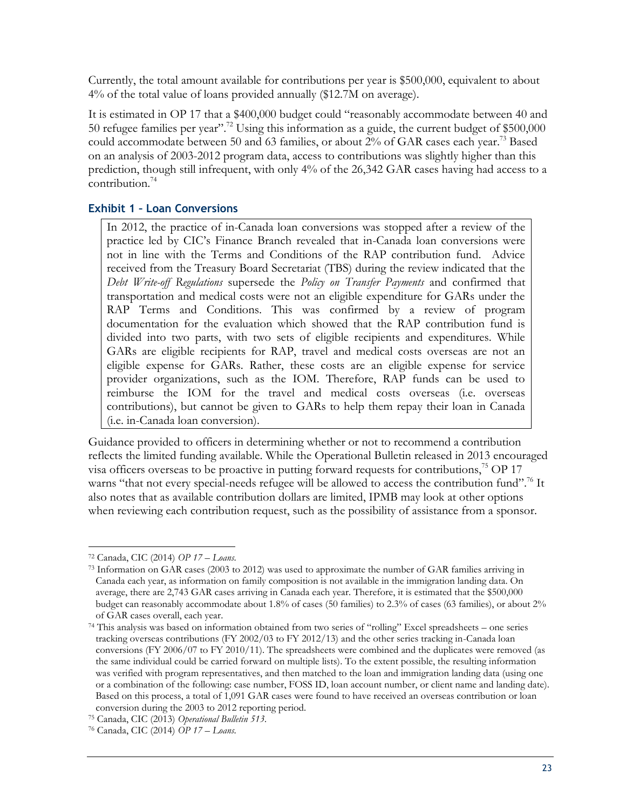Currently, the total amount available for contributions per year is \$500,000, equivalent to about 4% of the total value of loans provided annually (\$12.7M on average).

It is estimated in OP 17 that a \$400,000 budget could "reasonably accommodate between 40 and 50 refugee families per year".<sup>72</sup> Using this information as a guide, the current budget of \$500,000 could accommodate between 50 and 63 families, or about 2% of GAR cases each year.<sup>73</sup> Based on an analysis of 2003-2012 program data, access to contributions was slightly higher than this prediction, though still infrequent, with only 4% of the 26,342 GAR cases having had access to a contribution.<sup>74</sup>

### **Exhibit 1 – Loan Conversions**

In 2012, the practice of in-Canada loan conversions was stopped after a review of the practice led by CIC's Finance Branch revealed that in-Canada loan conversions were not in line with the Terms and Conditions of the RAP contribution fund. Advice received from the Treasury Board Secretariat (TBS) during the review indicated that the *Debt Write-off Regulations* supersede the *Policy on Transfer Payments* and confirmed that transportation and medical costs were not an eligible expenditure for GARs under the RAP Terms and Conditions. This was confirmed by a review of program documentation for the evaluation which showed that the RAP contribution fund is divided into two parts, with two sets of eligible recipients and expenditures. While GARs are eligible recipients for RAP, travel and medical costs overseas are not an eligible expense for GARs. Rather, these costs are an eligible expense for service provider organizations, such as the IOM. Therefore, RAP funds can be used to reimburse the IOM for the travel and medical costs overseas (i.e. overseas contributions), but cannot be given to GARs to help them repay their loan in Canada (i.e. in-Canada loan conversion).

Guidance provided to officers in determining whether or not to recommend a contribution reflects the limited funding available. While the Operational Bulletin released in 2013 encouraged visa officers overseas to be proactive in putting forward requests for contributions,  $^{75}$  OP 17 warns "that not every special-needs refugee will be allowed to access the contribution fund".<sup>76</sup> It also notes that as available contribution dollars are limited, IPMB may look at other options when reviewing each contribution request, such as the possibility of assistance from a sponsor.

 $\overline{a}$ <sup>72</sup> Canada, CIC (2014) *OP 17 – Loans*.

<sup>73</sup> Information on GAR cases (2003 to 2012) was used to approximate the number of GAR families arriving in Canada each year, as information on family composition is not available in the immigration landing data. On average, there are 2,743 GAR cases arriving in Canada each year. Therefore, it is estimated that the \$500,000 budget can reasonably accommodate about 1.8% of cases (50 families) to 2.3% of cases (63 families), or about 2% of GAR cases overall, each year.

<sup>74</sup> This analysis was based on information obtained from two series of "rolling" Excel spreadsheets – one series tracking overseas contributions (FY 2002/03 to FY 2012/13) and the other series tracking in-Canada loan conversions (FY 2006/07 to FY 2010/11). The spreadsheets were combined and the duplicates were removed (as the same individual could be carried forward on multiple lists). To the extent possible, the resulting information was verified with program representatives, and then matched to the loan and immigration landing data (using one or a combination of the following: case number, FOSS ID, loan account number, or client name and landing date). Based on this process, a total of 1,091 GAR cases were found to have received an overseas contribution or loan conversion during the 2003 to 2012 reporting period.

<sup>75</sup> Canada, CIC (2013) *Operational Bulletin 513.*

<sup>76</sup> Canada, CIC (2014) *OP 17 – Loans*.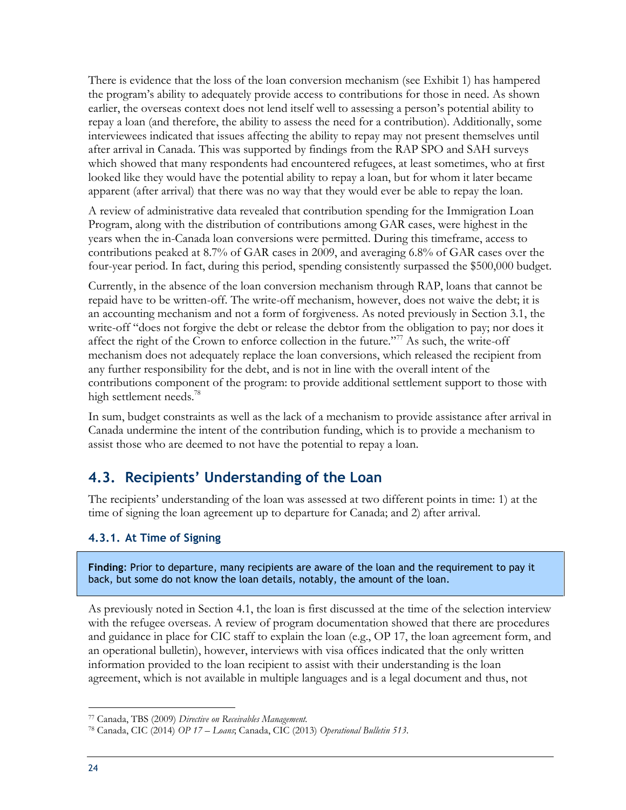There is evidence that the loss of the loan conversion mechanism (see Exhibit 1) has hampered the program's ability to adequately provide access to contributions for those in need. As shown earlier, the overseas context does not lend itself well to assessing a person's potential ability to repay a loan (and therefore, the ability to assess the need for a contribution). Additionally, some interviewees indicated that issues affecting the ability to repay may not present themselves until after arrival in Canada. This was supported by findings from the RAP SPO and SAH surveys which showed that many respondents had encountered refugees, at least sometimes, who at first looked like they would have the potential ability to repay a loan, but for whom it later became apparent (after arrival) that there was no way that they would ever be able to repay the loan.

A review of administrative data revealed that contribution spending for the Immigration Loan Program, along with the distribution of contributions among GAR cases, were highest in the years when the in-Canada loan conversions were permitted. During this timeframe, access to contributions peaked at 8.7% of GAR cases in 2009, and averaging 6.8% of GAR cases over the four-year period. In fact, during this period, spending consistently surpassed the \$500,000 budget.

Currently, in the absence of the loan conversion mechanism through RAP, loans that cannot be repaid have to be written-off. The write-off mechanism, however, does not waive the debt; it is an accounting mechanism and not a form of forgiveness. As noted previously in Section 3.1, the write-off "does not forgive the debt or release the debtor from the obligation to pay; nor does it affect the right of the Crown to enforce collection in the future."<sup>77</sup> As such, the write-off mechanism does not adequately replace the loan conversions, which released the recipient from any further responsibility for the debt, and is not in line with the overall intent of the contributions component of the program: to provide additional settlement support to those with high settlement needs.<sup>78</sup>

In sum, budget constraints as well as the lack of a mechanism to provide assistance after arrival in Canada undermine the intent of the contribution funding, which is to provide a mechanism to assist those who are deemed to not have the potential to repay a loan.

### <span id="page-35-0"></span>**4.3. Recipients' Understanding of the Loan**

The recipients' understanding of the loan was assessed at two different points in time: 1) at the time of signing the loan agreement up to departure for Canada; and 2) after arrival.

### <span id="page-35-1"></span>**4.3.1. At Time of Signing**

**Finding**: Prior to departure, many recipients are aware of the loan and the requirement to pay it back, but some do not know the loan details, notably, the amount of the loan.

As previously noted in Section 4.1, the loan is first discussed at the time of the selection interview with the refugee overseas. A review of program documentation showed that there are procedures and guidance in place for CIC staff to explain the loan (e.g., OP 17, the loan agreement form, and an operational bulletin), however, interviews with visa offices indicated that the only written information provided to the loan recipient to assist with their understanding is the loan agreement, which is not available in multiple languages and is a legal document and thus, not

<sup>77</sup> Canada, TBS (2009) *Directive on Receivables Management.*

<sup>78</sup> Canada, CIC (2014) *OP 17 – Loans*; Canada, CIC (2013) *Operational Bulletin 513.*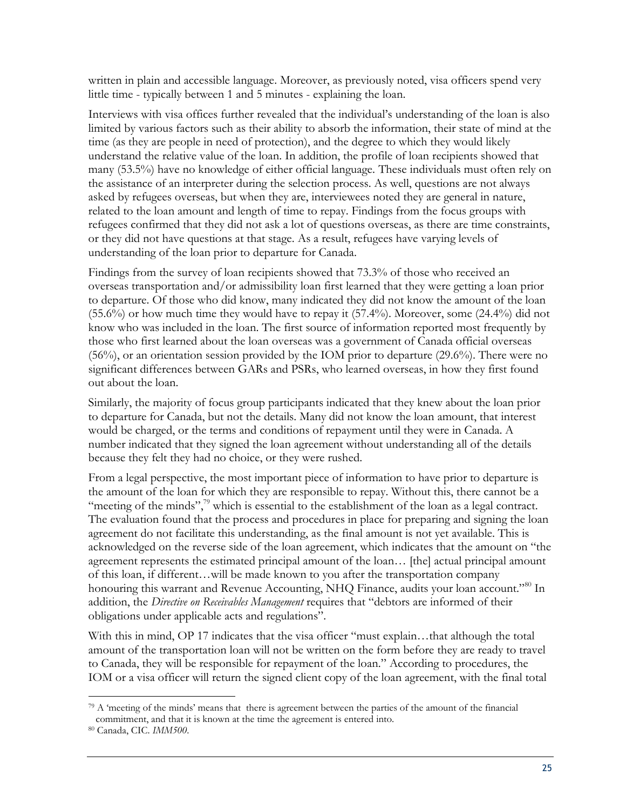written in plain and accessible language. Moreover, as previously noted, visa officers spend very little time - typically between 1 and 5 minutes - explaining the loan.

Interviews with visa offices further revealed that the individual's understanding of the loan is also limited by various factors such as their ability to absorb the information, their state of mind at the time (as they are people in need of protection), and the degree to which they would likely understand the relative value of the loan. In addition, the profile of loan recipients showed that many (53.5%) have no knowledge of either official language. These individuals must often rely on the assistance of an interpreter during the selection process. As well, questions are not always asked by refugees overseas, but when they are, interviewees noted they are general in nature, related to the loan amount and length of time to repay. Findings from the focus groups with refugees confirmed that they did not ask a lot of questions overseas, as there are time constraints, or they did not have questions at that stage. As a result, refugees have varying levels of understanding of the loan prior to departure for Canada.

Findings from the survey of loan recipients showed that 73.3% of those who received an overseas transportation and/or admissibility loan first learned that they were getting a loan prior to departure. Of those who did know, many indicated they did not know the amount of the loan (55.6%) or how much time they would have to repay it (57.4%). Moreover, some (24.4%) did not know who was included in the loan. The first source of information reported most frequently by those who first learned about the loan overseas was a government of Canada official overseas (56%), or an orientation session provided by the IOM prior to departure (29.6%). There were no significant differences between GARs and PSRs, who learned overseas, in how they first found out about the loan.

Similarly, the majority of focus group participants indicated that they knew about the loan prior to departure for Canada, but not the details. Many did not know the loan amount, that interest would be charged, or the terms and conditions of repayment until they were in Canada. A number indicated that they signed the loan agreement without understanding all of the details because they felt they had no choice, or they were rushed.

From a legal perspective, the most important piece of information to have prior to departure is the amount of the loan for which they are responsible to repay. Without this, there cannot be a "meeting of the minds", $\frac{7}{2}$ " which is essential to the establishment of the loan as a legal contract. The evaluation found that the process and procedures in place for preparing and signing the loan agreement do not facilitate this understanding, as the final amount is not yet available. This is acknowledged on the reverse side of the loan agreement, which indicates that the amount on "the agreement represents the estimated principal amount of the loan… [the] actual principal amount of this loan, if different…will be made known to you after the transportation company honouring this warrant and Revenue Accounting, NHQ Finance, audits your loan account."<sup>80</sup> In addition, the *Directive on Receivables Management* requires that "debtors are informed of their obligations under applicable acts and regulations".

With this in mind, OP 17 indicates that the visa officer "must explain…that although the total amount of the transportation loan will not be written on the form before they are ready to travel to Canada, they will be responsible for repayment of the loan." According to procedures, the IOM or a visa officer will return the signed client copy of the loan agreement, with the final total

<sup>79</sup> A 'meeting of the minds' means that there is agreement between the parties of the amount of the financial commitment, and that it is known at the time the agreement is entered into.

<sup>80</sup> Canada, CIC. *IMM500*.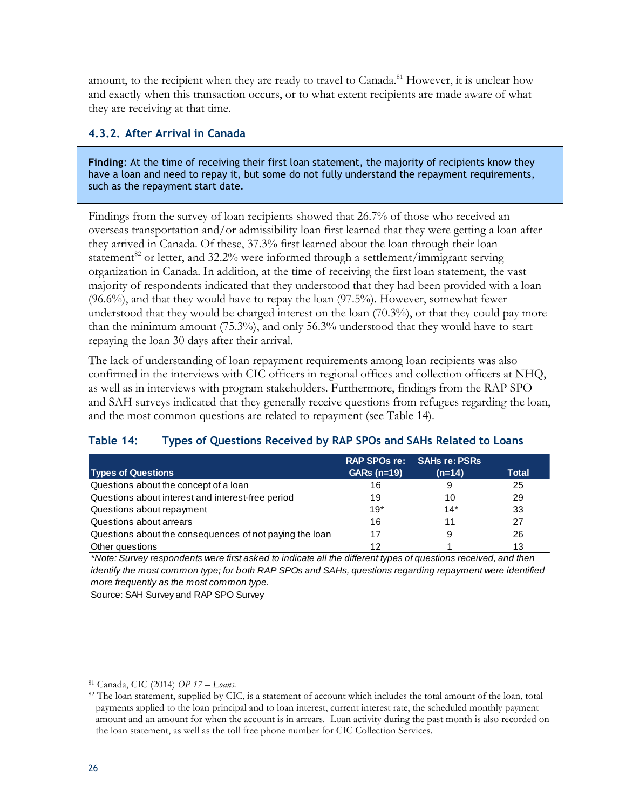amount, to the recipient when they are ready to travel to Canada.<sup>81</sup> However, it is unclear how and exactly when this transaction occurs, or to what extent recipients are made aware of what they are receiving at that time.

#### <span id="page-37-0"></span>**4.3.2. After Arrival in Canada**

**Finding**: At the time of receiving their first loan statement, the majority of recipients know they have a loan and need to repay it, but some do not fully understand the repayment requirements, such as the repayment start date.

Findings from the survey of loan recipients showed that 26.7% of those who received an overseas transportation and/or admissibility loan first learned that they were getting a loan after they arrived in Canada. Of these, 37.3% first learned about the loan through their loan statement<sup>82</sup> or letter, and 32.2% were informed through a settlement/immigrant serving organization in Canada. In addition, at the time of receiving the first loan statement, the vast majority of respondents indicated that they understood that they had been provided with a loan  $(96.6\%)$ , and that they would have to repay the loan  $(97.5\%)$ . However, somewhat fewer understood that they would be charged interest on the loan (70.3%), or that they could pay more than the minimum amount (75.3%), and only 56.3% understood that they would have to start repaying the loan 30 days after their arrival.

The lack of understanding of loan repayment requirements among loan recipients was also confirmed in the interviews with CIC officers in regional offices and collection officers at NHQ, as well as in interviews with program stakeholders. Furthermore, findings from the RAP SPO and SAH surveys indicated that they generally receive questions from refugees regarding the loan, and the most common questions are related to repayment (see Table 14).

### <span id="page-37-1"></span>**Table 14: Types of Questions Received by RAP SPOs and SAHs Related to Loans**

| $I$ avic $I$ .<br>Types of Questions Received by RAF SFOS and SATIS Related to Loans                           |                     |                      |              |  |  |  |
|----------------------------------------------------------------------------------------------------------------|---------------------|----------------------|--------------|--|--|--|
|                                                                                                                | <b>RAP SPOs re:</b> | <b>SAHs re: PSRs</b> |              |  |  |  |
| <b>Types of Questions</b>                                                                                      | <b>GARs (n=19)</b>  | (n=14)               | <b>Total</b> |  |  |  |
| Questions about the concept of a loan                                                                          | 16                  | 9                    | 25           |  |  |  |
| Questions about interest and interest-free period                                                              | 19                  | 10                   | 29           |  |  |  |
| Questions about repayment                                                                                      | $19*$               | $14*$                | 33           |  |  |  |
| Questions about arrears                                                                                        | 16                  | 11                   | 27           |  |  |  |
| Questions about the consequences of not paying the loan                                                        | 17                  | 9                    | 26           |  |  |  |
| Other questions                                                                                                | 12                  |                      | 13           |  |  |  |
| *Note: Survey respondents were first asked to indicate all the different types of questions received, and then |                     |                      |              |  |  |  |

*identify the most common type; for both RAP SPOs and SAHs, questions regarding repayment were identified more frequently as the most common type.*

Source: SAH Survey and RAP SPO Survey

 $\overline{a}$ <sup>81</sup> Canada, CIC (2014) *OP 17 – Loans*.

<sup>82</sup> The loan statement, supplied by CIC, is a statement of account which includes the total amount of the loan, total payments applied to the loan principal and to loan interest, current interest rate, the scheduled monthly payment amount and an amount for when the account is in arrears. Loan activity during the past month is also recorded on the loan statement, as well as the toll free phone number for CIC Collection Services.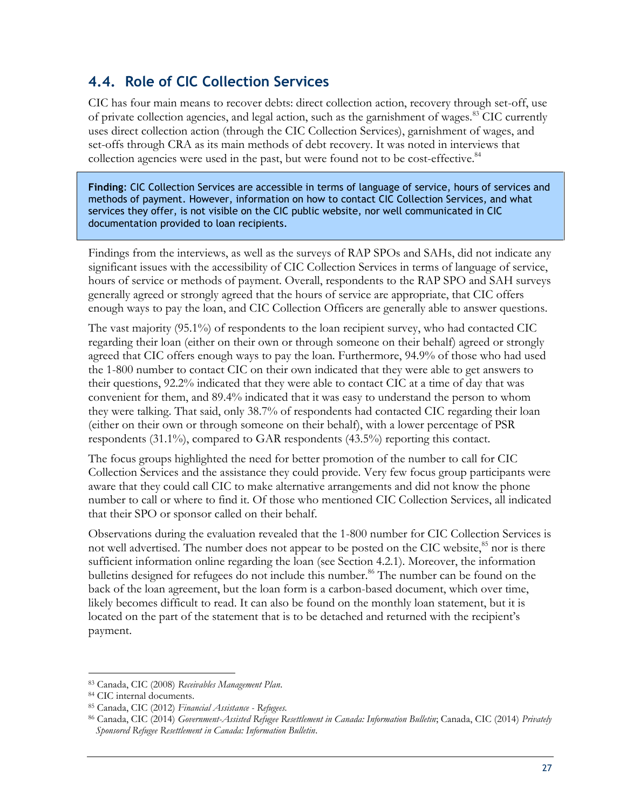### <span id="page-38-0"></span>**4.4. Role of CIC Collection Services**

CIC has four main means to recover debts: direct collection action, recovery through set-off, use of private collection agencies, and legal action, such as the garnishment of wages.<sup>83</sup> CIC currently uses direct collection action (through the CIC Collection Services), garnishment of wages, and set-offs through CRA as its main methods of debt recovery. It was noted in interviews that collection agencies were used in the past, but were found not to be cost-effective.<sup>84</sup>

**Finding**: CIC Collection Services are accessible in terms of language of service, hours of services and methods of payment. However, information on how to contact CIC Collection Services, and what services they offer, is not visible on the CIC public website, nor well communicated in CIC documentation provided to loan recipients.

Findings from the interviews, as well as the surveys of RAP SPOs and SAHs, did not indicate any significant issues with the accessibility of CIC Collection Services in terms of language of service, hours of service or methods of payment. Overall, respondents to the RAP SPO and SAH surveys generally agreed or strongly agreed that the hours of service are appropriate, that CIC offers enough ways to pay the loan, and CIC Collection Officers are generally able to answer questions.

The vast majority (95.1%) of respondents to the loan recipient survey, who had contacted CIC regarding their loan (either on their own or through someone on their behalf) agreed or strongly agreed that CIC offers enough ways to pay the loan. Furthermore, 94.9% of those who had used the 1-800 number to contact CIC on their own indicated that they were able to get answers to their questions, 92.2% indicated that they were able to contact CIC at a time of day that was convenient for them, and 89.4% indicated that it was easy to understand the person to whom they were talking. That said, only 38.7% of respondents had contacted CIC regarding their loan (either on their own or through someone on their behalf), with a lower percentage of PSR respondents (31.1%), compared to GAR respondents (43.5%) reporting this contact.

The focus groups highlighted the need for better promotion of the number to call for CIC Collection Services and the assistance they could provide. Very few focus group participants were aware that they could call CIC to make alternative arrangements and did not know the phone number to call or where to find it. Of those who mentioned CIC Collection Services, all indicated that their SPO or sponsor called on their behalf.

Observations during the evaluation revealed that the 1-800 number for CIC Collection Services is not well advertised. The number does not appear to be posted on the CIC website,<sup>85</sup> nor is there sufficient information online regarding the loan (see Section 4.2.1). Moreover, the information bulletins designed for refugees do not include this number.<sup>86</sup> The number can be found on the back of the loan agreement, but the loan form is a carbon-based document, which over time, likely becomes difficult to read. It can also be found on the monthly loan statement, but it is located on the part of the statement that is to be detached and returned with the recipient's payment.

 $\overline{a}$ <sup>83</sup> Canada, CIC (2008) *Receivables Management Plan*.

<sup>84</sup> CIC internal documents.

<sup>85</sup> Canada, CIC (2012) *Financial Assistance - Refugees.*

<sup>86</sup> Canada, CIC (2014) *Government-Assisted Refugee Resettlement in Canada: Information Bulletin*; Canada, CIC (2014) *Privately Sponsored Refugee Resettlement in Canada: Information Bulletin*.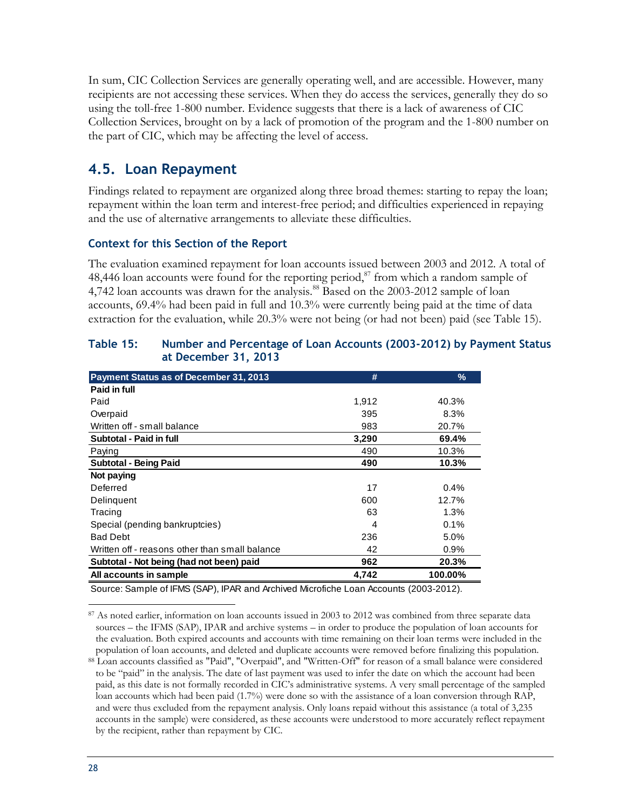In sum, CIC Collection Services are generally operating well, and are accessible. However, many recipients are not accessing these services. When they do access the services, generally they do so using the toll-free 1-800 number. Evidence suggests that there is a lack of awareness of CIC Collection Services, brought on by a lack of promotion of the program and the 1-800 number on the part of CIC, which may be affecting the level of access.

### <span id="page-39-0"></span>**4.5. Loan Repayment**

Findings related to repayment are organized along three broad themes: starting to repay the loan; repayment within the loan term and interest-free period; and difficulties experienced in repaying and the use of alternative arrangements to alleviate these difficulties.

#### **Context for this Section of the Report**

The evaluation examined repayment for loan accounts issued between 2003 and 2012. A total of 48,446 loan accounts were found for the reporting period, $\frac{87}{3}$  from which a random sample of 4,742 loan accounts was drawn for the analysis.<sup>88</sup> Based on the 2003-2012 sample of loan accounts, 69.4% had been paid in full and 10.3% were currently being paid at the time of data extraction for the evaluation, while 20.3% were not being (or had not been) paid (see Table 15).

|                                                | #     | %       |
|------------------------------------------------|-------|---------|
| <b>Payment Status as of December 31, 2013</b>  |       |         |
| Paid in full                                   |       |         |
| Paid                                           | 1,912 | 40.3%   |
| Overpaid                                       | 395   | 8.3%    |
| Written off - small balance                    | 983   | 20.7%   |
| Subtotal - Paid in full                        | 3,290 | 69.4%   |
| Paying                                         | 490   | 10.3%   |
| <b>Subtotal - Being Paid</b>                   | 490   | 10.3%   |
| Not paying                                     |       |         |
| Deferred                                       | 17    | $0.4\%$ |
| Delinguent                                     | 600   | 12.7%   |
| Tracing                                        | 63    | 1.3%    |
| Special (pending bankruptcies)                 | 4     | 0.1%    |
| <b>Bad Debt</b>                                | 236   | 5.0%    |
| Written off - reasons other than small balance | 42    | 0.9%    |
| Subtotal - Not being (had not been) paid       | 962   | 20.3%   |
| All accounts in sample                         | 4,742 | 100.00% |

#### <span id="page-39-1"></span>**Table 15: Number and Percentage of Loan Accounts (2003-2012) by Payment Status at December 31, 2013**

Source: Sample of IFMS (SAP), IPAR and Archived Microfiche Loan Accounts (2003-2012).

 $\overline{a}$ <sup>87</sup> As noted earlier, information on loan accounts issued in 2003 to 2012 was combined from three separate data sources – the IFMS (SAP), IPAR and archive systems – in order to produce the population of loan accounts for the evaluation. Both expired accounts and accounts with time remaining on their loan terms were included in the population of loan accounts, and deleted and duplicate accounts were removed before finalizing this population.

<sup>88</sup> Loan accounts classified as "Paid", "Overpaid", and "Written-Off" for reason of a small balance were considered to be "paid" in the analysis. The date of last payment was used to infer the date on which the account had been paid, as this date is not formally recorded in CIC's administrative systems. A very small percentage of the sampled loan accounts which had been paid (1.7%) were done so with the assistance of a loan conversion through RAP, and were thus excluded from the repayment analysis. Only loans repaid without this assistance (a total of 3,235 accounts in the sample) were considered, as these accounts were understood to more accurately reflect repayment by the recipient, rather than repayment by CIC.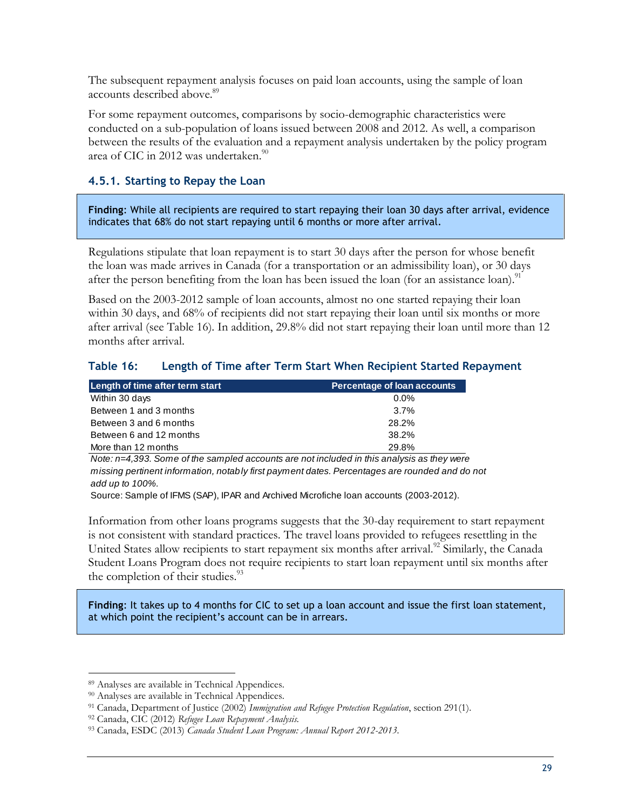The subsequent repayment analysis focuses on paid loan accounts, using the sample of loan accounts described above.<sup>89</sup>

For some repayment outcomes, comparisons by socio-demographic characteristics were conducted on a sub-population of loans issued between 2008 and 2012. As well, a comparison between the results of the evaluation and a repayment analysis undertaken by the policy program area of CIC in 2012 was undertaken.<sup>90</sup>

### <span id="page-40-0"></span>**4.5.1. Starting to Repay the Loan**

**Finding**: While all recipients are required to start repaying their loan 30 days after arrival, evidence indicates that 68% do not start repaying until 6 months or more after arrival.

Regulations stipulate that loan repayment is to start 30 days after the person for whose benefit the loan was made arrives in Canada (for a transportation or an admissibility loan), or 30 days after the person benefiting from the loan has been issued the loan (for an assistance loan).<sup>91</sup>

Based on the 2003-2012 sample of loan accounts, almost no one started repaying their loan within 30 days, and 68% of recipients did not start repaying their loan until six months or more after arrival (see Table 16). In addition, 29.8% did not start repaying their loan until more than 12 months after arrival.

### <span id="page-40-1"></span>**Table 16: Length of Time after Term Start When Recipient Started Repayment**

| Length of time after term start | <b>Percentage of loan accounts</b> |
|---------------------------------|------------------------------------|
| Within 30 days                  | $0.0\%$                            |
| Between 1 and 3 months          | 3.7%                               |
| Between 3 and 6 months          | 28.2%                              |
| Between 6 and 12 months         | 38.2%                              |
| More than 12 months             | 29.8%                              |

*Note: n=4,393. Some of the sampled accounts are not included in this analysis as they were missing pertinent information, notably first payment dates. Percentages are rounded and do not add up to 100%.*

Source: Sample of IFMS (SAP), IPAR and Archived Microfiche loan accounts (2003-2012).

Information from other loans programs suggests that the 30-day requirement to start repayment is not consistent with standard practices. The travel loans provided to refugees resettling in the United States allow recipients to start repayment six months after arrival.<sup>92</sup> Similarly, the Canada Student Loans Program does not require recipients to start loan repayment until six months after the completion of their studies.<sup>93</sup>

**Finding**: It takes up to 4 months for CIC to set up a loan account and issue the first loan statement, at which point the recipient's account can be in arrears.

<sup>89</sup> Analyses are available in Technical Appendices.

<sup>90</sup> Analyses are available in Technical Appendices.

<sup>91</sup> Canada, Department of Justice (2002) *Immigration and Refugee Protection Regulation*, section 291(1).

<sup>92</sup> Canada, CIC (2012) *Refugee Loan Repayment Analysis.*

<sup>93</sup> Canada, ESDC (2013) *Canada Student Loan Program: Annual Report 2012-2013.*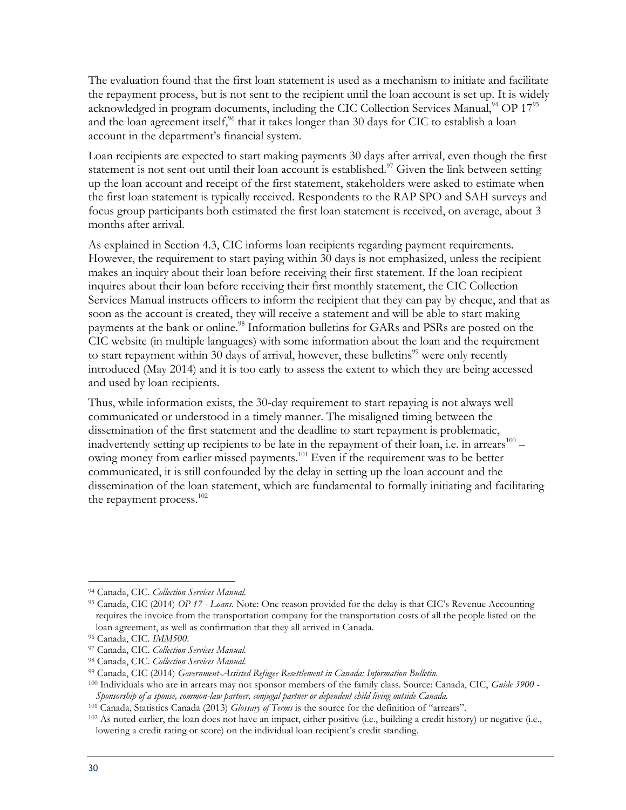The evaluation found that the first loan statement is used as a mechanism to initiate and facilitate the repayment process, but is not sent to the recipient until the loan account is set up. It is widely acknowledged in program documents, including the CIC Collection Services Manual, $^{94}$  OP  $17^{95}$ and the loan agreement itself,<sup>96</sup> that it takes longer than 30 days for CIC to establish a loan account in the department's financial system.

Loan recipients are expected to start making payments 30 days after arrival, even though the first statement is not sent out until their loan account is established.<sup>97</sup> Given the link between setting up the loan account and receipt of the first statement, stakeholders were asked to estimate when the first loan statement is typically received. Respondents to the RAP SPO and SAH surveys and focus group participants both estimated the first loan statement is received, on average, about 3 months after arrival.

As explained in Section 4.3, CIC informs loan recipients regarding payment requirements. However, the requirement to start paying within 30 days is not emphasized, unless the recipient makes an inquiry about their loan before receiving their first statement. If the loan recipient inquires about their loan before receiving their first monthly statement, the CIC Collection Services Manual instructs officers to inform the recipient that they can pay by cheque, and that as soon as the account is created, they will receive a statement and will be able to start making payments at the bank or online.<sup>98</sup> Information bulletins for GARs and PSRs are posted on the CIC website (in multiple languages) with some information about the loan and the requirement to start repayment within 30 days of arrival, however, these bulletins<sup>99</sup> were only recently introduced (May 2014) and it is too early to assess the extent to which they are being accessed and used by loan recipients.

Thus, while information exists, the 30-day requirement to start repaying is not always well communicated or understood in a timely manner. The misaligned timing between the dissemination of the first statement and the deadline to start repayment is problematic, inadvertently setting up recipients to be late in the repayment of their loan, i.e. in arrears  $^{100}$  – owing money from earlier missed payments.<sup>101</sup> Even if the requirement was to be better communicated, it is still confounded by the delay in setting up the loan account and the dissemination of the loan statement, which are fundamental to formally initiating and facilitating the repayment process.<sup>102</sup>

 $\overline{a}$ <sup>94</sup> Canada, CIC. *Collection Services Manual.*

<sup>95</sup> Canada, CIC (2014) *OP 17 - Loans*. Note: One reason provided for the delay is that CIC's Revenue Accounting requires the invoice from the transportation company for the transportation costs of all the people listed on the loan agreement, as well as confirmation that they all arrived in Canada.

<sup>96</sup> Canada, CIC. *IMM500*.

<sup>97</sup> Canada, CIC. *Collection Services Manual.*

<sup>98</sup> Canada, CIC. *Collection Services Manual.*

<sup>99</sup> Canada, CIC (2014) *Government-Assisted Refugee Resettlement in Canada: Information Bulletin.*

<sup>100</sup> Individuals who are in arrears may not sponsor members of the family class. Source: Canada, CIC, *Guide 3900 - Sponsorship of a spouse, common-law partner, conjugal partner or dependent child living outside Canada.*

<sup>101</sup> Canada, Statistics Canada (2013) *Glossary of Terms* is the source for the definition of "arrears".

<sup>102</sup> As noted earlier, the loan does not have an impact, either positive (i.e., building a credit history) or negative (i.e., lowering a credit rating or score) on the individual loan recipient's credit standing.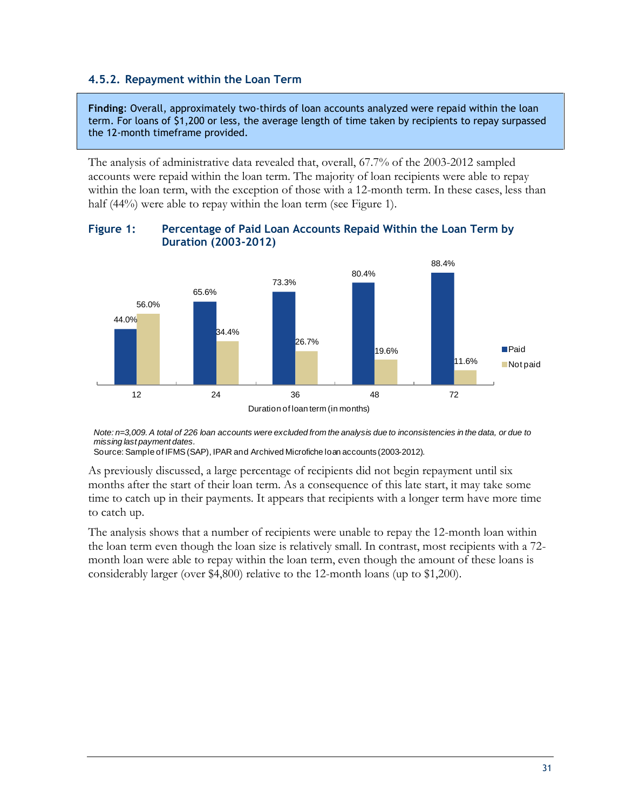### <span id="page-42-0"></span>**4.5.2. Repayment within the Loan Term**

**Finding**: Overall, approximately two-thirds of loan accounts analyzed were repaid within the loan term. For loans of \$1,200 or less, the average length of time taken by recipients to repay surpassed the 12-month timeframe provided.

The analysis of administrative data revealed that, overall, 67.7% of the 2003-2012 sampled accounts were repaid within the loan term. The majority of loan recipients were able to repay within the loan term, with the exception of those with a 12-month term. In these cases, less than half (44%) were able to repay within the loan term (see Figure 1).



#### <span id="page-42-1"></span>**Figure 1: Percentage of Paid Loan Accounts Repaid Within the Loan Term by Duration (2003-2012)**

*Note: n=3,009. A total of 226 loan accounts were excluded from the analysis due to inconsistencies in the data, or due to missing last payment dates.*

Duration of loan term (in months)

Source: Sample of IFMS (SAP), IPAR and Archived Microfiche loan accounts (2003-2012).

As previously discussed, a large percentage of recipients did not begin repayment until six months after the start of their loan term. As a consequence of this late start, it may take some time to catch up in their payments. It appears that recipients with a longer term have more time to catch up.

The analysis shows that a number of recipients were unable to repay the 12-month loan within the loan term even though the loan size is relatively small. In contrast, most recipients with a 72 month loan were able to repay within the loan term, even though the amount of these loans is considerably larger (over \$4,800) relative to the 12-month loans (up to \$1,200).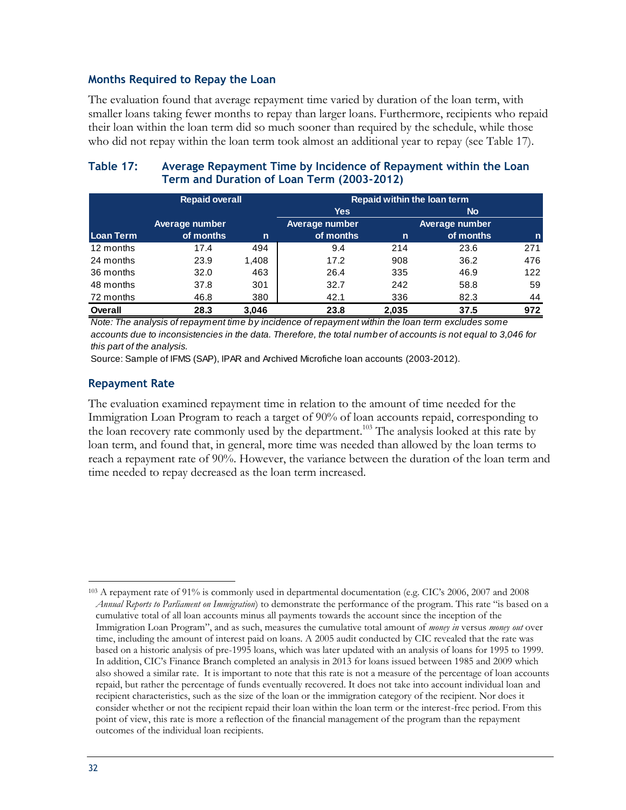#### **Months Required to Repay the Loan**

The evaluation found that average repayment time varied by duration of the loan term, with smaller loans taking fewer months to repay than larger loans. Furthermore, recipients who repaid their loan within the loan term did so much sooner than required by the schedule, while those who did not repay within the loan term took almost an additional year to repay (see Table 17).

#### <span id="page-43-0"></span>**Table 17: Average Repayment Time by Incidence of Repayment within the Loan Term and Duration of Loan Term (2003-2012)**

|           | <b>Repaid overall</b> |       |                | Repaid within the loan term |                |              |  |  |
|-----------|-----------------------|-------|----------------|-----------------------------|----------------|--------------|--|--|
|           |                       |       | <b>Yes</b>     |                             | <b>No</b>      |              |  |  |
|           | Average number        |       | Average number |                             | Average number |              |  |  |
| Loan Term | of months             | n     | of months      | $\mathsf{n}$                | of months      | $\mathsf{n}$ |  |  |
| 12 months | 17.4                  | 494   | 9.4            | 214                         | 23.6           | 271          |  |  |
| 24 months | 23.9                  | 1,408 | 17.2           | 908                         | 36.2           | 476          |  |  |
| 36 months | 32.0                  | 463   | 26.4           | 335                         | 46.9           | 122          |  |  |
| 48 months | 37.8                  | 301   | 32.7           | 242                         | 58.8           | 59           |  |  |
| 72 months | 46.8                  | 380   | 42.1           | 336                         | 82.3           | 44           |  |  |
| Overall   | 28.3                  | 3.046 | 23.8           | 2.035                       | 37.5           | 972          |  |  |

*Note: The analysis of repayment time by incidence of repayment within the loan term excludes some accounts due to inconsistencies in the data. Therefore, the total number of accounts is not equal to 3,046 for this part of the analysis.*

Source: Sample of IFMS (SAP), IPAR and Archived Microfiche loan accounts (2003-2012).

#### **Repayment Rate**

The evaluation examined repayment time in relation to the amount of time needed for the Immigration Loan Program to reach a target of 90% of loan accounts repaid, corresponding to the loan recovery rate commonly used by the department.<sup>103</sup> The analysis looked at this rate by loan term, and found that, in general, more time was needed than allowed by the loan terms to reach a repayment rate of 90%. However, the variance between the duration of the loan term and time needed to repay decreased as the loan term increased.

 $\overline{a}$ <sup>103</sup> A repayment rate of 91% is commonly used in departmental documentation (e.g. CIC's 2006, 2007 and 2008 *Annual Reports to Parliament on Immigration*) to demonstrate the performance of the program. This rate "is based on a cumulative total of all loan accounts minus all payments towards the account since the inception of the Immigration Loan Program", and as such, measures the cumulative total amount of *money in* versus *money out* over time, including the amount of interest paid on loans. A 2005 audit conducted by CIC revealed that the rate was based on a historic analysis of pre-1995 loans, which was later updated with an analysis of loans for 1995 to 1999. In addition, CIC's Finance Branch completed an analysis in 2013 for loans issued between 1985 and 2009 which also showed a similar rate. It is important to note that this rate is not a measure of the percentage of loan accounts repaid, but rather the percentage of funds eventually recovered. It does not take into account individual loan and recipient characteristics, such as the size of the loan or the immigration category of the recipient. Nor does it consider whether or not the recipient repaid their loan within the loan term or the interest-free period. From this point of view, this rate is more a reflection of the financial management of the program than the repayment outcomes of the individual loan recipients.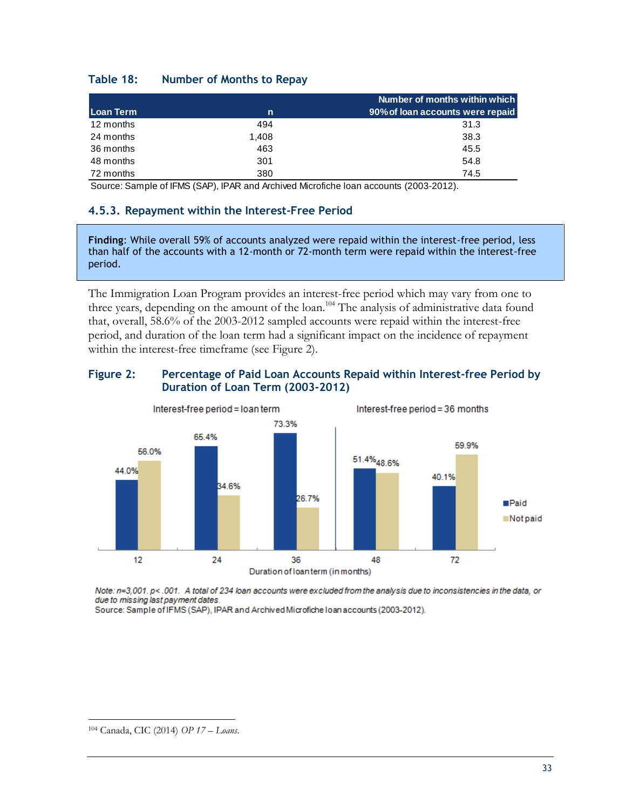#### <span id="page-44-1"></span>**Table 18: Number of Months to Repay**

|           |       | Number of months within which    |
|-----------|-------|----------------------------------|
| Loan Term | n     | 90% of loan accounts were repaid |
| 12 months | 494   | 31.3                             |
| 24 months | 1.408 | 38.3                             |
| 36 months | 463   | 45.5                             |
| 48 months | 301   | 54.8                             |
| 72 months | 380   | 74.5                             |

Source: Sample of IFMS (SAP), IPAR and Archived Microfiche loan accounts (2003-2012).

#### <span id="page-44-0"></span>**4.5.3. Repayment within the Interest-Free Period**

**Finding**: While overall 59% of accounts analyzed were repaid within the interest-free period, less than half of the accounts with a 12-month or 72-month term were repaid within the interest-free period.

The Immigration Loan Program provides an interest-free period which may vary from one to three years, depending on the amount of the loan.<sup>104</sup> The analysis of administrative data found that, overall, 58.6% of the 2003-2012 sampled accounts were repaid within the interest-free period, and duration of the loan term had a significant impact on the incidence of repayment within the interest-free timeframe (see Figure 2).

#### <span id="page-44-2"></span>**Figure 2: Percentage of Paid Loan Accounts Repaid within Interest-free Period by Duration of Loan Term (2003-2012)**



Note: n=3,001. p< .001. A total of 234 loan accounts were excluded from the analysis due to inconsistencies in the data, or due to missing last payment dates.

Source: Sample of IFMS (SAP), IPAR and Archived Microfiche Ioan accounts (2003-2012).

 $\overline{a}$ <sup>104</sup> Canada, CIC (2014) *OP 17 – Loans*.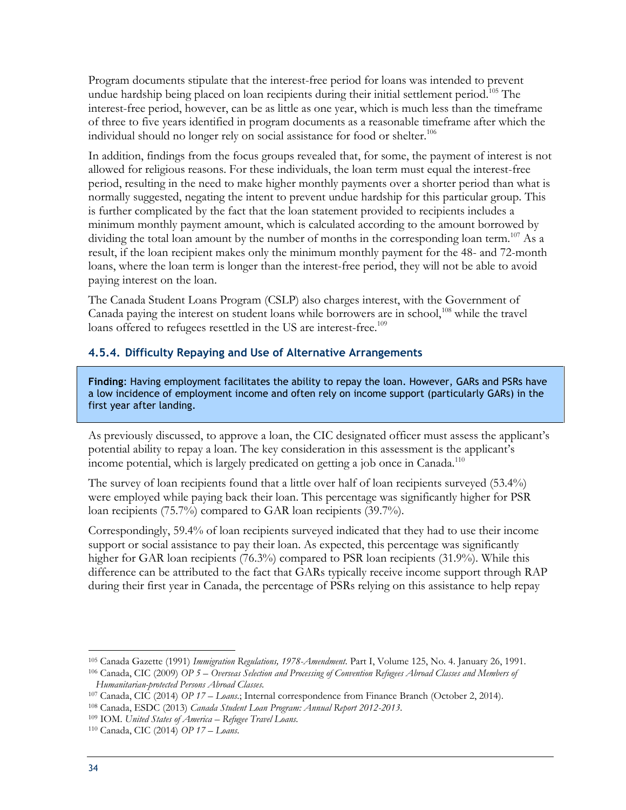Program documents stipulate that the interest-free period for loans was intended to prevent undue hardship being placed on loan recipients during their initial settlement period.<sup>105</sup> The interest-free period, however, can be as little as one year, which is much less than the timeframe of three to five years identified in program documents as a reasonable timeframe after which the individual should no longer rely on social assistance for food or shelter.<sup>106</sup>

In addition, findings from the focus groups revealed that, for some, the payment of interest is not allowed for religious reasons. For these individuals, the loan term must equal the interest-free period, resulting in the need to make higher monthly payments over a shorter period than what is normally suggested, negating the intent to prevent undue hardship for this particular group. This is further complicated by the fact that the loan statement provided to recipients includes a minimum monthly payment amount, which is calculated according to the amount borrowed by dividing the total loan amount by the number of months in the corresponding loan term.<sup>107</sup> As a result, if the loan recipient makes only the minimum monthly payment for the 48- and 72-month loans, where the loan term is longer than the interest-free period, they will not be able to avoid paying interest on the loan.

The Canada Student Loans Program (CSLP) also charges interest, with the Government of Canada paying the interest on student loans while borrowers are in school,<sup>108</sup> while the travel loans offered to refugees resettled in the US are interest-free.<sup>109</sup>

#### <span id="page-45-0"></span>**4.5.4. Difficulty Repaying and Use of Alternative Arrangements**

**Finding**: Having employment facilitates the ability to repay the loan. However, GARs and PSRs have a low incidence of employment income and often rely on income support (particularly GARs) in the first year after landing.

As previously discussed, to approve a loan, the CIC designated officer must assess the applicant's potential ability to repay a loan. The key consideration in this assessment is the applicant's income potential, which is largely predicated on getting a job once in Canada.<sup>110</sup>

The survey of loan recipients found that a little over half of loan recipients surveyed (53.4%) were employed while paying back their loan. This percentage was significantly higher for PSR loan recipients (75.7%) compared to GAR loan recipients (39.7%).

Correspondingly, 59.4% of loan recipients surveyed indicated that they had to use their income support or social assistance to pay their loan. As expected, this percentage was significantly higher for GAR loan recipients (76.3%) compared to PSR loan recipients (31.9%). While this difference can be attributed to the fact that GARs typically receive income support through RAP during their first year in Canada, the percentage of PSRs relying on this assistance to help repay

<sup>105</sup> Canada Gazette (1991) *Immigration Regulations, 1978-Amendment*. Part I, Volume 125, No. 4. January 26, 1991.

<sup>106</sup> Canada, CIC (2009) *OP 5 – Overseas Selection and Processing of Convention Refugees Abroad Classes and Members of Humanitarian-protected Persons Abroad Classes.*

<sup>107</sup> Canada, CIC (2014) *OP 17 – Loans*.; Internal correspondence from Finance Branch (October 2, 2014).

<sup>108</sup> Canada, ESDC (2013) *Canada Student Loan Program: Annual Report 2012-2013*.

<sup>109</sup> IOM. *United States of America* – *Refugee Travel Loans.*

<sup>110</sup> Canada, CIC (2014) *OP 17 – Loans*.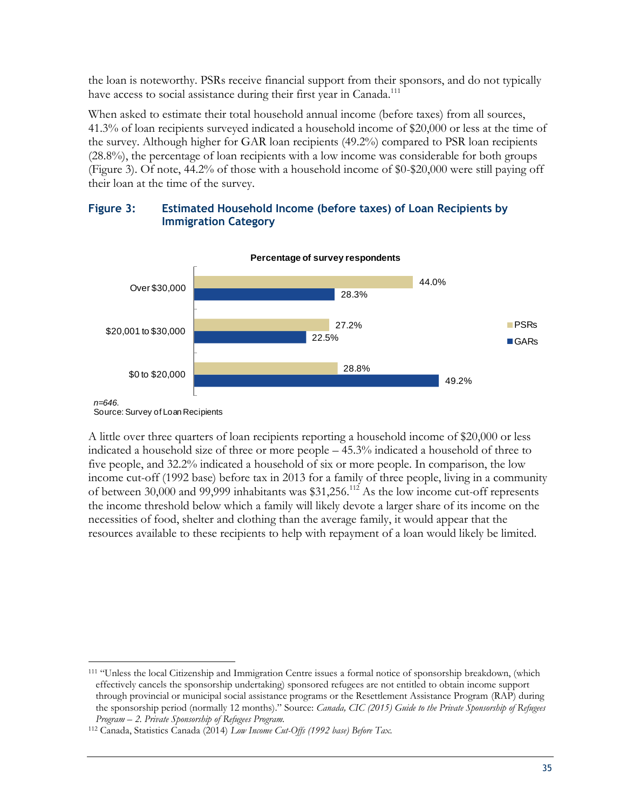the loan is noteworthy. PSRs receive financial support from their sponsors, and do not typically have access to social assistance during their first year in Canada.<sup>111</sup>

When asked to estimate their total household annual income (before taxes) from all sources, 41.3% of loan recipients surveyed indicated a household income of \$20,000 or less at the time of the survey. Although higher for GAR loan recipients (49.2%) compared to PSR loan recipients (28.8%), the percentage of loan recipients with a low income was considerable for both groups (Figure 3). Of note, 44.2% of those with a household income of \$0-\$20,000 were still paying off their loan at the time of the survey.

#### <span id="page-46-0"></span>**Figure 3: Estimated Household Income (before taxes) of Loan Recipients by Immigration Category**



Source: Survey of Loan Recipients

 $\overline{a}$ 

A little over three quarters of loan recipients reporting a household income of \$20,000 or less indicated a household size of three or more people – 45.3% indicated a household of three to five people, and 32.2% indicated a household of six or more people. In comparison, the low income cut-off (1992 base) before tax in 2013 for a family of three people, living in a community of between 30,000 and 99,999 inhabitants was  $$31,256$ .<sup>112</sup> As the low income cut-off represents the income threshold below which a family will likely devote a larger share of its income on the necessities of food, shelter and clothing than the average family, it would appear that the resources available to these recipients to help with repayment of a loan would likely be limited.

<sup>111</sup> "Unless the local Citizenship and Immigration Centre issues a formal notice of sponsorship breakdown, (which effectively cancels the sponsorship undertaking) sponsored refugees are not entitled to obtain income support through provincial or municipal social assistance programs or the Resettlement Assistance Program (RAP) during the sponsorship period (normally 12 months)." Source: *Canada, CIC (2015) Guide to the Private Sponsorship of Refugees Program – 2. Private Sponsorship of Refugees Program.*

<sup>112</sup> Canada, Statistics Canada (2014) *Low Income Cut-Offs (1992 base) Before Tax.*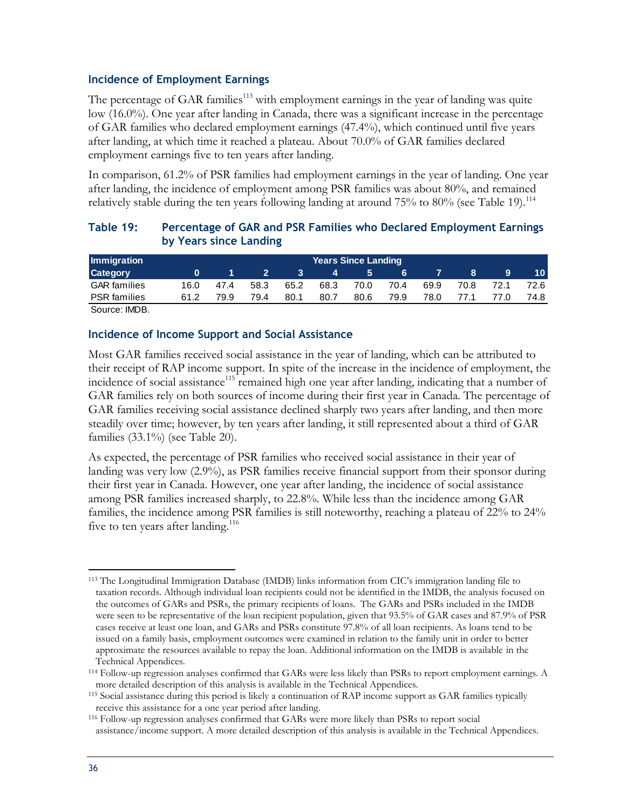#### **Incidence of Employment Earnings**

The percentage of GAR families<sup>113</sup> with employment earnings in the year of landing was quite low (16.0%). One year after landing in Canada, there was a significant increase in the percentage of GAR families who declared employment earnings (47.4%), which continued until five years after landing, at which time it reached a plateau. About 70.0% of GAR families declared employment earnings five to ten years after landing.

In comparison, 61.2% of PSR families had employment earnings in the year of landing. One year after landing, the incidence of employment among PSR families was about 80%, and remained relatively stable during the ten years following landing at around  $75\%$  to  $80\%$  (see Table 19).<sup>114</sup>

#### <span id="page-47-0"></span>**Table 19: Percentage of GAR and PSR Families who Declared Employment Earnings by Years since Landing**

| Immigration         |      | <b>Years Since Landing</b> |      |      |      |      |      |      |      |      |      |
|---------------------|------|----------------------------|------|------|------|------|------|------|------|------|------|
| <b>Category</b>     |      |                            |      |      | 4    | 5    | 6    |      | 8    | 9    | 10 l |
| <b>GAR</b> families | 16.0 | 47.4                       | 58.3 | 65.2 | 68.3 | 70.0 | 70.4 | 69.9 | 70.8 | 72 1 | 72.6 |
| <b>PSR</b> families | 61.2 | 79.9                       | 79.4 | 80.1 | 80.7 | 80.6 | 79.9 | 78.0 | 77.1 | 77 N | 74.8 |
|                     |      |                            |      |      |      |      |      |      |      |      |      |

Source: IMDB.

#### **Incidence of Income Support and Social Assistance**

Most GAR families received social assistance in the year of landing, which can be attributed to their receipt of RAP income support. In spite of the increase in the incidence of employment, the incidence of social assistance<sup>115</sup> remained high one year after landing, indicating that a number of GAR families rely on both sources of income during their first year in Canada. The percentage of GAR families receiving social assistance declined sharply two years after landing, and then more steadily over time; however, by ten years after landing, it still represented about a third of GAR families (33.1%) (see Table 20).

As expected, the percentage of PSR families who received social assistance in their year of landing was very low (2.9%), as PSR families receive financial support from their sponsor during their first year in Canada. However, one year after landing, the incidence of social assistance among PSR families increased sharply, to 22.8%. While less than the incidence among GAR families, the incidence among PSR families is still noteworthy, reaching a plateau of 22% to 24% five to ten years after landing.<sup>116</sup>

 $\overline{a}$ <sup>113</sup> The Longitudinal Immigration Database (IMDB) links information from CIC's immigration landing file to taxation records. Although individual loan recipients could not be identified in the IMDB, the analysis focused on the outcomes of GARs and PSRs, the primary recipients of loans. The GARs and PSRs included in the IMDB were seen to be representative of the loan recipient population, given that 93.5% of GAR cases and 87.9% of PSR cases receive at least one loan, and GARs and PSRs constitute 97.8% of all loan recipients. As loans tend to be issued on a family basis, employment outcomes were examined in relation to the family unit in order to better approximate the resources available to repay the loan. Additional information on the IMDB is available in the Technical Appendices.

<sup>114</sup> Follow-up regression analyses confirmed that GARs were less likely than PSRs to report employment earnings. A more detailed description of this analysis is available in the Technical Appendices.

<sup>115</sup> Social assistance during this period is likely a continuation of RAP income support as GAR families typically receive this assistance for a one year period after landing.

<sup>116</sup> Follow-up regression analyses confirmed that GARs were more likely than PSRs to report social assistance/income support. A more detailed description of this analysis is available in the Technical Appendices.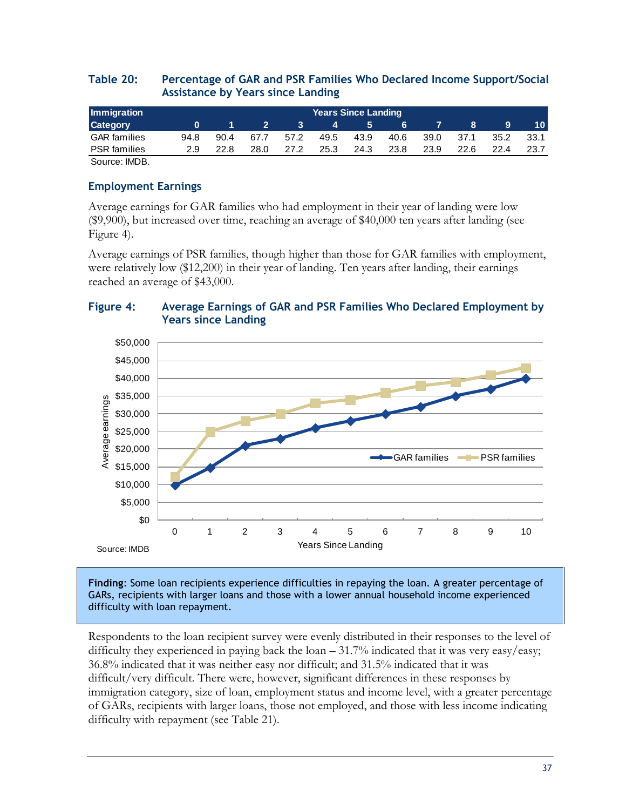#### <span id="page-48-0"></span>**Table 20: Percentage of GAR and PSR Families Who Declared Income Support/Social Assistance by Years since Landing**

| Immigration                          |      | <b>Years Since Landing</b> |      |      |      |      |      |      |      |      |      |
|--------------------------------------|------|----------------------------|------|------|------|------|------|------|------|------|------|
| <b>Category</b>                      |      |                            |      |      | 4    | 5    | 6    |      |      | 9    | 10   |
| <b>GAR</b> families                  | 94.8 | 90.4                       | 67.7 | 57.2 | 49.5 | 43.9 | 40.6 | 39.0 | 37.1 | 35.2 | 33.1 |
| <b>PSR</b> families                  | 2.9  | 22.8                       | 28.0 | 27.2 | 25.3 | 24.3 | 23.8 | 23.9 | 22.6 | 22.4 |      |
| $\sim$<br>$\cdots$ $\cdots$ $\cdots$ |      |                            |      |      |      |      |      |      |      |      |      |

Source: IMDB.

### **Employment Earnings**

Average earnings for GAR families who had employment in their year of landing were low (\$9,900), but increased over time, reaching an average of \$40,000 ten years after landing (see Figure 4).

Average earnings of PSR families, though higher than those for GAR families with employment, were relatively low (\$12,200) in their year of landing. Ten years after landing, their earnings reached an average of \$43,000.

#### <span id="page-48-1"></span>**Figure 4: Average Earnings of GAR and PSR Families Who Declared Employment by Years since Landing**



**Finding**: Some loan recipients experience difficulties in repaying the loan. A greater percentage of GARs, recipients with larger loans and those with a lower annual household income experienced difficulty with loan repayment.

Respondents to the loan recipient survey were evenly distributed in their responses to the level of difficulty they experienced in paying back the loan – 31.7% indicated that it was very easy/easy; 36.8% indicated that it was neither easy nor difficult; and 31.5% indicated that it was difficult/very difficult. There were, however, significant differences in these responses by immigration category, size of loan, employment status and income level, with a greater percentage of GARs, recipients with larger loans, those not employed, and those with less income indicating difficulty with repayment (see Table 21).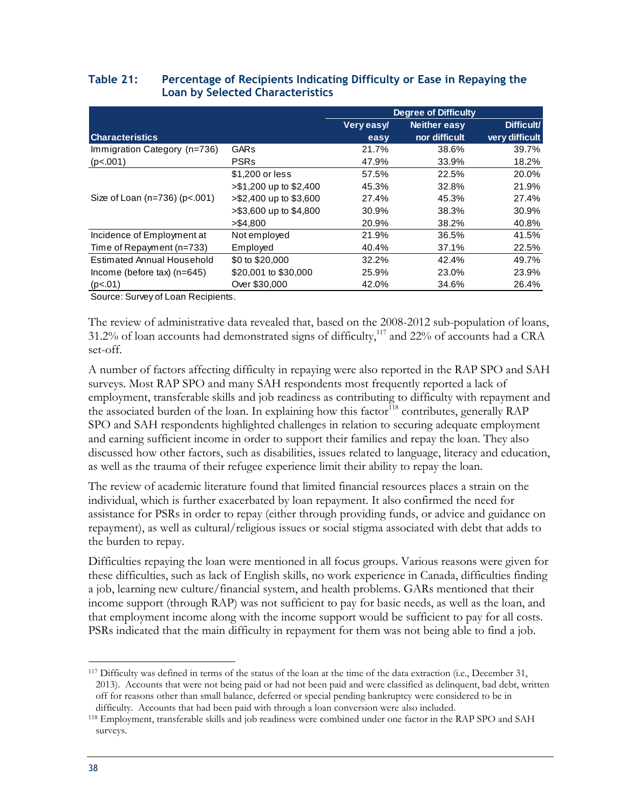|                                     |                        | <b>Degree of Difficulty</b> |                     |                |  |
|-------------------------------------|------------------------|-----------------------------|---------------------|----------------|--|
|                                     |                        | Very easy/                  | <b>Neither easy</b> | Difficult/     |  |
| <b>Characteristics</b>              |                        | easy                        | nor difficult       | very difficult |  |
| Immigration Category (n=736)        | <b>GARs</b>            | 21.7%                       | 38.6%               | 39.7%          |  |
| (p<.001)                            | <b>PSRs</b>            | 47.9%                       | 33.9%               | 18.2%          |  |
|                                     | \$1,200 or less        | 57.5%                       | 22.5%               | 20.0%          |  |
|                                     | >\$1,200 up to \$2,400 | 45.3%                       | 32.8%               | 21.9%          |  |
| Size of Loan $(n=736)$ ( $p<.001$ ) | >\$2,400 up to \$3,600 | 27.4%                       | 45.3%               | 27.4%          |  |
|                                     | >\$3,600 up to \$4,800 | 30.9%                       | 38.3%               | 30.9%          |  |
|                                     | > \$4,800              | 20.9%                       | 38.2%               | 40.8%          |  |
| Incidence of Employment at          | Not employed           | 21.9%                       | 36.5%               | 41.5%          |  |
| Time of Repayment (n=733)           | Employed               | 40.4%                       | 37.1%               | 22.5%          |  |
| Estimated Annual Household          | \$0 to \$20,000        | 32.2%                       | 42.4%               | 49.7%          |  |
| Income (before $tax$ ) (n=645)      | \$20,001 to \$30,000   | 25.9%                       | 23.0%               | 23.9%          |  |
| (p<.01)                             | Over \$30,000          | 42.0%                       | 34.6%               | 26.4%          |  |

#### <span id="page-49-0"></span>**Table 21: Percentage of Recipients Indicating Difficulty or Ease in Repaying the Loan by Selected Characteristics**

Source: Survey of Loan Recipients.

The review of administrative data revealed that, based on the 2008-2012 sub-population of loans, 31.2% of loan accounts had demonstrated signs of difficulty,<sup>117</sup> and 22% of accounts had a CRA set-off.

A number of factors affecting difficulty in repaying were also reported in the RAP SPO and SAH surveys. Most RAP SPO and many SAH respondents most frequently reported a lack of employment, transferable skills and job readiness as contributing to difficulty with repayment and the associated burden of the loan. In explaining how this factor<sup>118</sup> contributes, generally RAP SPO and SAH respondents highlighted challenges in relation to securing adequate employment and earning sufficient income in order to support their families and repay the loan. They also discussed how other factors, such as disabilities, issues related to language, literacy and education, as well as the trauma of their refugee experience limit their ability to repay the loan.

The review of academic literature found that limited financial resources places a strain on the individual, which is further exacerbated by loan repayment. It also confirmed the need for assistance for PSRs in order to repay (either through providing funds, or advice and guidance on repayment), as well as cultural/religious issues or social stigma associated with debt that adds to the burden to repay.

Difficulties repaying the loan were mentioned in all focus groups. Various reasons were given for these difficulties, such as lack of English skills, no work experience in Canada, difficulties finding a job, learning new culture/financial system, and health problems. GARs mentioned that their income support (through RAP) was not sufficient to pay for basic needs, as well as the loan, and that employment income along with the income support would be sufficient to pay for all costs. PSRs indicated that the main difficulty in repayment for them was not being able to find a job.

<sup>117</sup> Difficulty was defined in terms of the status of the loan at the time of the data extraction (i.e., December 31, 2013). Accounts that were not being paid or had not been paid and were classified as delinquent, bad debt, written off for reasons other than small balance, deferred or special pending bankruptcy were considered to be in difficulty. Accounts that had been paid with through a loan conversion were also included.

<sup>118</sup> Employment, transferable skills and job readiness were combined under one factor in the RAP SPO and SAH surveys.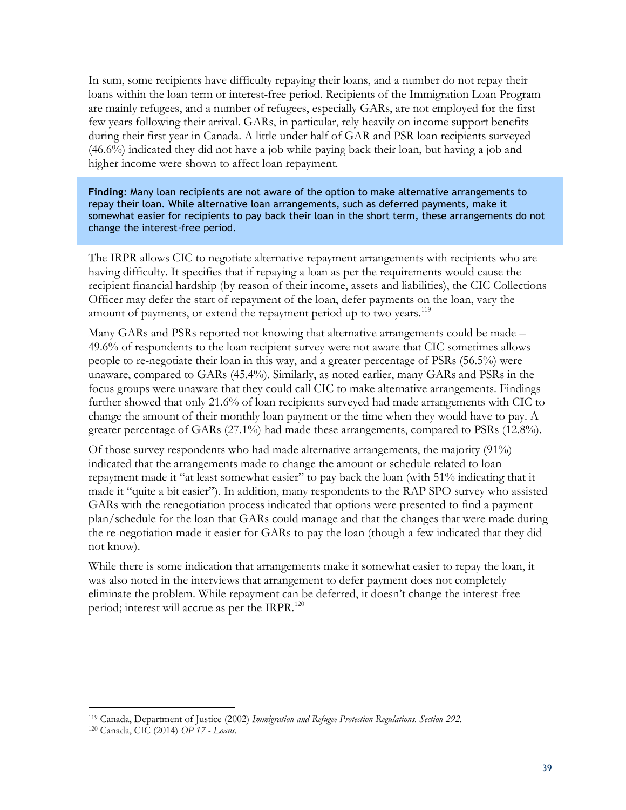In sum, some recipients have difficulty repaying their loans, and a number do not repay their loans within the loan term or interest-free period. Recipients of the Immigration Loan Program are mainly refugees, and a number of refugees, especially GARs, are not employed for the first few years following their arrival. GARs, in particular, rely heavily on income support benefits during their first year in Canada. A little under half of GAR and PSR loan recipients surveyed (46.6%) indicated they did not have a job while paying back their loan, but having a job and higher income were shown to affect loan repayment.

**Finding**: Many loan recipients are not aware of the option to make alternative arrangements to repay their loan. While alternative loan arrangements, such as deferred payments, make it somewhat easier for recipients to pay back their loan in the short term, these arrangements do not change the interest-free period.

The IRPR allows CIC to negotiate alternative repayment arrangements with recipients who are having difficulty. It specifies that if repaying a loan as per the requirements would cause the recipient financial hardship (by reason of their income, assets and liabilities), the CIC Collections Officer may defer the start of repayment of the loan, defer payments on the loan, vary the amount of payments, or extend the repayment period up to two years.<sup>119</sup>

Many GARs and PSRs reported not knowing that alternative arrangements could be made – 49.6% of respondents to the loan recipient survey were not aware that CIC sometimes allows people to re-negotiate their loan in this way, and a greater percentage of PSRs (56.5%) were unaware, compared to GARs (45.4%). Similarly, as noted earlier, many GARs and PSRs in the focus groups were unaware that they could call CIC to make alternative arrangements. Findings further showed that only 21.6% of loan recipients surveyed had made arrangements with CIC to change the amount of their monthly loan payment or the time when they would have to pay. A greater percentage of GARs (27.1%) had made these arrangements, compared to PSRs (12.8%).

Of those survey respondents who had made alternative arrangements, the majority (91%) indicated that the arrangements made to change the amount or schedule related to loan repayment made it "at least somewhat easier" to pay back the loan (with 51% indicating that it made it "quite a bit easier"). In addition, many respondents to the RAP SPO survey who assisted GARs with the renegotiation process indicated that options were presented to find a payment plan/schedule for the loan that GARs could manage and that the changes that were made during the re-negotiation made it easier for GARs to pay the loan (though a few indicated that they did not know).

While there is some indication that arrangements make it somewhat easier to repay the loan, it was also noted in the interviews that arrangement to defer payment does not completely eliminate the problem. While repayment can be deferred, it doesn't change the interest-free period; interest will accrue as per the IRPR.<sup>120</sup>

<sup>119</sup> Canada, Department of Justice (2002) *Immigration and Refugee Protection Regulations. Section 292.*

<sup>120</sup> Canada, CIC (2014) *OP 17 - Loans*.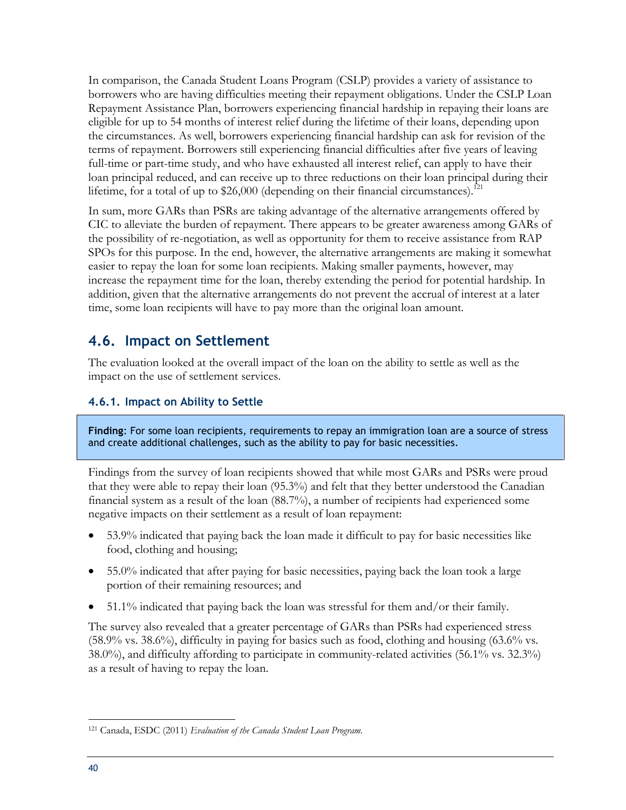In comparison, the Canada Student Loans Program (CSLP) provides a variety of assistance to borrowers who are having difficulties meeting their repayment obligations. Under the CSLP Loan Repayment Assistance Plan, borrowers experiencing financial hardship in repaying their loans are eligible for up to 54 months of interest relief during the lifetime of their loans, depending upon the circumstances. As well, borrowers experiencing financial hardship can ask for revision of the terms of repayment. Borrowers still experiencing financial difficulties after five years of leaving full-time or part-time study, and who have exhausted all interest relief, can apply to have their loan principal reduced, and can receive up to three reductions on their loan principal during their lifetime, for a total of up to  $$26,000$  (depending on their financial circumstances).<sup>121</sup>

In sum, more GARs than PSRs are taking advantage of the alternative arrangements offered by CIC to alleviate the burden of repayment. There appears to be greater awareness among GARs of the possibility of re-negotiation, as well as opportunity for them to receive assistance from RAP SPOs for this purpose. In the end, however, the alternative arrangements are making it somewhat easier to repay the loan for some loan recipients. Making smaller payments, however, may increase the repayment time for the loan, thereby extending the period for potential hardship. In addition, given that the alternative arrangements do not prevent the accrual of interest at a later time, some loan recipients will have to pay more than the original loan amount.

### <span id="page-51-0"></span>**4.6. Impact on Settlement**

The evaluation looked at the overall impact of the loan on the ability to settle as well as the impact on the use of settlement services.

### <span id="page-51-1"></span>**4.6.1. Impact on Ability to Settle**

**Finding**: For some loan recipients, requirements to repay an immigration loan are a source of stress and create additional challenges, such as the ability to pay for basic necessities.

Findings from the survey of loan recipients showed that while most GARs and PSRs were proud that they were able to repay their loan (95.3%) and felt that they better understood the Canadian financial system as a result of the loan (88.7%), a number of recipients had experienced some negative impacts on their settlement as a result of loan repayment:

- 53.9% indicated that paying back the loan made it difficult to pay for basic necessities like food, clothing and housing;
- 55.0% indicated that after paying for basic necessities, paying back the loan took a large portion of their remaining resources; and
- 51.1% indicated that paying back the loan was stressful for them and/or their family.

The survey also revealed that a greater percentage of GARs than PSRs had experienced stress (58.9% vs. 38.6%), difficulty in paying for basics such as food, clothing and housing (63.6% vs. 38.0%), and difficulty affording to participate in community-related activities (56.1% vs. 32.3%) as a result of having to repay the loan.

 $\overline{a}$ <sup>121</sup> Canada, ESDC (2011) *Evaluation of the Canada Student Loan Program.*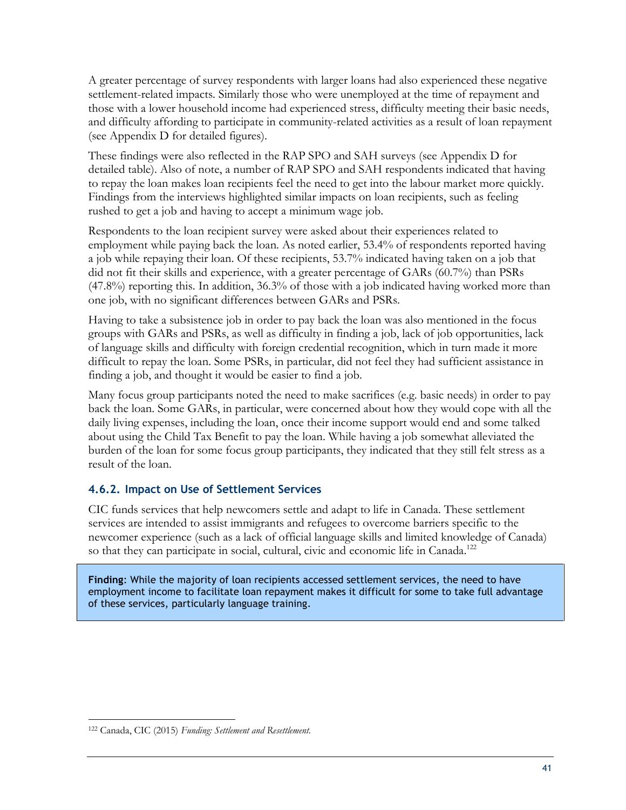A greater percentage of survey respondents with larger loans had also experienced these negative settlement-related impacts. Similarly those who were unemployed at the time of repayment and those with a lower household income had experienced stress, difficulty meeting their basic needs, and difficulty affording to participate in community-related activities as a result of loan repayment (see Appendix D for detailed figures).

These findings were also reflected in the RAP SPO and SAH surveys (see Appendix D for detailed table). Also of note, a number of RAP SPO and SAH respondents indicated that having to repay the loan makes loan recipients feel the need to get into the labour market more quickly. Findings from the interviews highlighted similar impacts on loan recipients, such as feeling rushed to get a job and having to accept a minimum wage job.

Respondents to the loan recipient survey were asked about their experiences related to employment while paying back the loan. As noted earlier, 53.4% of respondents reported having a job while repaying their loan. Of these recipients, 53.7% indicated having taken on a job that did not fit their skills and experience, with a greater percentage of GARs (60.7%) than PSRs (47.8%) reporting this. In addition, 36.3% of those with a job indicated having worked more than one job, with no significant differences between GARs and PSRs.

Having to take a subsistence job in order to pay back the loan was also mentioned in the focus groups with GARs and PSRs, as well as difficulty in finding a job, lack of job opportunities, lack of language skills and difficulty with foreign credential recognition, which in turn made it more difficult to repay the loan. Some PSRs, in particular, did not feel they had sufficient assistance in finding a job, and thought it would be easier to find a job.

Many focus group participants noted the need to make sacrifices (e.g. basic needs) in order to pay back the loan. Some GARs, in particular, were concerned about how they would cope with all the daily living expenses, including the loan, once their income support would end and some talked about using the Child Tax Benefit to pay the loan. While having a job somewhat alleviated the burden of the loan for some focus group participants, they indicated that they still felt stress as a result of the loan.

### <span id="page-52-0"></span>**4.6.2. Impact on Use of Settlement Services**

CIC funds services that help newcomers settle and adapt to life in Canada. These settlement services are intended to assist immigrants and refugees to overcome barriers specific to the newcomer experience (such as a lack of official language skills and limited knowledge of Canada) so that they can participate in social, cultural, civic and economic life in Canada.<sup>122</sup>

**Finding**: While the majority of loan recipients accessed settlement services, the need to have employment income to facilitate loan repayment makes it difficult for some to take full advantage of these services, particularly language training.

 $\overline{a}$ <sup>122</sup> Canada, CIC (2015) *Funding: Settlement and Resettlement.*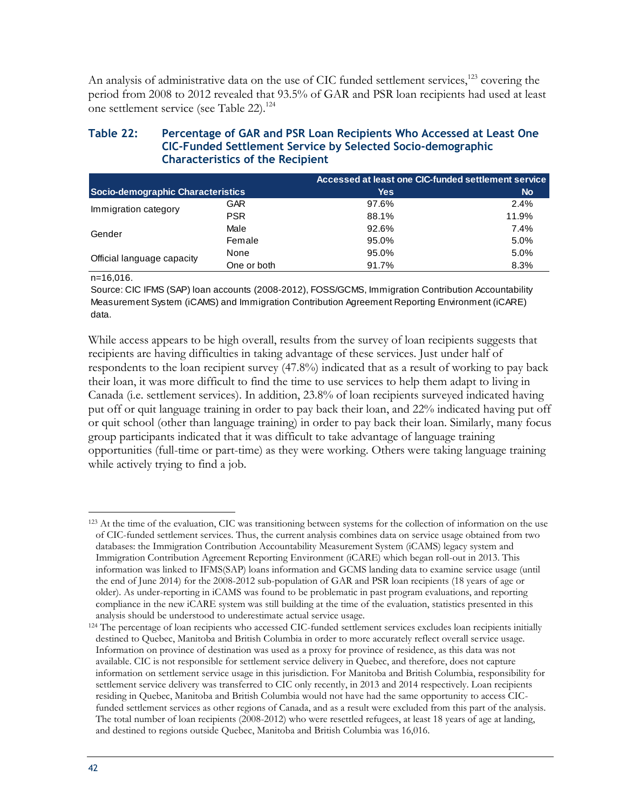An analysis of administrative data on the use of CIC funded settlement services,<sup>123</sup> covering the period from 2008 to 2012 revealed that 93.5% of GAR and PSR loan recipients had used at least one settlement service (see Table 22).<sup>124</sup>

#### <span id="page-53-0"></span>**Table 22: Percentage of GAR and PSR Loan Recipients Who Accessed at Least One CIC-Funded Settlement Service by Selected Socio-demographic Characteristics of the Recipient**

|                                   |             | Accessed at least one CIC-funded settlement service |           |
|-----------------------------------|-------------|-----------------------------------------------------|-----------|
| Socio-demographic Characteristics |             | <b>Yes</b>                                          | <b>No</b> |
| Immigration category              | GAR.        | 97.6%                                               | 2.4%      |
|                                   | <b>PSR</b>  | 88.1%                                               | 11.9%     |
| Gender                            | Male        | 92.6%                                               | 7.4%      |
|                                   | Female      | 95.0%                                               | 5.0%      |
| Official language capacity        | None        | 95.0%                                               | 5.0%      |
|                                   | One or both | 91.7%                                               | 8.3%      |

n=16,016.

Source: CIC IFMS (SAP) loan accounts (2008-2012), FOSS/GCMS, Immigration Contribution Accountability Measurement System (iCAMS) and Immigration Contribution Agreement Reporting Environment (iCARE) data.

While access appears to be high overall, results from the survey of loan recipients suggests that recipients are having difficulties in taking advantage of these services. Just under half of respondents to the loan recipient survey (47.8%) indicated that as a result of working to pay back their loan, it was more difficult to find the time to use services to help them adapt to living in Canada (i.e. settlement services). In addition, 23.8% of loan recipients surveyed indicated having put off or quit language training in order to pay back their loan, and 22% indicated having put off or quit school (other than language training) in order to pay back their loan. Similarly, many focus group participants indicated that it was difficult to take advantage of language training opportunities (full-time or part-time) as they were working. Others were taking language training while actively trying to find a job.

 $\overline{a}$ <sup>123</sup> At the time of the evaluation, CIC was transitioning between systems for the collection of information on the use of CIC-funded settlement services. Thus, the current analysis combines data on service usage obtained from two databases: the Immigration Contribution Accountability Measurement System (iCAMS) legacy system and Immigration Contribution Agreement Reporting Environment (iCARE) which began roll-out in 2013. This information was linked to IFMS(SAP) loans information and GCMS landing data to examine service usage (until the end of June 2014) for the 2008-2012 sub-population of GAR and PSR loan recipients (18 years of age or older). As under-reporting in iCAMS was found to be problematic in past program evaluations, and reporting compliance in the new iCARE system was still building at the time of the evaluation, statistics presented in this analysis should be understood to underestimate actual service usage.

<sup>&</sup>lt;sup>124</sup> The percentage of loan recipients who accessed CIC-funded settlement services excludes loan recipients initially destined to Quebec, Manitoba and British Columbia in order to more accurately reflect overall service usage. Information on province of destination was used as a proxy for province of residence, as this data was not available. CIC is not responsible for settlement service delivery in Quebec, and therefore, does not capture information on settlement service usage in this jurisdiction. For Manitoba and British Columbia, responsibility for settlement service delivery was transferred to CIC only recently, in 2013 and 2014 respectively. Loan recipients residing in Quebec, Manitoba and British Columbia would not have had the same opportunity to access CICfunded settlement services as other regions of Canada, and as a result were excluded from this part of the analysis. The total number of loan recipients (2008-2012) who were resettled refugees, at least 18 years of age at landing, and destined to regions outside Quebec, Manitoba and British Columbia was 16,016.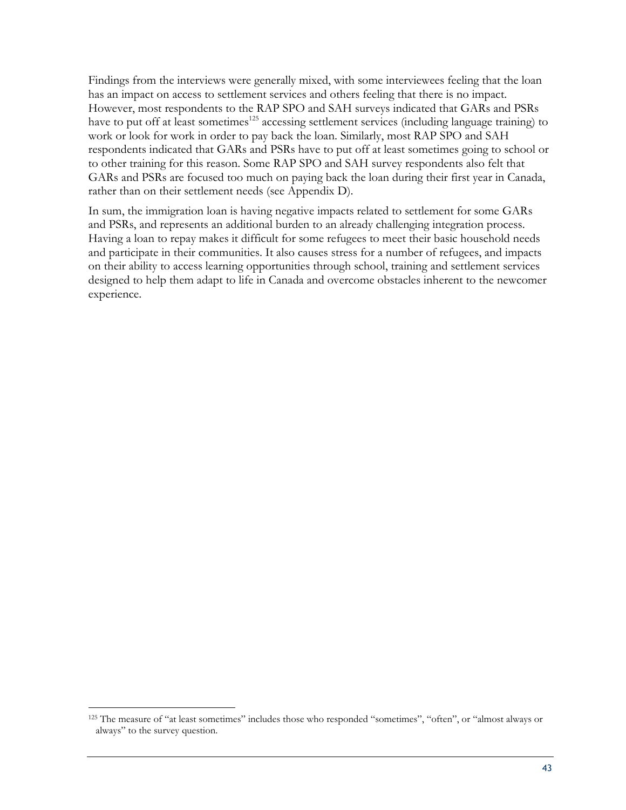Findings from the interviews were generally mixed, with some interviewees feeling that the loan has an impact on access to settlement services and others feeling that there is no impact. However, most respondents to the RAP SPO and SAH surveys indicated that GARs and PSRs have to put off at least sometimes<sup>125</sup> accessing settlement services (including language training) to work or look for work in order to pay back the loan. Similarly, most RAP SPO and SAH respondents indicated that GARs and PSRs have to put off at least sometimes going to school or to other training for this reason. Some RAP SPO and SAH survey respondents also felt that GARs and PSRs are focused too much on paying back the loan during their first year in Canada, rather than on their settlement needs (see Appendix D).

In sum, the immigration loan is having negative impacts related to settlement for some GARs and PSRs, and represents an additional burden to an already challenging integration process. Having a loan to repay makes it difficult for some refugees to meet their basic household needs and participate in their communities. It also causes stress for a number of refugees, and impacts on their ability to access learning opportunities through school, training and settlement services designed to help them adapt to life in Canada and overcome obstacles inherent to the newcomer experience.

<sup>125</sup> The measure of "at least sometimes" includes those who responded "sometimes", "often", or "almost always or always" to the survey question.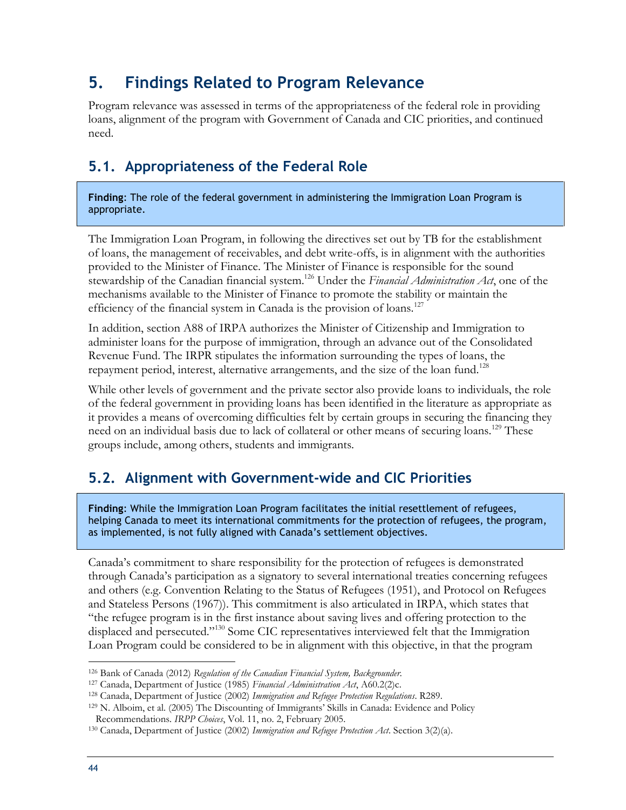### <span id="page-55-0"></span>**5. Findings Related to Program Relevance**

Program relevance was assessed in terms of the appropriateness of the federal role in providing loans, alignment of the program with Government of Canada and CIC priorities, and continued need.

### <span id="page-55-1"></span>**5.1. Appropriateness of the Federal Role**

**Finding**: The role of the federal government in administering the Immigration Loan Program is appropriate.

The Immigration Loan Program, in following the directives set out by TB for the establishment of loans, the management of receivables, and debt write-offs, is in alignment with the authorities provided to the Minister of Finance. The Minister of Finance is responsible for the sound stewardship of the Canadian financial system.<sup>126</sup> Under the *Financial Administration Act*, one of the mechanisms available to the Minister of Finance to promote the stability or maintain the efficiency of the financial system in Canada is the provision of loans.<sup>127</sup>

In addition, section A88 of IRPA authorizes the Minister of Citizenship and Immigration to administer loans for the purpose of immigration, through an advance out of the Consolidated Revenue Fund. The IRPR stipulates the information surrounding the types of loans, the repayment period, interest, alternative arrangements, and the size of the loan fund.<sup>128</sup>

While other levels of government and the private sector also provide loans to individuals, the role of the federal government in providing loans has been identified in the literature as appropriate as it provides a means of overcoming difficulties felt by certain groups in securing the financing they need on an individual basis due to lack of collateral or other means of securing loans.<sup>129</sup> These groups include, among others, students and immigrants.

### <span id="page-55-2"></span>**5.2. Alignment with Government-wide and CIC Priorities**

**Finding**: While the Immigration Loan Program facilitates the initial resettlement of refugees, helping Canada to meet its international commitments for the protection of refugees, the program, as implemented, is not fully aligned with Canada's settlement objectives.

Canada's commitment to share responsibility for the protection of refugees is demonstrated through Canada's participation as a signatory to several international treaties concerning refugees and others (e.g. Convention Relating to the Status of Refugees (1951), and Protocol on Refugees and Stateless Persons (1967)). This commitment is also articulated in IRPA, which states that "the refugee program is in the first instance about saving lives and offering protection to the displaced and persecuted."<sup>130</sup> Some CIC representatives interviewed felt that the Immigration Loan Program could be considered to be in alignment with this objective, in that the program

<sup>126</sup> Bank of Canada (2012) *Regulation of the Canadian Financial System, Backgrounder.*

<sup>127</sup> Canada, Department of Justice (1985) *Financial Administration Act*, A60.2(2)c.

<sup>128</sup> Canada, Department of Justice (2002) *Immigration and Refugee Protection Regulations*. R289.

<sup>129</sup> N. Alboim, et al. (2005) The Discounting of Immigrants' Skills in Canada: Evidence and Policy Recommendations. *IRPP Choices*, Vol. 11, no. 2, February 2005.

<sup>130</sup> Canada, Department of Justice (2002) *Immigration and Refugee Protection Act*. Section 3(2)(a).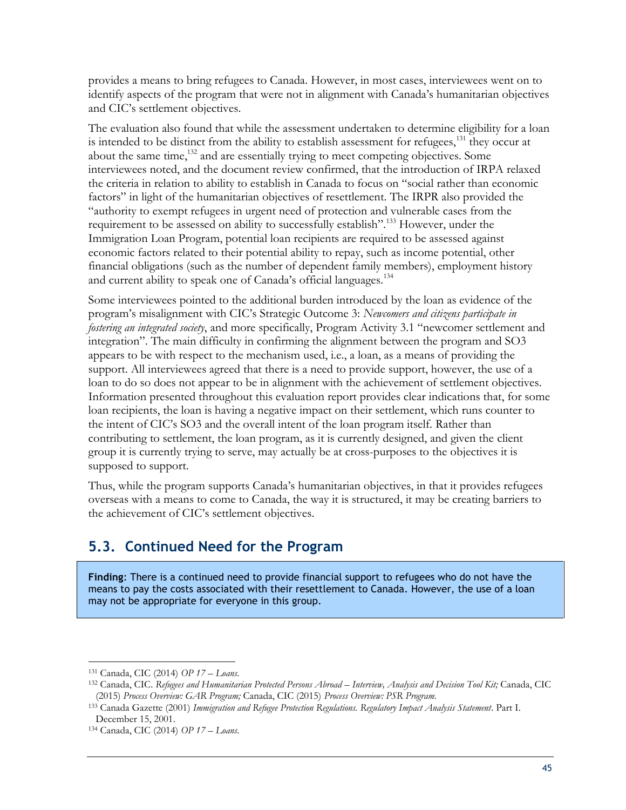provides a means to bring refugees to Canada. However, in most cases, interviewees went on to identify aspects of the program that were not in alignment with Canada's humanitarian objectives and CIC's settlement objectives.

The evaluation also found that while the assessment undertaken to determine eligibility for a loan is intended to be distinct from the ability to establish assessment for refugees, $131$  they occur at about the same time,<sup>132</sup> and are essentially trying to meet competing objectives. Some interviewees noted, and the document review confirmed, that the introduction of IRPA relaxed the criteria in relation to ability to establish in Canada to focus on "social rather than economic factors" in light of the humanitarian objectives of resettlement. The IRPR also provided the "authority to exempt refugees in urgent need of protection and vulnerable cases from the requirement to be assessed on ability to successfully establish".<sup>133</sup> However, under the Immigration Loan Program, potential loan recipients are required to be assessed against economic factors related to their potential ability to repay, such as income potential, other financial obligations (such as the number of dependent family members), employment history and current ability to speak one of Canada's official languages.<sup>134</sup>

Some interviewees pointed to the additional burden introduced by the loan as evidence of the program's misalignment with CIC's Strategic Outcome 3: *Newcomers and citizens participate in fostering an integrated society*, and more specifically, Program Activity 3.1 "newcomer settlement and integration". The main difficulty in confirming the alignment between the program and SO3 appears to be with respect to the mechanism used, i.e., a loan, as a means of providing the support. All interviewees agreed that there is a need to provide support, however, the use of a loan to do so does not appear to be in alignment with the achievement of settlement objectives. Information presented throughout this evaluation report provides clear indications that, for some loan recipients, the loan is having a negative impact on their settlement, which runs counter to the intent of CIC's SO3 and the overall intent of the loan program itself. Rather than contributing to settlement, the loan program, as it is currently designed, and given the client group it is currently trying to serve, may actually be at cross-purposes to the objectives it is supposed to support.

Thus, while the program supports Canada's humanitarian objectives, in that it provides refugees overseas with a means to come to Canada, the way it is structured, it may be creating barriers to the achievement of CIC's settlement objectives.

### <span id="page-56-0"></span>**5.3. Continued Need for the Program**

**Finding**: There is a continued need to provide financial support to refugees who do not have the means to pay the costs associated with their resettlement to Canada. However, the use of a loan may not be appropriate for everyone in this group.

<sup>131</sup> Canada, CIC (2014) *OP 17 – Loans*.

<sup>132</sup> Canada, CIC. Refugees and Humanitarian Protected Persons Abroad - Interview, Analysis and Decision Tool Kit; Canada, CIC (2015) *Process Overview: GAR Program;* Canada, CIC (2015) *Process Overview: PSR Program.*

<sup>133</sup> Canada Gazette (2001) *Immigration and Refugee Protection Regulations. Regulatory Impact Analysis Statement*. Part I. December 15, 2001.

<sup>134</sup> Canada, CIC (2014) *OP 17 – Loans*.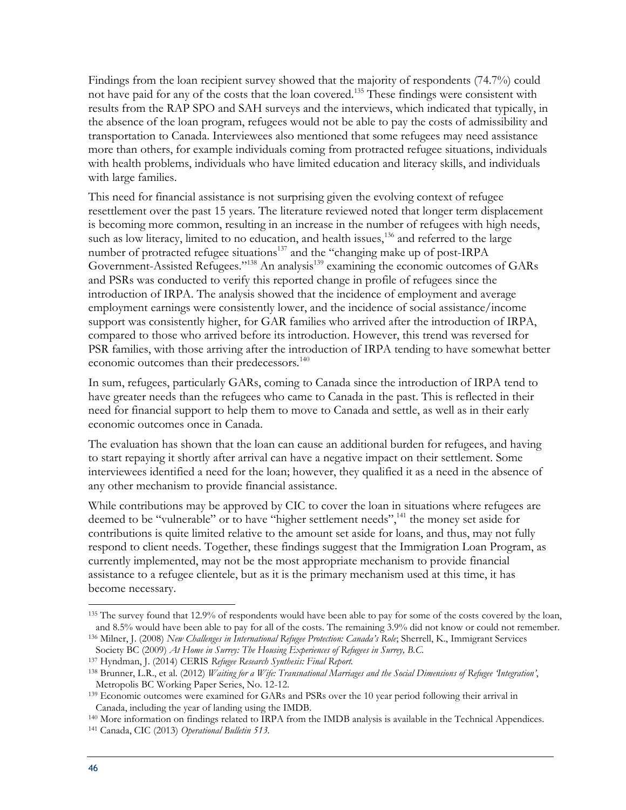Findings from the loan recipient survey showed that the majority of respondents (74.7%) could not have paid for any of the costs that the loan covered.<sup>135</sup> These findings were consistent with results from the RAP SPO and SAH surveys and the interviews, which indicated that typically, in the absence of the loan program, refugees would not be able to pay the costs of admissibility and transportation to Canada. Interviewees also mentioned that some refugees may need assistance more than others, for example individuals coming from protracted refugee situations, individuals with health problems, individuals who have limited education and literacy skills, and individuals with large families.

This need for financial assistance is not surprising given the evolving context of refugee resettlement over the past 15 years. The literature reviewed noted that longer term displacement is becoming more common, resulting in an increase in the number of refugees with high needs, such as low literacy, limited to no education, and health issues,  $136$  and referred to the large number of protracted refugee situations<sup>137</sup> and the "changing make up of post-IRPA Government-Assisted Refugees."<sup>138</sup> An analysis<sup>139</sup> examining the economic outcomes of GARs and PSRs was conducted to verify this reported change in profile of refugees since the introduction of IRPA. The analysis showed that the incidence of employment and average employment earnings were consistently lower, and the incidence of social assistance/income support was consistently higher, for GAR families who arrived after the introduction of IRPA, compared to those who arrived before its introduction. However, this trend was reversed for PSR families, with those arriving after the introduction of IRPA tending to have somewhat better economic outcomes than their predecessors.<sup>140</sup>

In sum, refugees, particularly GARs, coming to Canada since the introduction of IRPA tend to have greater needs than the refugees who came to Canada in the past. This is reflected in their need for financial support to help them to move to Canada and settle, as well as in their early economic outcomes once in Canada.

The evaluation has shown that the loan can cause an additional burden for refugees, and having to start repaying it shortly after arrival can have a negative impact on their settlement. Some interviewees identified a need for the loan; however, they qualified it as a need in the absence of any other mechanism to provide financial assistance.

While contributions may be approved by CIC to cover the loan in situations where refugees are deemed to be "vulnerable" or to have "higher settlement needs",<sup>141</sup> the money set aside for contributions is quite limited relative to the amount set aside for loans, and thus, may not fully respond to client needs. Together, these findings suggest that the Immigration Loan Program, as currently implemented, may not be the most appropriate mechanism to provide financial assistance to a refugee clientele, but as it is the primary mechanism used at this time, it has become necessary.

<sup>140</sup> More information on findings related to IRPA from the IMDB analysis is available in the Technical Appendices. <sup>141</sup> Canada, CIC (2013) *Operational Bulletin 513.*

<sup>&</sup>lt;sup>135</sup> The survey found that 12.9% of respondents would have been able to pay for some of the costs covered by the loan, and 8.5% would have been able to pay for all of the costs. The remaining 3.9% did not know or could not remember. <sup>136</sup> Milner, J. (2008) *New Challenges in International Refugee Protection: Canada's Role*; Sherrell, K., Immigrant Services

Society BC (2009) *At Home in Surrey: The Housing Experiences of Refugees in Surrey, B.C.*

<sup>137</sup> Hyndman, J. (2014) CERIS *Refugee Research Synthesis: Final Report.*

<sup>138</sup> Brunner, L.R., et al. (2012) *Waiting for a Wife: Transnational Marriages and the Social Dimensions of Refugee 'Integration'*, Metropolis BC Working Paper Series, No. 12-12.

<sup>&</sup>lt;sup>139</sup> Economic outcomes were examined for GARs and PSRs over the 10 year period following their arrival in Canada, including the year of landing using the IMDB.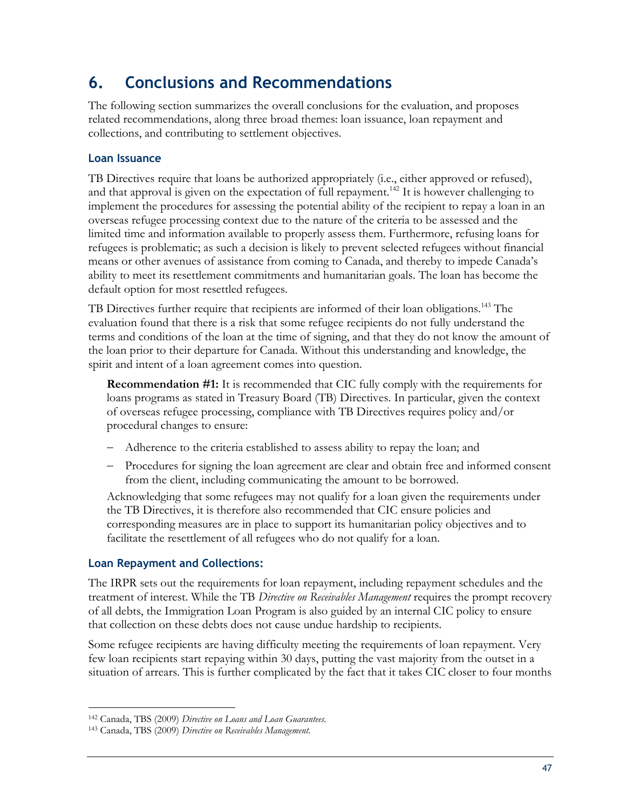### <span id="page-58-0"></span>**6. Conclusions and Recommendations**

The following section summarizes the overall conclusions for the evaluation, and proposes related recommendations, along three broad themes: loan issuance, loan repayment and collections, and contributing to settlement objectives.

### **Loan Issuance**

TB Directives require that loans be authorized appropriately (i.e., either approved or refused), and that approval is given on the expectation of full repayment.<sup>142</sup> It is however challenging to implement the procedures for assessing the potential ability of the recipient to repay a loan in an overseas refugee processing context due to the nature of the criteria to be assessed and the limited time and information available to properly assess them. Furthermore, refusing loans for refugees is problematic; as such a decision is likely to prevent selected refugees without financial means or other avenues of assistance from coming to Canada, and thereby to impede Canada's ability to meet its resettlement commitments and humanitarian goals. The loan has become the default option for most resettled refugees.

TB Directives further require that recipients are informed of their loan obligations.<sup>143</sup> The evaluation found that there is a risk that some refugee recipients do not fully understand the terms and conditions of the loan at the time of signing, and that they do not know the amount of the loan prior to their departure for Canada. Without this understanding and knowledge, the spirit and intent of a loan agreement comes into question.

**Recommendation #1:** It is recommended that CIC fully comply with the requirements for loans programs as stated in Treasury Board (TB) Directives. In particular, given the context of overseas refugee processing, compliance with TB Directives requires policy and/or procedural changes to ensure:

- Adherence to the criteria established to assess ability to repay the loan; and
- Procedures for signing the loan agreement are clear and obtain free and informed consent from the client, including communicating the amount to be borrowed.

Acknowledging that some refugees may not qualify for a loan given the requirements under the TB Directives, it is therefore also recommended that CIC ensure policies and corresponding measures are in place to support its humanitarian policy objectives and to facilitate the resettlement of all refugees who do not qualify for a loan.

### **Loan Repayment and Collections:**

The IRPR sets out the requirements for loan repayment, including repayment schedules and the treatment of interest. While the TB *Directive on Receivables Management* requires the prompt recovery of all debts, the Immigration Loan Program is also guided by an internal CIC policy to ensure that collection on these debts does not cause undue hardship to recipients.

Some refugee recipients are having difficulty meeting the requirements of loan repayment. Very few loan recipients start repaying within 30 days, putting the vast majority from the outset in a situation of arrears. This is further complicated by the fact that it takes CIC closer to four months

<sup>142</sup> Canada, TBS (2009) *Directive on Loans and Loan Guarantees.*

<sup>143</sup> Canada, TBS (2009) *Directive on Receivables Management.*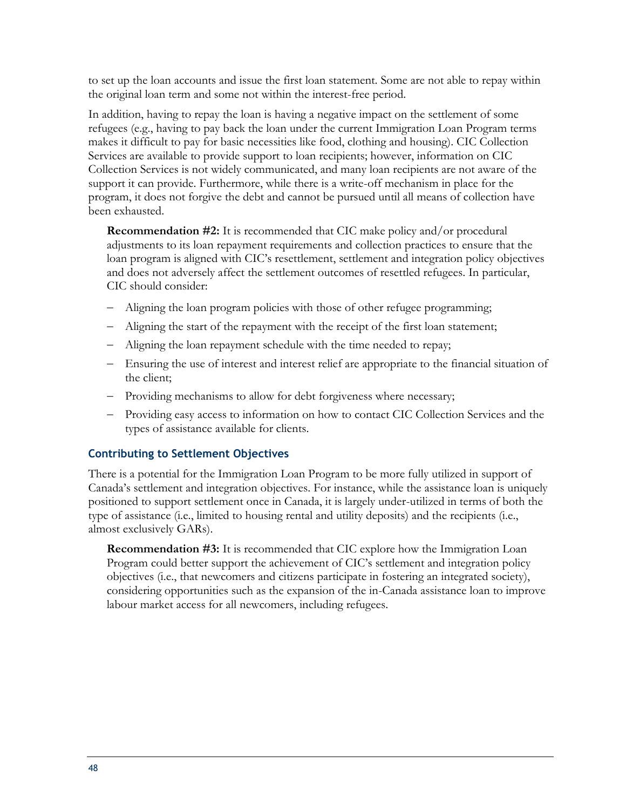to set up the loan accounts and issue the first loan statement. Some are not able to repay within the original loan term and some not within the interest-free period.

In addition, having to repay the loan is having a negative impact on the settlement of some refugees (e.g., having to pay back the loan under the current Immigration Loan Program terms makes it difficult to pay for basic necessities like food, clothing and housing). CIC Collection Services are available to provide support to loan recipients; however, information on CIC Collection Services is not widely communicated, and many loan recipients are not aware of the support it can provide. Furthermore, while there is a write-off mechanism in place for the program, it does not forgive the debt and cannot be pursued until all means of collection have been exhausted.

**Recommendation #2:** It is recommended that CIC make policy and/or procedural adjustments to its loan repayment requirements and collection practices to ensure that the loan program is aligned with CIC's resettlement, settlement and integration policy objectives and does not adversely affect the settlement outcomes of resettled refugees. In particular, CIC should consider:

- Aligning the loan program policies with those of other refugee programming;
- Aligning the start of the repayment with the receipt of the first loan statement;
- Aligning the loan repayment schedule with the time needed to repay;
- Ensuring the use of interest and interest relief are appropriate to the financial situation of the client;
- Providing mechanisms to allow for debt forgiveness where necessary;
- Providing easy access to information on how to contact CIC Collection Services and the types of assistance available for clients.

### **Contributing to Settlement Objectives**

There is a potential for the Immigration Loan Program to be more fully utilized in support of Canada's settlement and integration objectives. For instance, while the assistance loan is uniquely positioned to support settlement once in Canada, it is largely under-utilized in terms of both the type of assistance (i.e., limited to housing rental and utility deposits) and the recipients (i.e., almost exclusively GARs).

**Recommendation #3:** It is recommended that CIC explore how the Immigration Loan Program could better support the achievement of CIC's settlement and integration policy objectives (i.e., that newcomers and citizens participate in fostering an integrated society), considering opportunities such as the expansion of the in-Canada assistance loan to improve labour market access for all newcomers, including refugees.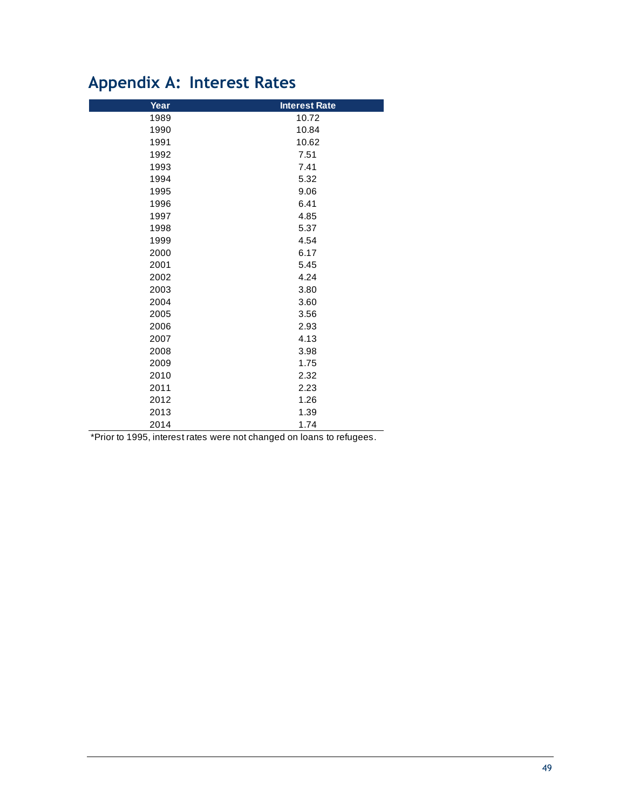## <span id="page-60-0"></span>**Appendix A: Interest Rates**

| Year | <b>Interest Rate</b> |
|------|----------------------|
| 1989 | 10.72                |
| 1990 | 10.84                |
| 1991 | 10.62                |
| 1992 | 7.51                 |
| 1993 | 7.41                 |
| 1994 | 5.32                 |
| 1995 | 9.06                 |
| 1996 | 6.41                 |
| 1997 | 4.85                 |
| 1998 | 5.37                 |
| 1999 | 4.54                 |
| 2000 | 6.17                 |
| 2001 | 5.45                 |
| 2002 | 4.24                 |
| 2003 | 3.80                 |
| 2004 | 3.60                 |
| 2005 | 3.56                 |
| 2006 | 2.93                 |
| 2007 | 4.13                 |
| 2008 | 3.98                 |
| 2009 | 1.75                 |
| 2010 | 2.32                 |
| 2011 | 2.23                 |
| 2012 | 1.26                 |
| 2013 | 1.39                 |
| 2014 | 1.74                 |

\*Prior to 1995, interest rates were not changed on loans to refugees.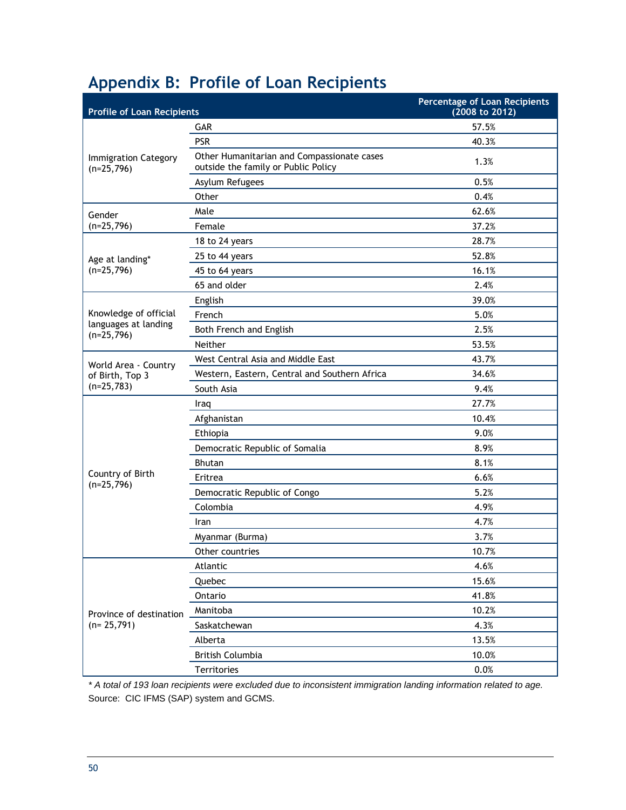## <span id="page-61-0"></span>**Appendix B: Profile of Loan Recipients**

| <b>Profile of Loan Recipients</b>           |                                                                                   | <b>Percentage of Loan Recipients</b><br>(2008 to 2012) |
|---------------------------------------------|-----------------------------------------------------------------------------------|--------------------------------------------------------|
|                                             | <b>GAR</b>                                                                        | 57.5%                                                  |
|                                             | <b>PSR</b>                                                                        | 40.3%                                                  |
| <b>Immigration Category</b><br>$(n=25,796)$ | Other Humanitarian and Compassionate cases<br>outside the family or Public Policy | 1.3%                                                   |
|                                             | Asylum Refugees                                                                   | 0.5%                                                   |
|                                             | Other                                                                             | 0.4%                                                   |
| Gender                                      | Male                                                                              | 62.6%                                                  |
| $(n=25,796)$                                | Female                                                                            | 37.2%                                                  |
|                                             | 18 to 24 years                                                                    | 28.7%                                                  |
| Age at landing*                             | 25 to 44 years                                                                    | 52.8%                                                  |
| $(n=25,796)$                                | 45 to 64 years                                                                    | 16.1%                                                  |
|                                             | 65 and older                                                                      | 2.4%                                                   |
|                                             | English                                                                           | 39.0%                                                  |
| Knowledge of official                       | French                                                                            | 5.0%                                                   |
| languages at landing<br>$(n=25,796)$        | Both French and English                                                           | 2.5%                                                   |
|                                             | Neither                                                                           | 53.5%                                                  |
| World Area - Country                        | West Central Asia and Middle East                                                 | 43.7%                                                  |
| of Birth, Top 3                             | Western, Eastern, Central and Southern Africa                                     | 34.6%                                                  |
| $(n=25,783)$                                | South Asia                                                                        | 9.4%                                                   |
|                                             | Iraq                                                                              | 27.7%                                                  |
|                                             | Afghanistan                                                                       | 10.4%                                                  |
|                                             | Ethiopia                                                                          | 9.0%                                                   |
|                                             | Democratic Republic of Somalia                                                    | 8.9%                                                   |
|                                             | <b>Bhutan</b>                                                                     | 8.1%                                                   |
| Country of Birth                            | Eritrea                                                                           | 6.6%                                                   |
| $(n=25,796)$                                | Democratic Republic of Congo                                                      | 5.2%                                                   |
|                                             | Colombia                                                                          | 4.9%                                                   |
|                                             | Iran                                                                              | 4.7%                                                   |
|                                             | Myanmar (Burma)                                                                   | 3.7%                                                   |
|                                             | Other countries                                                                   | 10.7%                                                  |
|                                             | Atlantic                                                                          | 4.6%                                                   |
|                                             | Quebec                                                                            | 15.6%                                                  |
|                                             | Ontario                                                                           | 41.8%                                                  |
| Province of destination                     | Manitoba                                                                          | 10.2%                                                  |
| $(n=25,791)$                                | Saskatchewan                                                                      | 4.3%                                                   |
|                                             | Alberta                                                                           | 13.5%                                                  |
|                                             | <b>British Columbia</b>                                                           | 10.0%                                                  |
|                                             | Territories                                                                       | 0.0%                                                   |

*\* A total of 193 loan recipients were excluded due to inconsistent immigration landing information related to age.* Source: CIC IFMS (SAP) system and GCMS.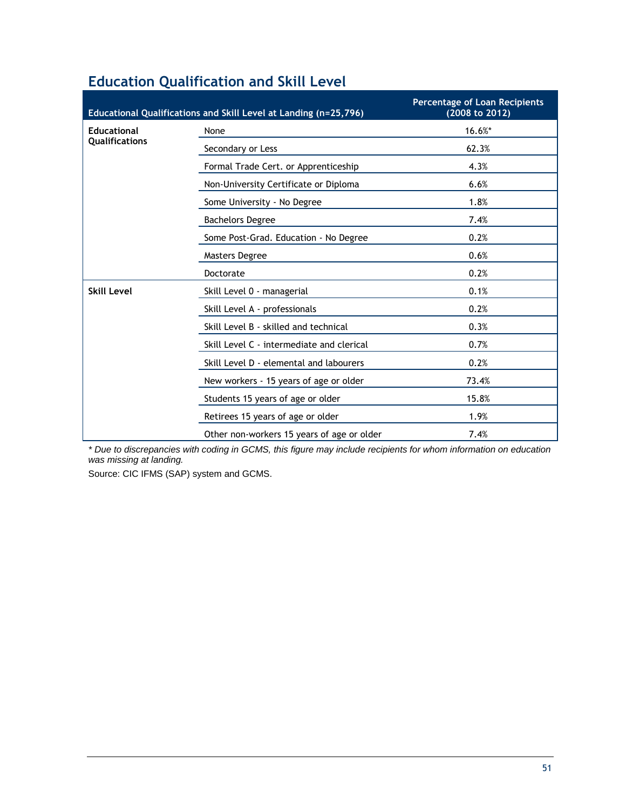|                       | Educational Qualifications and Skill Level at Landing (n=25,796) | <b>Percentage of Loan Recipients</b><br>(2008 to 2012) |
|-----------------------|------------------------------------------------------------------|--------------------------------------------------------|
| <b>Educational</b>    | None                                                             | 16.6%*                                                 |
| <b>Qualifications</b> | Secondary or Less                                                | 62.3%                                                  |
|                       | Formal Trade Cert. or Apprenticeship                             | 4.3%                                                   |
|                       | Non-University Certificate or Diploma                            | 6.6%                                                   |
|                       | Some University - No Degree                                      | 1.8%                                                   |
|                       | <b>Bachelors Degree</b>                                          | 7.4%                                                   |
|                       | Some Post-Grad. Education - No Degree                            | 0.2%                                                   |
|                       | <b>Masters Degree</b>                                            | 0.6%                                                   |
|                       | Doctorate                                                        | 0.2%                                                   |
| <b>Skill Level</b>    | Skill Level 0 - managerial                                       | 0.1%                                                   |
|                       | Skill Level A - professionals                                    | 0.2%                                                   |
|                       | Skill Level B - skilled and technical                            | 0.3%                                                   |
|                       | Skill Level C - intermediate and clerical                        | 0.7%                                                   |
|                       | Skill Level D - elemental and labourers                          | 0.2%                                                   |
|                       | New workers - 15 years of age or older                           | 73.4%                                                  |
|                       | Students 15 years of age or older                                | 15.8%                                                  |
|                       | Retirees 15 years of age or older                                | 1.9%                                                   |
|                       | Other non-workers 15 years of age or older                       | 7.4%                                                   |

### **Education Qualification and Skill Level**

*\* Due to discrepancies with coding in GCMS, this figure may include recipients for whom information on education was missing at landing.*

Source: CIC IFMS (SAP) system and GCMS.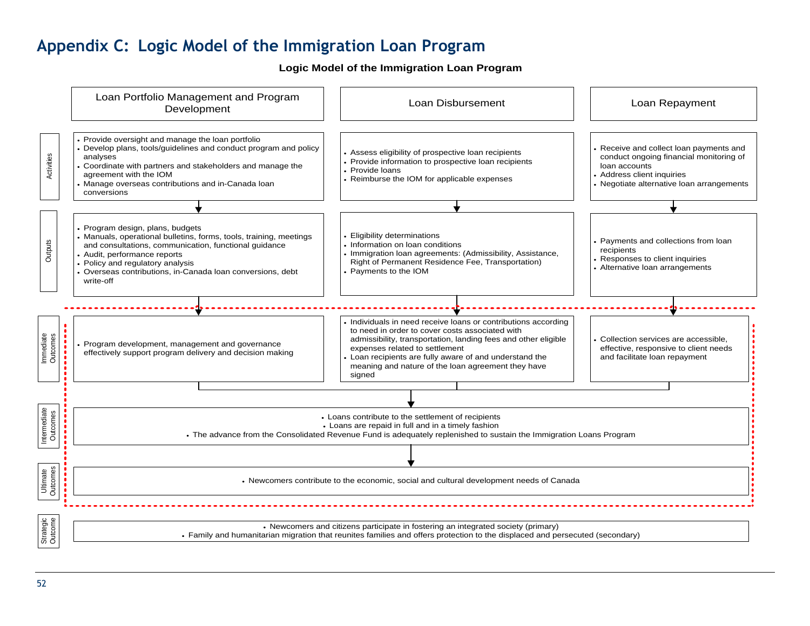### **Appendix C: Logic Model of the Immigration Loan Program**

**Logic Model of the Immigration Loan Program**

<span id="page-63-0"></span>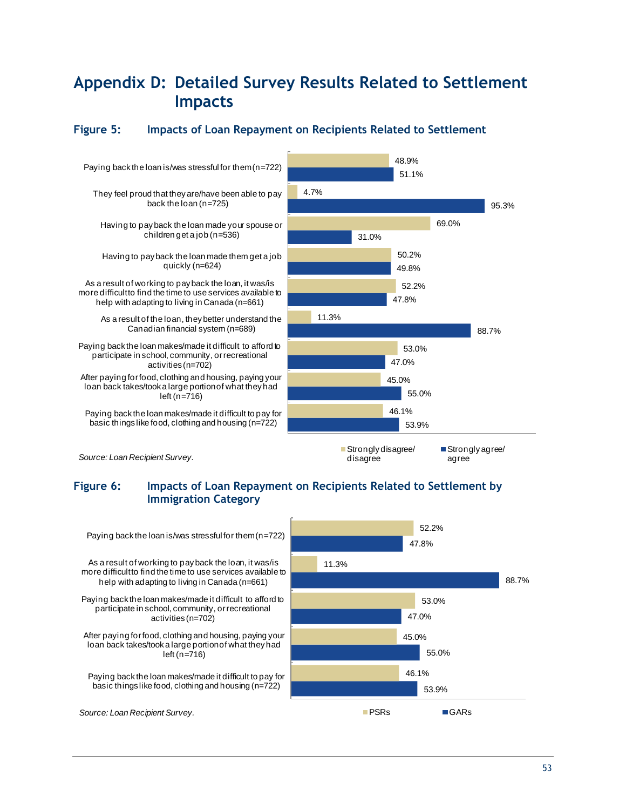### <span id="page-64-0"></span>**Appendix D: Detailed Survey Results Related to Settlement Impacts**

### <span id="page-64-1"></span>**Figure 5: Impacts of Loan Repayment on Recipients Related to Settlement**



#### <span id="page-64-2"></span>**Figure 6: Impacts of Loan Repayment on Recipients Related to Settlement by Immigration Category**

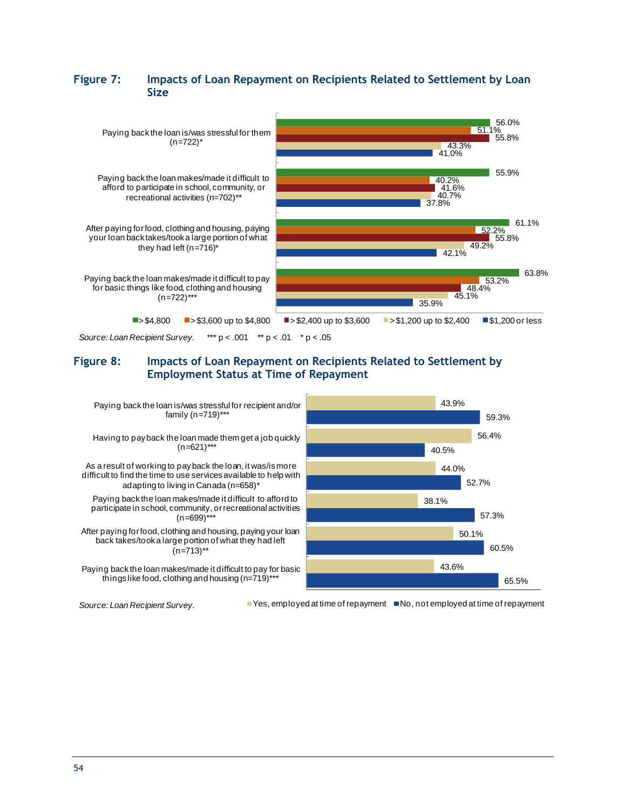#### <span id="page-65-0"></span>**Figure 7: Impacts of Loan Repayment on Recipients Related to Settlement by Loan Size**



*Source: Loan Recipient Survey.* \*\*\* p < .001 \*\* p < .01 \* p < .05

#### <span id="page-65-1"></span>**Figure 8: Impacts of Loan Repayment on Recipients Related to Settlement by Employment Status at Time of Repayment**



*Source: Loan Recipient Survey.* ■ Yes, employed at time of repayment ■ No, not employed at time of repayment